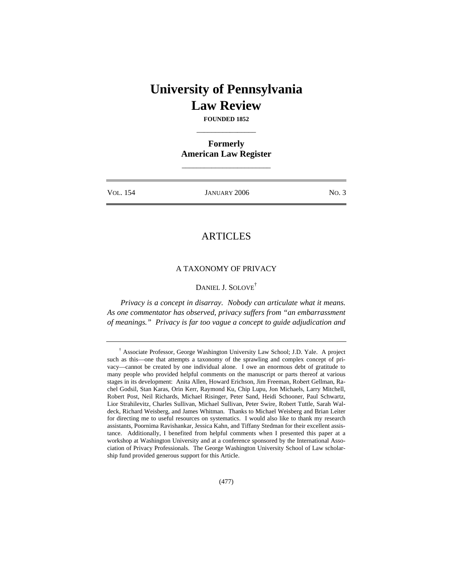# **University of Pennsylvania Law Review**

**FOUNDED 1852**  \_\_\_\_\_\_\_\_\_\_\_\_\_\_\_\_

**Formerly American Law Register** 

\_\_\_\_\_\_\_\_\_\_\_\_\_\_\_\_\_\_\_\_\_\_\_\_

VOL. 154 **JANUARY 2006** NO. 3

## ARTICLES

## A TAXONOMY OF PRIVACY

## DANIEL J. SOLOVE†

*Privacy is a concept in disarray. Nobody can articulate what it means. As one commentator has observed, privacy suffers from "an embarrassment of meanings." Privacy is far too vague a concept to guide adjudication and* 

<sup>†</sup> Associate Professor, George Washington University Law School; J.D. Yale. A project such as this—one that attempts a taxonomy of the sprawling and complex concept of privacy—cannot be created by one individual alone. I owe an enormous debt of gratitude to many people who provided helpful comments on the manuscript or parts thereof at various stages in its development: Anita Allen, Howard Erichson, Jim Freeman, Robert Gellman, Rachel Godsil, Stan Karas, Orin Kerr, Raymond Ku, Chip Lupu, Jon Michaels, Larry Mitchell, Robert Post, Neil Richards, Michael Risinger, Peter Sand, Heidi Schooner, Paul Schwartz, Lior Strahilevitz, Charles Sullivan, Michael Sullivan, Peter Swire, Robert Tuttle, Sarah Waldeck, Richard Weisberg, and James Whitman. Thanks to Michael Weisberg and Brian Leiter for directing me to useful resources on systematics. I would also like to thank my research assistants, Poornima Ravishankar, Jessica Kahn, and Tiffany Stedman for their excellent assistance. Additionally, I benefited from helpful comments when I presented this paper at a workshop at Washington University and at a conference sponsored by the International Association of Privacy Professionals. The George Washington University School of Law scholarship fund provided generous support for this Article.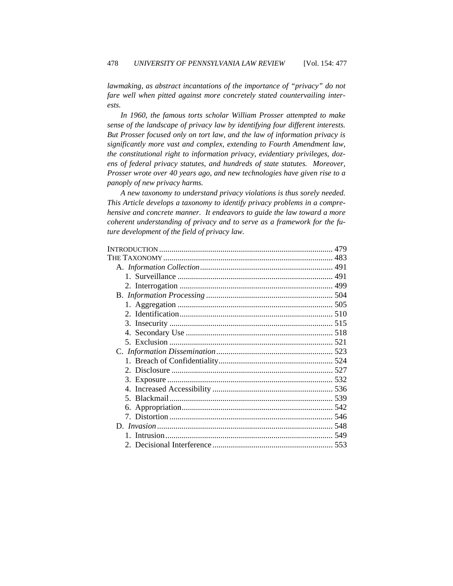*lawmaking, as abstract incantations of the importance of "privacy" do not fare well when pitted against more concretely stated countervailing interests.* 

*In 1960, the famous torts scholar William Prosser attempted to make sense of the landscape of privacy law by identifying four different interests. But Prosser focused only on tort law, and the law of information privacy is significantly more vast and complex, extending to Fourth Amendment law, the constitutional right to information privacy, evidentiary privileges, dozens of federal privacy statutes, and hundreds of state statutes. Moreover, Prosser wrote over 40 years ago, and new technologies have given rise to a panoply of new privacy harms.* 

*A new taxonomy to understand privacy violations is thus sorely needed. This Article develops a taxonomy to identify privacy problems in a comprehensive and concrete manner. It endeavors to guide the law toward a more coherent understanding of privacy and to serve as a framework for the future development of the field of privacy law.*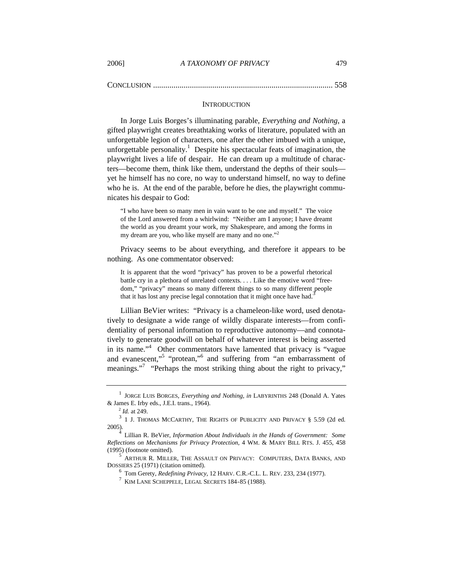#### <span id="page-2-0"></span>2006] *A TAXONOMY OF PRIVACY* 479

CONCLUSION ........................................................................................ 558

#### **INTRODUCTION**

In Jorge Luis Borges's illuminating parable, *Everything and Nothing*, a gifted playwright creates breathtaking works of literature, populated with an unforgettable legion of characters, one after the other imbued with a unique, unforgettable personality.<sup>1</sup> Despite his spectacular feats of imagination, the playwright lives a life of despair. He can dream up a multitude of characters—become them, think like them, understand the depths of their souls yet he himself has no core, no way to understand himself, no way to define who he is. At the end of the parable, before he dies, the playwright communicates his despair to God:

"I who have been so many men in vain want to be one and myself." The voice of the Lord answered from a whirlwind: "Neither am I anyone; I have dreamt the world as you dreamt your work, my Shakespeare, and among the forms in my dream are you, who like myself are many and no one."<sup>2</sup>

Privacy seems to be about everything, and therefore it appears to be nothing. As one commentator observed:

It is apparent that the word "privacy" has proven to be a powerful rhetorical battle cry in a plethora of unrelated contexts. . . . Like the emotive word "freedom," "privacy" means so many different things to so many different people that it has lost any precise legal connotation that it might once have had.<sup>3</sup>

Lillian BeVier writes: "Privacy is a chameleon-like word, used denotatively to designate a wide range of wildly disparate interests—from confidentiality of personal information to reproductive autonomy—and connotatively to generate goodwill on behalf of whatever interest is being asserted in its name."[4](#page-2-4) Other commentators have lamented that privacy is "vague and evanescent,"<sup>[5](#page-2-5)</sup> "protean,"<sup>[6](#page-2-6)</sup> and suffering from "an embarrassment of meanings."<sup>7</sup> "Perhaps the most striking thing about the right to privacy,"

<span id="page-2-1"></span><sup>1</sup> JORGE LUIS BORGES, *Everything and Nothing*, *in* LABYRINTHS 248 (Donald A. Yates & James E. Irby eds., J.E.I. trans., 1964).

<span id="page-2-2"></span>

<span id="page-2-3"></span> $^2$  *Id.* at 249. 3 1 J. THOMAS MCCARTHY, THE RIGHTS OF PUBLICITY AND PRIVACY § 5.59 (2d ed. 2005).

<span id="page-2-4"></span>Lillian R. BeVier, *Information About Individuals in the Hands of Government: Some Reflections on Mechanisms for Privacy Protection*, 4 WM. & MARY BILL RTS. J. 455, 458

<span id="page-2-5"></span>ARTHUR R. MILLER, THE ASSAULT ON PRIVACY: COMPUTERS, DATA BANKS, AND DOSSIERS 25 (1971) (citation omitted). 6 Tom Gerety, *Redefining Privacy*, 12 HARV. C.R.-C.L. L. REV. 233, 234 (1977). 7 KIM LANE SCHEPPELE, LEGAL SECRETS 184-85 (1988).

<span id="page-2-7"></span><span id="page-2-6"></span>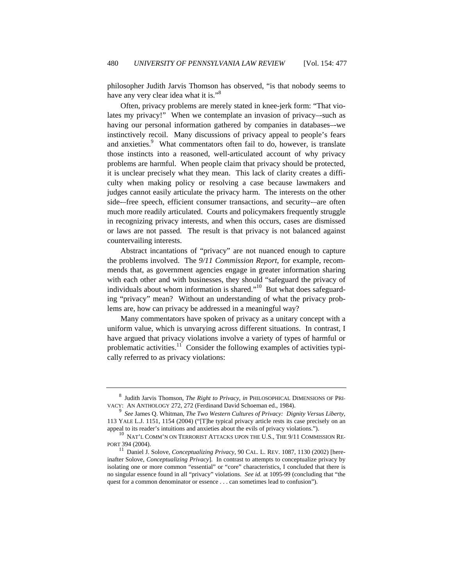philosopher Judith Jarvis Thomson has observed, "is that nobody seems to have any very clear idea what it is."<sup>8</sup>

Often, privacy problems are merely stated in knee-jerk form: "That violates my privacy!" When we contemplate an invasion of privacy–-such as having our personal information gathered by companies in databases–-we instinctively recoil. Many discussions of privacy appeal to people's fears and anxieties.<sup>9</sup> What commentators often fail to do, however, is translate those instincts into a reasoned, well-articulated account of why privacy problems are harmful. When people claim that privacy should be protected, it is unclear precisely what they mean. This lack of clarity creates a difficulty when making policy or resolving a case because lawmakers and judges cannot easily articulate the privacy harm. The interests on the other side-–free speech, efficient consumer transactions, and security-–are often much more readily articulated. Courts and policymakers frequently struggle in recognizing privacy interests, and when this occurs, cases are dismissed or laws are not passed. The result is that privacy is not balanced against countervailing interests.

Abstract incantations of "privacy" are not nuanced enough to capture the problems involved. The *9/11 Commission Report*, for example, recommends that, as government agencies engage in greater information sharing with each other and with businesses, they should "safeguard the privacy of individuals about whom information is shared.["10](#page-3-2) But what does safeguarding "privacy" mean? Without an understanding of what the privacy problems are, how can privacy be addressed in a meaningful way?

Many commentators have spoken of privacy as a unitary concept with a uniform value, which is unvarying across different situations. In contrast, I have argued that privacy violations involve a variety of types of harmful or problematic activities.<sup>11</sup> Consider the following examples of activities typically referred to as privacy violations:

<span id="page-3-0"></span><sup>&</sup>lt;sup>8</sup> Judith Jarvis Thomson, *The Right to Privacy*, *in* PHILOSOPHICAL DIMENSIONS OF PRIVACY: AN ANTHOLOGY 272, 272 (Ferdinand David Schoeman ed., 1984).

<span id="page-3-1"></span>VACY: AN ANTHOLOGY 272, 272 (Ferdinand David Schoeman ed., 1984). 9 *See* James Q. Whitman, *The Two Western Cultures of Privacy: Dignity Versus Liberty*, 113 YALE L.J. 1151, 1154 (2004) ("[T]he typical privacy article rests its case precisely on an

<span id="page-3-2"></span>appeal to its reader's intuitions and anxieties about the evils of privacy violations.").<br><sup>10</sup> NAT'L COMM'N ON TERRORIST ATTACKS UPON THE U.S., THE 9/11 COMMISSION RE-PORT 394 (2004).

<span id="page-3-3"></span><sup>&</sup>lt;sup>11</sup> Daniel J. Solove, *Conceptualizing Privacy*, 90 CAL. L. REV. 1087, 1130 (2002) [hereinafter Solove, *Conceptualizing Privacy*]. In contrast to attempts to conceptualize privacy by isolating one or more common "essential" or "core" characteristics, I concluded that there is no singular essence found in all "privacy" violations. *See id.* at 1095-99 (concluding that "the quest for a common denominator or essence . . . can sometimes lead to confusion").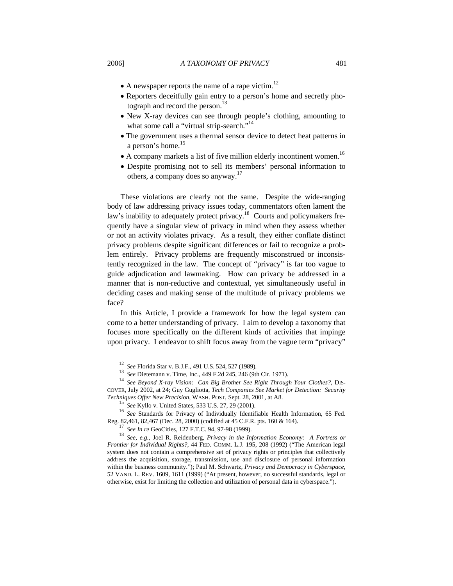- A newspaper reports the name of a rape victim.<sup>[12](#page-4-0)</sup>
- Reporters deceitfully gain entry to a person's home and secretly photograph and record the person.<sup>13</sup>
- New X-ray devices can see through people's clothing, amounting to what some call a "virtual strip-search."<sup>[14](#page-4-2)</sup>
- The government uses a thermal sensor device to detect heat patterns in a person's home.<sup>[15](#page-4-3)</sup>
- A company markets a list of five million elderly incontinent women.<sup>[16](#page-4-4)</sup>
- Despite promising not to sell its members' personal information to others, a company does so anyway.[17](#page-4-5)

These violations are clearly not the same. Despite the wide-ranging body of law addressing privacy issues today, commentators often lament the law's inability to adequately protect privacy.<sup>18</sup> Courts and policymakers frequently have a singular view of privacy in mind when they assess whether or not an activity violates privacy. As a result, they either conflate distinct privacy problems despite significant differences or fail to recognize a problem entirely. Privacy problems are frequently misconstrued or inconsistently recognized in the law. The concept of "privacy" is far too vague to guide adjudication and lawmaking. How can privacy be addressed in a manner that is non-reductive and contextual, yet simultaneously useful in deciding cases and making sense of the multitude of privacy problems we face?

In this Article, I provide a framework for how the legal system can come to a better understanding of privacy. I aim to develop a taxonomy that focuses more specifically on the different kinds of activities that impinge upon privacy. I endeavor to shift focus away from the vague term "privacy"

<span id="page-4-2"></span>

<span id="page-4-1"></span><span id="page-4-0"></span><sup>&</sup>lt;sup>12</sup> See Florida Star v. B.J.F., 491 U.S. 524, 527 (1989).<br><sup>13</sup> See Dietemann v. Time, Inc., 449 F.2d 245, 246 (9th Cir. 1971).<br><sup>14</sup> See Beyond X-ray Vision: Can Big Brother See Right Through Your Clothes?, DIS-COVER, July 2002, at 24; Guy Gugliotta, *Tech Companies See Market for Detection: Security* 

<span id="page-4-4"></span>

<span id="page-4-3"></span>*Techniques Offer New Precision*, WASH. POST, Sept. 28, 2001, at A8.<br><sup>15</sup> See Kyllo v. United States, 533 U.S. 27, 29 (2001).<br><sup>16</sup> See Standards for Privacy of Individually Identifiable Health Information, 65 Fed.<br>Reg. 82

<span id="page-4-6"></span><span id="page-4-5"></span><sup>&</sup>lt;sup>17</sup> See In re GeoCities, 127 F.T.C. 94, 97-98 (1999).<br><sup>18</sup> See, e.g., Joel R. Reidenberg, *Privacy in the Information Economy:* A Fortress or *Frontier for Individual Rights?*, 44 FED. COMM. L.J. 195, 208 (1992) ("The American legal system does not contain a comprehensive set of privacy rights or principles that collectively address the acquisition, storage, transmission, use and disclosure of personal information within the business community."); Paul M. Schwartz, *Privacy and Democracy in Cyberspace*, 52 VAND. L. REV. 1609, 1611 (1999) ("At present, however, no successful standards, legal or otherwise, exist for limiting the collection and utilization of personal data in cyberspace.").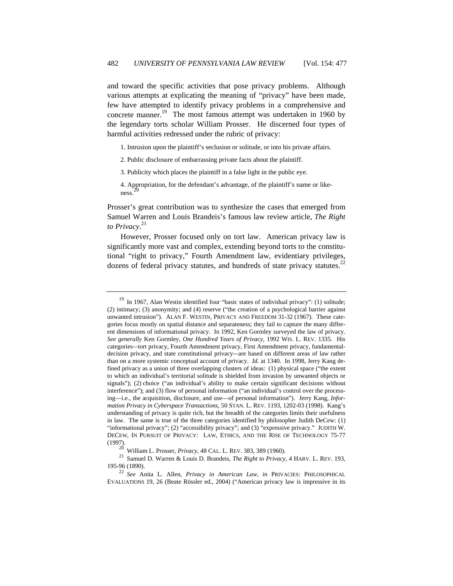<span id="page-5-3"></span>and toward the specific activities that pose privacy problems. Although various attempts at explicating the meaning of "privacy" have been made, few have attempted to identify privacy problems in a comprehensive and concrete manner.<sup>19</sup> The most famous attempt was undertaken in 1960 by the legendary torts scholar William Prosser. He discerned four types of harmful activities redressed under the rubric of privacy:

1. Intrusion upon the plaintiff's seclusion or solitude, or into his private affairs.

2. Public disclosure of embarrassing private facts about the plaintiff.

3. Publicity which places the plaintiff in a false light in the public eye.

4. Appropriation, for the defendant's advantage, of the plaintiff's name or likeness.

Prosser's great contribution was to synthesize the cases that emerged from Samuel Warren and Louis Brandeis's famous law review article, *The Right to Privacy*. [21](#page-5-2)

However, Prosser focused only on tort law. American privacy law is significantly more vast and complex, extending beyond torts to the constitutional "right to privacy," Fourth Amendment law, evidentiary privileges, dozens of federal privacy statutes, and hundreds of state privacy statutes.<sup>22</sup>

<span id="page-5-0"></span><sup>&</sup>lt;sup>19</sup> In 1967, Alan Westin identified four "basic states of individual privacy": (1) solitude; (2) intimacy; (3) anonymity; and (4) reserve ("the creation of a psychological barrier against unwanted intrusion"). ALAN F. WESTIN, PRIVACY AND FREEDOM 31-32 (1967). These categories focus mostly on spatial distance and separateness; they fail to capture the many different dimensions of informational privacy. In 1992, Ken Gormley surveyed the law of privacy. *See generally* Ken Gormley, *One Hundred Years of Privacy*, 1992 WIS. L. REV. 1335. His categories-–tort privacy, Fourth Amendment privacy, First Amendment privacy, fundamentaldecision privacy, and state constitutional privacy-–are based on different areas of law rather than on a more systemic conceptual account of privacy. *Id.* at 1340. In 1998, Jerry Kang defined privacy as a union of three overlapping clusters of ideas: (1) physical space ("the extent to which an individual's territorial solitude is shielded from invasion by unwanted objects or signals"); (2) choice ("an individual's ability to make certain significant decisions without interference"); and (3) flow of personal information ("an individual's control over the processing—i.e., the acquisition, disclosure, and use—of personal information"). Jerry Kang, *Information Privacy in Cyberspace Transactions*, 50 STAN. L. REV. 1193, 1202-03 (1998). Kang's understanding of privacy is quite rich, but the breadth of the categories limits their usefulness in law. The same is true of the three categories identified by philosopher Judith DeCew: (1) "informational privacy"; (2) "accessibility privacy"; and (3) "expressive privacy." JUDITH W. DECEW, IN PURSUIT OF PRIVACY: LAW, ETHICS, AND THE RISE OF TECHNOLOGY 75-77

<span id="page-5-1"></span><sup>(1997).</sup> <sup>20</sup> William L. Prosser, *Privacy*, 48 CAL. L. REV. 383, 389 (1960). 21 Samuel D. Warren & Louis D. Brandeis, *The Right to Privacy*, 4 HARV. L. REV. 193,

<span id="page-5-2"></span><sup>195-96 (1890).</sup> <sup>22</sup> *See* Anita L. Allen, *Privacy in American Law*, *in* PRIVACIES: PHILOSOPHICAL EVALUATIONS 19, 26 (Beate Rössler ed., 2004) ("American privacy law is impressive in its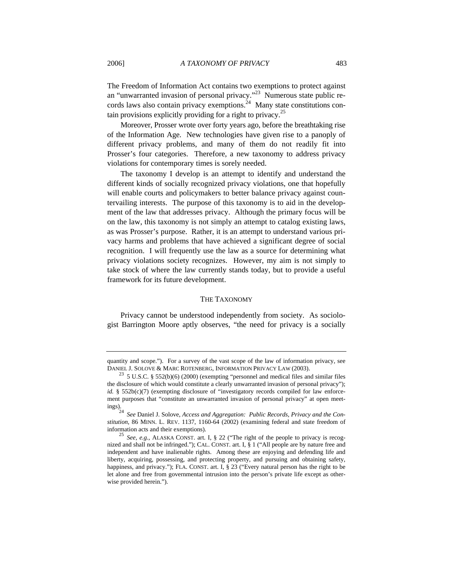<span id="page-6-0"></span>The Freedom of Information Act contains two exemptions to protect against an "unwarranted invasion of personal privacy."<sup>23</sup> Numerous state public records laws also contain privacy exemptions. $24$  Many state constitutions con-tain provisions explicitly providing for a right to privacy.<sup>[25](#page-6-3)</sup>

Moreover, Prosser wrote over forty years ago, before the breathtaking rise of the Information Age. New technologies have given rise to a panoply of different privacy problems, and many of them do not readily fit into Prosser's four categories. Therefore, a new taxonomy to address privacy violations for contemporary times is sorely needed.

The taxonomy I develop is an attempt to identify and understand the different kinds of socially recognized privacy violations, one that hopefully will enable courts and policymakers to better balance privacy against countervailing interests. The purpose of this taxonomy is to aid in the development of the law that addresses privacy. Although the primary focus will be on the law, this taxonomy is not simply an attempt to catalog existing laws, as was Prosser's purpose. Rather, it is an attempt to understand various privacy harms and problems that have achieved a significant degree of social recognition. I will frequently use the law as a source for determining what privacy violations society recognizes. However, my aim is not simply to take stock of where the law currently stands today, but to provide a useful framework for its future development.

#### THE TAXONOMY

Privacy cannot be understood independently from society. As sociologist Barrington Moore aptly observes, "the need for privacy is a socially

quantity and scope."). For a survey of the vast scope of the law of information privacy, see DANIEL J. SOLOVE & MARC ROTENBERG, INFORMATION PRIVACY LAW (2003).<br><sup>23</sup> 5 U.S.C. § 552(b)(6) (2000) (exempting "personnel and medical files and similar files

<span id="page-6-1"></span>the disclosure of which would constitute a clearly unwarranted invasion of personal privacy"); *id.* § 552b(c)(7) (exempting disclosure of "investigatory records compiled for law enforcement purposes that "constitute an unwarranted invasion of personal privacy" at open meetings). 24 *See* Daniel J. Solove, *Access and Aggregation: Public Records, Privacy and the Con-*

<span id="page-6-2"></span>*stitution*, 86 MINN. L. REV. 1137, 1160-64 (2002) (examining federal and state freedom of information acts and their exemptions). 25 *See, e.g.*, ALASKA CONST. art. I, § 22 ("The right of the people to privacy is recog-

<span id="page-6-3"></span>nized and shall not be infringed."); CAL. CONST. art. I, § 1 ("All people are by nature free and independent and have inalienable rights. Among these are enjoying and defending life and liberty, acquiring, possessing, and protecting property, and pursuing and obtaining safety, happiness, and privacy."); FLA. CONST. art. I, § 23 ("Every natural person has the right to be let alone and free from governmental intrusion into the person's private life except as otherwise provided herein.").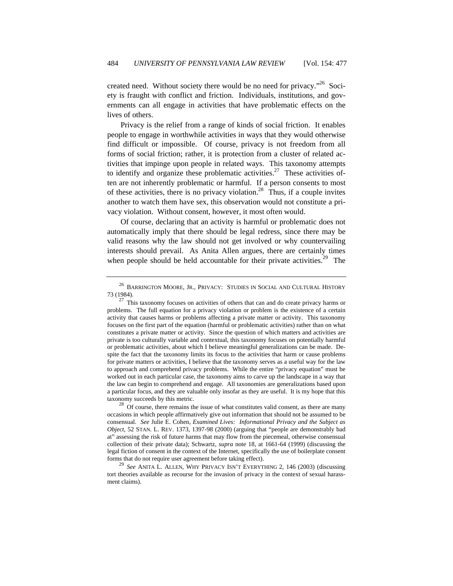created need. Without society there would be no need for privacy."<sup>26</sup> Society is fraught with conflict and friction. Individuals, institutions, and governments can all engage in activities that have problematic effects on the lives of others.

Privacy is the relief from a range of kinds of social friction. It enables people to engage in worthwhile activities in ways that they would otherwise find difficult or impossible. Of course, privacy is not freedom from all forms of social friction; rather, it is protection from a cluster of related activities that impinge upon people in related ways. This taxonomy attempts to identify and organize these problematic activities.<sup>27</sup> These activities often are not inherently problematic or harmful. If a person consents to most of these activities, there is no privacy violation.<sup>28</sup> Thus, if a couple invites another to watch them have sex, this observation would not constitute a privacy violation. Without consent, however, it most often would.

Of course, declaring that an activity is harmful or problematic does not automatically imply that there should be legal redress, since there may be valid reasons why the law should not get involved or why countervailing interests should prevail. As Anita Allen argues, there are certainly times when people should be held accountable for their private activities.<sup>29</sup> The

<span id="page-7-3"></span><sup>29</sup> *See* ANITA L. ALLEN, WHY PRIVACY ISN'T EVERYTHING 2, 146 (2003) (discussing tort theories available as recourse for the invasion of privacy in the context of sexual harassment claims).

<span id="page-7-0"></span> $^{26}$ BARRINGTON MOORE, JR., PRIVACY: STUDIES IN SOCIAL AND CULTURAL HISTORY

<span id="page-7-1"></span><sup>73 (1984). &</sup>lt;sup>27</sup> This taxonomy focuses on activities of others that can and do create privacy harms or problems. The full equation for a privacy violation or problem is the existence of a certain activity that causes harms or problems affecting a private matter or activity. This taxonomy focuses on the first part of the equation (harmful or problematic activities) rather than on what constitutes a private matter or activity. Since the question of which matters and activities are private is too culturally variable and contextual, this taxonomy focuses on potentially harmful or problematic activities, about which I believe meaningful generalizations can be made. Despite the fact that the taxonomy limits its focus to the activities that harm or cause problems for private matters or activities, I believe that the taxonomy serves as a useful way for the law to approach and comprehend privacy problems. While the entire "privacy equation" must be worked out in each particular case, the taxonomy aims to carve up the landscape in a way that the law can begin to comprehend and engage. All taxonomies are generalizations based upon a particular focus, and they are valuable only insofar as they are useful. It is my hope that this taxonomy succeeds by this metric.<br><sup>28</sup> Of course, there remains the issue of what constitutes valid consent, as there are many

<span id="page-7-2"></span>occasions in which people affirmatively give out information that should not be assumed to be consensual. *See* Julie E. Cohen, *Examined Lives: Informational Privacy and the Subject as Object*, 52 STAN. L. REV. 1373, 1397-98 (2000) (arguing that "people are demonstrably bad at" assessing the risk of future harms that may flow from the piecemeal, otherwise consensual collection of their private data); Schwartz, *supra* note 18, at 1661-64 (1999) (discussing the legal fiction of consent in the context of the Internet, specifically the use of boilerplate consent forms that do not require user agreement before taking effect).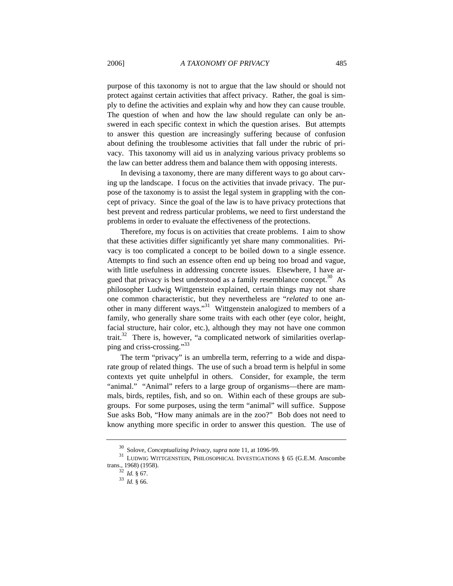purpose of this taxonomy is not to argue that the law should or should not protect against certain activities that affect privacy. Rather, the goal is simply to define the activities and explain why and how they can cause trouble. The question of when and how the law should regulate can only be answered in each specific context in which the question arises. But attempts to answer this question are increasingly suffering because of confusion about defining the troublesome activities that fall under the rubric of privacy. This taxonomy will aid us in analyzing various privacy problems so the law can better address them and balance them with opposing interests.

In devising a taxonomy, there are many different ways to go about carving up the landscape. I focus on the activities that invade privacy. The purpose of the taxonomy is to assist the legal system in grappling with the concept of privacy. Since the goal of the law is to have privacy protections that best prevent and redress particular problems, we need to first understand the problems in order to evaluate the effectiveness of the protections.

Therefore, my focus is on activities that create problems. I aim to show that these activities differ significantly yet share many commonalities. Privacy is too complicated a concept to be boiled down to a single essence. Attempts to find such an essence often end up being too broad and vague, with little usefulness in addressing concrete issues. Elsewhere, I have argued that privacy is best understood as a family resemblance concept.<sup>30</sup> As philosopher Ludwig Wittgenstein explained, certain things may not share one common characteristic, but they nevertheless are "*related* to one another in many different ways."<sup>31</sup> Wittgenstein analogized to members of a family, who generally share some traits with each other (eye color, height, facial structure, hair color, etc.), although they may not have one common trait.<sup>32</sup> There is, however, "a complicated network of similarities overlapping and criss-crossing."<sup>33</sup>

The term "privacy" is an umbrella term, referring to a wide and disparate group of related things. The use of such a broad term is helpful in some contexts yet quite unhelpful in others. Consider, for example, the term "animal." "Animal" refers to a large group of organisms—there are mammals, birds, reptiles, fish, and so on. Within each of these groups are subgroups. For some purposes, using the term "animal" will suffice. Suppose Sue asks Bob, "How many animals are in the zoo?" Bob does not need to know anything more specific in order to answer this question. The use of

<span id="page-8-1"></span><span id="page-8-0"></span><sup>&</sup>lt;sup>30</sup> Solove, *Conceptualizing Privacy*, *supra* note 11, at 1096-99.<br><sup>31</sup> LUDWIG WITTGENSTEIN, PHILOSOPHICAL INVESTIGATIONS § 65 (G.E.M. Anscombe trans., 1968) (1958).<br> $\frac{32}{33}$  *Id.* § 67.<br>*Id.* § 66.

<span id="page-8-3"></span><span id="page-8-2"></span>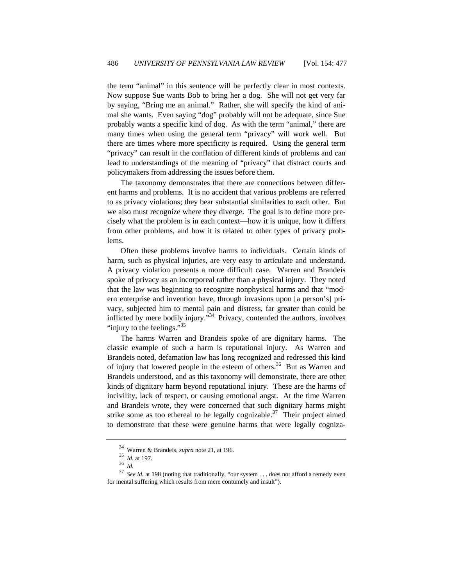the term "animal" in this sentence will be perfectly clear in most contexts. Now suppose Sue wants Bob to bring her a dog. She will not get very far by saying, "Bring me an animal." Rather, she will specify the kind of animal she wants. Even saying "dog" probably will not be adequate, since Sue probably wants a specific kind of dog. As with the term "animal," there are many times when using the general term "privacy" will work well. But there are times where more specificity is required. Using the general term "privacy" can result in the conflation of different kinds of problems and can lead to understandings of the meaning of "privacy" that distract courts and policymakers from addressing the issues before them.

The taxonomy demonstrates that there are connections between different harms and problems. It is no accident that various problems are referred to as privacy violations; they bear substantial similarities to each other. But we also must recognize where they diverge. The goal is to define more precisely what the problem is in each context—how it is unique, how it differs from other problems, and how it is related to other types of privacy problems.

Often these problems involve harms to individuals. Certain kinds of harm, such as physical injuries, are very easy to articulate and understand. A privacy violation presents a more difficult case. Warren and Brandeis spoke of privacy as an incorporeal rather than a physical injury. They noted that the law was beginning to recognize nonphysical harms and that "modern enterprise and invention have, through invasions upon [a person's] privacy, subjected him to mental pain and distress, far greater than could be inflicted by mere bodily injury.<sup> $\overline{334}$ </sup> Privacy, contended the authors, involves "injury to the feelings."<sup>35</sup>

The harms Warren and Brandeis spoke of are dignitary harms. The classic example of such a harm is reputational injury. As Warren and Brandeis noted, defamation law has long recognized and redressed this kind of injury that lowered people in the esteem of others.<sup>36</sup> But as Warren and Brandeis understood, and as this taxonomy will demonstrate, there are other kinds of dignitary harm beyond reputational injury. These are the harms of incivility, lack of respect, or causing emotional angst. At the time Warren and Brandeis wrote, they were concerned that such dignitary harms might strike some as too ethereal to be legally cognizable.<sup>37</sup> Their project aimed to demonstrate that these were genuine harms that were legally cogniza-

<span id="page-9-3"></span><span id="page-9-2"></span>

<span id="page-9-1"></span><span id="page-9-0"></span><sup>&</sup>lt;sup>34</sup> Warren & Brandeis, *supra* note 21, at 196.<br><sup>35</sup> *Id.* at 197.<br><sup>36</sup> *Id. Ig. See id.* at 198 (noting that traditionally, "our system . . . does not afford a remedy even for mental suffering which results from mere contumely and insult").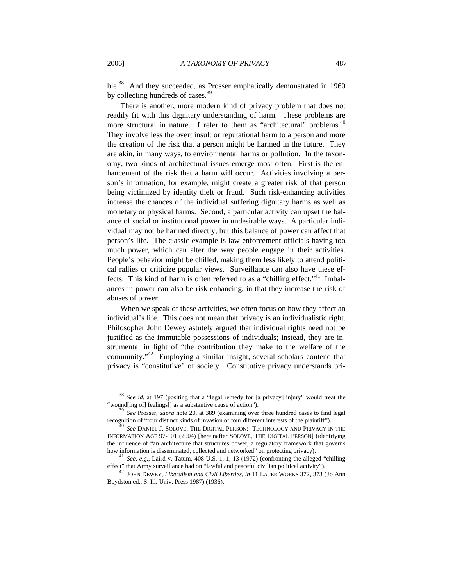ble.<sup>38</sup> And they succeeded, as Prosser emphatically demonstrated in 1960 by collecting hundreds of cases.<sup>39</sup>

There is another, more modern kind of privacy problem that does not readily fit with this dignitary understanding of harm. These problems are more structural in nature. I refer to them as "architectural" problems.<sup>40</sup> They involve less the overt insult or reputational harm to a person and more the creation of the risk that a person might be harmed in the future. They are akin, in many ways, to environmental harms or pollution. In the taxonomy, two kinds of architectural issues emerge most often. First is the enhancement of the risk that a harm will occur. Activities involving a person's information, for example, might create a greater risk of that person being victimized by identity theft or fraud. Such risk-enhancing activities increase the chances of the individual suffering dignitary harms as well as monetary or physical harms. Second, a particular activity can upset the balance of social or institutional power in undesirable ways. A particular individual may not be harmed directly, but this balance of power can affect that person's life. The classic example is law enforcement officials having too much power, which can alter the way people engage in their activities. People's behavior might be chilled, making them less likely to attend political rallies or criticize popular views. Surveillance can also have these effects. This kind of harm is often referred to as a "chilling effect."<sup>41</sup> Imbalances in power can also be risk enhancing, in that they increase the risk of abuses of power.

When we speak of these activities, we often focus on how they affect an individual's life. This does not mean that privacy is an individualistic right. Philosopher John Dewey astutely argued that individual rights need not be justified as the immutable possessions of individuals; instead, they are instrumental in light of "the contribution they make to the welfare of the community."[42](#page-10-4) Employing a similar insight, several scholars contend that privacy is "constitutive" of society. Constitutive privacy understands pri-

<span id="page-10-0"></span><sup>38</sup> *See id.* at 197 (positing that a "legal remedy for [a privacy] injury" would treat the "wound[ing of] feelings[] as a substantive cause of action").

<span id="page-10-1"></span><sup>39</sup> *See* Prosser, *supra* note 20, at 389 (examining over three hundred cases to find legal recognition of "four distinct kinds of invasion of four different interests of the plaintiff"). 40 *See* DANIEL J. SOLOVE, THE DIGITAL PERSON: TECHNOLOGY AND PRIVACY IN THE

<span id="page-10-2"></span>INFORMATION AGE 97-101 (2004) [hereinafter SOLOVE, THE DIGITAL PERSON] (identifying the influence of "an architecture that structures power, a regulatory framework that governs how information is disseminated, collected and networked" on protecting privacy). 41 *See, e.g.*, Laird v. Tatum, 408 U.S. 1, 1, 13 (1972) (confronting the alleged "chilling

<span id="page-10-3"></span>effect" that Army surveillance had on "lawful and peaceful civilian political activity"). 42 JOHN DEWEY, *Liberalism and Civil Liberties*, *in* 11 LATER WORKS 372, 373 (Jo Ann

<span id="page-10-4"></span>Boydston ed., S. Ill. Univ. Press 1987) (1936).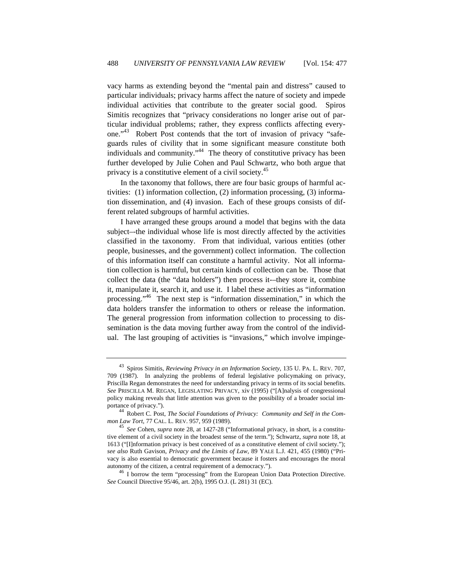vacy harms as extending beyond the "mental pain and distress" caused to particular individuals; privacy harms affect the nature of society and impede individual activities that contribute to the greater social good. Spiros Simitis recognizes that "privacy considerations no longer arise out of particular individual problems; rather, they express conflicts affecting everyone."<sup>43</sup> Robert Post contends that the tort of invasion of privacy "safeguards rules of civility that in some significant measure constitute both individuals and community."<sup>44</sup> The theory of constitutive privacy has been further developed by Julie Cohen and Paul Schwartz, who both argue that privacy is a constitutive element of a civil society.<sup>45</sup>

In the taxonomy that follows, there are four basic groups of harmful activities: (1) information collection, (2) information processing, (3) information dissemination, and (4) invasion. Each of these groups consists of different related subgroups of harmful activities.

I have arranged these groups around a model that begins with the data subject–-the individual whose life is most directly affected by the activities classified in the taxonomy. From that individual, various entities (other people, businesses, and the government) collect information. The collection of this information itself can constitute a harmful activity. Not all information collection is harmful, but certain kinds of collection can be. Those that collect the data (the "data holders") then process it-–they store it, combine it, manipulate it, search it, and use it. I label these activities as "information processing."<sup>46</sup> The next step is "information dissemination," in which the data holders transfer the information to others or release the information. The general progression from information collection to processing to dissemination is the data moving further away from the control of the individual. The last grouping of activities is "invasions," which involve impinge-

<span id="page-11-0"></span><sup>43</sup> Spiros Simitis, *Reviewing Privacy in an Information Society*, 135 U. PA. L. REV. 707, 709 (1987). In analyzing the problems of federal legislative policymaking on privacy, Priscilla Regan demonstrates the need for understanding privacy in terms of its social benefits. *See* PRISCILLA M. REGAN, LEGISLATING PRIVACY, xiv (1995) ("[A]nalysis of congressional policy making reveals that little attention was given to the possibility of a broader social im-

<span id="page-11-1"></span>portance of privacy."). <sup>44</sup> Robert C. Post, *The Social Foundations of Privacy: Community and Self in the Common Law Tort*, 77 CAL. L. REV. 957, 959 (1989). 45 *See* Cohen, *supra* note 28, at 1427-28 ("Informational privacy, in short, is a constitu-

<span id="page-11-2"></span>tive element of a civil society in the broadest sense of the term."); Schwartz, *supra* note 18, at 1613 ("[I]nformation privacy is best conceived of as a constitutive element of civil society."); *see also* Ruth Gavison, *Privacy and the Limits of Law*, 89 YALE L.J. 421, 455 (1980) ("Privacy is also essential to democratic government because it fosters and encourages the moral

<span id="page-11-3"></span>autonomy of the citizen, a central requirement of a democracy."). 46 I borrow the term "processing" from the European Union Data Protection Directive. *See* Council Directive 95/46, art. 2(b), 1995 O.J. (L 281) 31 (EC).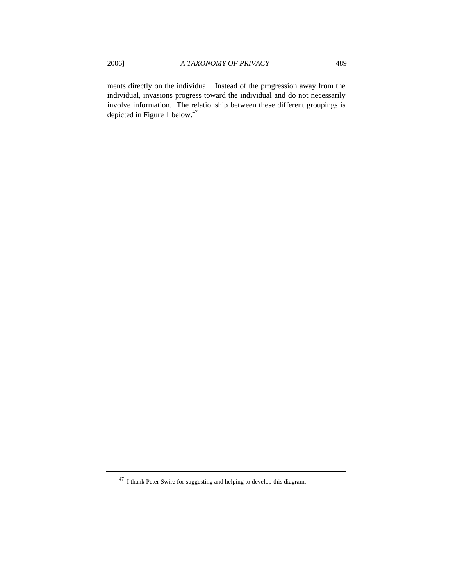ments directly on the individual. Instead of the progression away from the individual, invasions progress toward the individual and do not necessarily involve information. The relationship between these different groupings is depicted in Figure 1 below[.47](#page-12-0)

<span id="page-12-0"></span> $^{47}$  I thank Peter Swire for suggesting and helping to develop this diagram.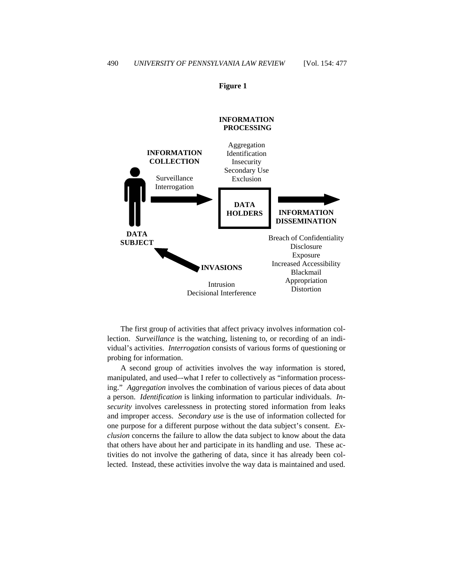## **Figure 1**



The first group of activities that affect privacy involves information collection. *Surveillance* is the watching, listening to, or recording of an individual's activities. *Interrogation* consists of various forms of questioning or probing for information.

A second group of activities involves the way information is stored, manipulated, and used–-what I refer to collectively as "information processing." *Aggregation* involves the combination of various pieces of data about a person. *Identification* is linking information to particular individuals. *Insecurity* involves carelessness in protecting stored information from leaks and improper access. *Secondary use* is the use of information collected for one purpose for a different purpose without the data subject's consent. *Exclusion* concerns the failure to allow the data subject to know about the data that others have about her and participate in its handling and use. These activities do not involve the gathering of data, since it has already been collected. Instead, these activities involve the way data is maintained and used.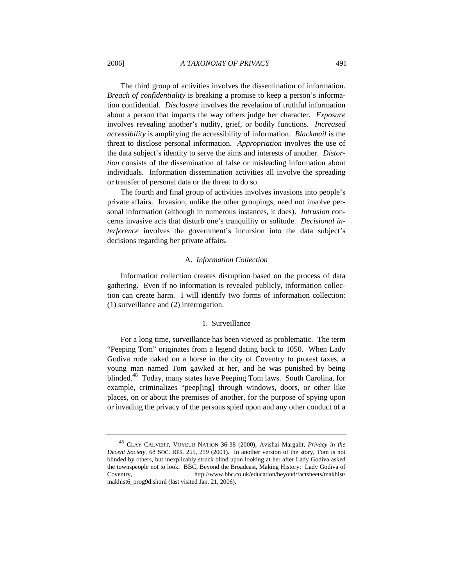The third group of activities involves the dissemination of information. *Breach of confidentiality* is breaking a promise to keep a person's information confidential. *Disclosure* involves the revelation of truthful information about a person that impacts the way others judge her character. *Exposure* involves revealing another's nudity, grief, or bodily functions. *Increased accessibility* is amplifying the accessibility of information. *Blackmail* is the threat to disclose personal information. *Appropriation* involves the use of the data subject's identity to serve the aims and interests of another. *Distortion* consists of the dissemination of false or misleading information about individuals. Information dissemination activities all involve the spreading or transfer of personal data or the threat to do so.

The fourth and final group of activities involves invasions into people's private affairs. Invasion, unlike the other groupings, need not involve personal information (although in numerous instances, it does). *Intrusion* concerns invasive acts that disturb one's tranquility or solitude. *Decisional interference* involves the government's incursion into the data subject's decisions regarding her private affairs.

## A. *Information Collection*

Information collection creates disruption based on the process of data gathering. Even if no information is revealed publicly, information collection can create harm. I will identify two forms of information collection: (1) surveillance and (2) interrogation.

## 1. Surveillance

For a long time, surveillance has been viewed as problematic. The term "Peeping Tom" originates from a legend dating back to 1050. When Lady Godiva rode naked on a horse in the city of Coventry to protest taxes, a young man named Tom gawked at her, and he was punished by being blinded.<sup>48</sup> Today, many states have Peeping Tom laws. South Carolina, for example, criminalizes "peep[ing] through windows, doors, or other like places, on or about the premises of another, for the purpose of spying upon or invading the privacy of the persons spied upon and any other conduct of a

<sup>48</sup> CLAY CALVERT, VOYEUR NATION 36-38 (2000); Avishai Margalit, *Privacy in the Decent Society*, 68 SOC. RES. 255, 259 (2001). In another version of the story, Tom is not blinded by others, but inexplicably struck blind upon looking at her after Lady Godiva asked the townspeople not to look. BBC, Beyond the Broadcast, Making History: Lady Godiva of Coventry, http://www.bbc.co.uk/education/beyond/factsheets/makhist/ makhist6\_prog9d.shtml (last visited Jan. 21, 2006).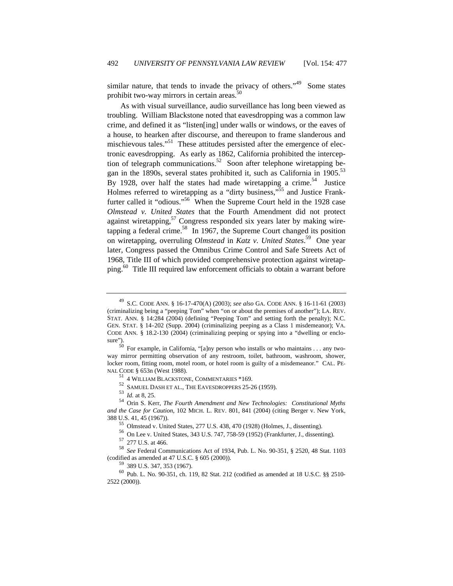similar nature, that tends to invade the privacy of others."<sup>49</sup> Some states prohibit two-way mirrors in certain areas.<sup>50</sup>

As with visual surveillance, audio surveillance has long been viewed as troubling. William Blackstone noted that eavesdropping was a common law crime, and defined it as "listen[ing] under walls or windows, or the eaves of a house, to hearken after discourse, and thereupon to frame slanderous and mischievous tales."<sup>51</sup> These attitudes persisted after the emergence of electronic eavesdropping. As early as 1862, California prohibited the interception of telegraph communications.<sup>52</sup> Soon after telephone wiretapping began in the 1890s, several states prohibited it, such as California in 1905.<sup>53</sup> By 1928, over half the states had made wiretapping a crime.<sup>54</sup> Justice Holmes referred to wiretapping as a "dirty business,"<sup>55</sup> and Justice Frankfurter called it "odious."<sup>56</sup> When the Supreme Court held in the 1928 case *Olmstead v. United States* that the Fourth Amendment did not protect against wiretapping,<sup>57</sup> Congress responded six years later by making wiretapping a federal crime.<sup>58</sup> In 1967, the Supreme Court changed its position on wiretapping, overruling *Olmstead* in *Katz v. United States*. 59 One year later, Congress passed the Omnibus Crime Control and Safe Streets Act of 1968, Title III of which provided comprehensive protection against wiretapping.<sup>60</sup> Title III required law enforcement officials to obtain a warrant before

<sup>49</sup> S.C. CODE ANN. § 16-17-470(A) (2003); *see also* GA. CODE ANN. § 16-11-61 (2003) (criminalizing being a "peeping Tom" when "on or about the premises of another"); LA. REV. STAT. ANN. § 14:284 (2004) (defining "Peeping Tom" and setting forth the penalty); N.C. GEN. STAT. § 14-202 (Supp. 2004) (criminalizing peeping as a Class 1 misdemeanor); VA. CODE ANN. § 18.2-130 (2004) (criminalizing peeping or spying into a "dwelling or enclosure").<br> $^{50}$  For example, in California, "[a]ny person who installs or who maintains . . . any two-

way mirror permitting observation of any restroom, toilet, bathroom, washroom, shower, locker room, fitting room, motel room, or hotel room is guilty of a misdemeanor." CAL. PE-

NAL CODE § 653n (West 1988).<br>
<sup>51</sup> 4 WILLIAM BLACKSTONE, COMMENTARIES \*169.<br>
<sup>52</sup> SAMUEL DASH ET AL., THE EAVESDROPPERS 25-26 (1959).<br>
<sup>53</sup> Id. at 8, 25.<br>
<sup>54</sup> Orin S. Kerr, *The Fourth Amendment and New Technologies: Con and the Case for Caution*, 102 MICH. L. REV. 801, 841 (2004) (citing Berger v. New York,

<sup>388</sup> U.S. 41, 45 (1967)).<br>
<sup>55</sup> Olmstead v. United States, 277 U.S. 438, 470 (1928) (Holmes, J., dissenting).<br>
<sup>56</sup> On Lee v. United States, 343 U.S. 747, 758-59 (1952) (Frankfurter, J., dissenting).<br>
<sup>57</sup> 277 U.S. at 466.

<sup>(</sup>codified as amended at 47 U.S.C. § 605 (2000)).

 $^{59}$  389 U.S. 347, 353 (1967).<br><sup>60</sup> Pub. L. No. 90-351, ch. 119, 82 Stat. 212 (codified as amended at 18 U.S.C. §§ 2510-2522 (2000)).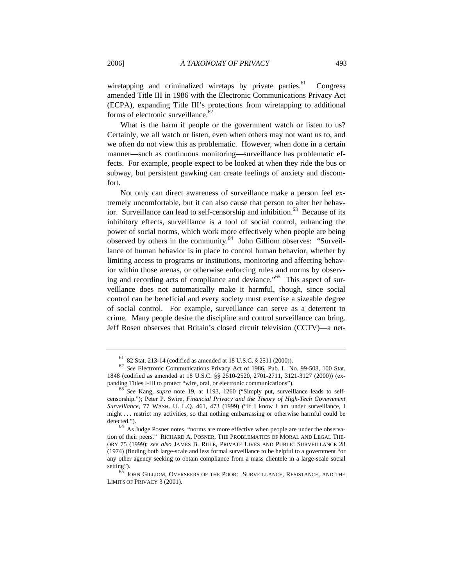wiretapping and criminalized wiretaps by private parties.<sup>61</sup> Congress amended Title III in 1986 with the Electronic Communications Privacy Act (ECPA), expanding Title III's protections from wiretapping to additional forms of electronic surveillance.<sup>62</sup>

What is the harm if people or the government watch or listen to us? Certainly, we all watch or listen, even when others may not want us to, and we often do not view this as problematic. However, when done in a certain manner—such as continuous monitoring—surveillance has problematic effects. For example, people expect to be looked at when they ride the bus or subway, but persistent gawking can create feelings of anxiety and discomfort.

Not only can direct awareness of surveillance make a person feel extremely uncomfortable, but it can also cause that person to alter her behavior. Surveillance can lead to self-censorship and inhibition.<sup>63</sup> Because of its inhibitory effects, surveillance is a tool of social control, enhancing the power of social norms, which work more effectively when people are being observed by others in the community.<sup>64</sup> John Gilliom observes: "Surveillance of human behavior is in place to control human behavior, whether by limiting access to programs or institutions, monitoring and affecting behavior within those arenas, or otherwise enforcing rules and norms by observing and recording acts of compliance and deviance."<sup>65</sup> This aspect of surveillance does not automatically make it harmful, though, since social control can be beneficial and every society must exercise a sizeable degree of social control. For example, surveillance can serve as a deterrent to crime. Many people desire the discipline and control surveillance can bring. Jeff Rosen observes that Britain's closed circuit television (CCTV)—a net-

<sup>61</sup> 82 Stat. 213-14 (codified as amended at 18 U.S.C. § 2511 (2000)). 62 *See* Electronic Communications Privacy Act of 1986, Pub. L. No. 99-508, 100 Stat. 1848 (codified as amended at 18 U.S.C. §§ 2510-2520, 2701-2711, 3121-3127 (2000)) (expanding Titles I-III to protect "wire, oral, or electronic communications"). 63 *See* Kang, *supra* note 19, at 1193, 1260 ("Simply put, surveillance leads to self-

censorship."); Peter P. Swire, *Financial Privacy and the Theory of High-Tech Government Surveillance*, 77 WASH. U. L.Q. 461, 473 (1999) ("If I know I am under surveillance, I might . . . restrict my activities, so that nothing embarrassing or otherwise harmful could be

detected.").<br><sup>64</sup> As Judge Posner notes, "norms are more effective when people are under the observation of their peers." RICHARD A. POSNER, THE PROBLEMATICS OF MORAL AND LEGAL THE-ORY 75 (1999); *see also* JAMES B. RULE, PRIVATE LIVES AND PUBLIC SURVEILLANCE 28 (1974) (finding both large-scale and less formal surveillance to be helpful to a government "or any other agency seeking to obtain compliance from a mass clientele in a large-scale social setting"). 65 JOHN GILLIOM, OVERSEERS OF THE POOR: SURVEILLANCE, RESISTANCE, AND THE

LIMITS OF PRIVACY 3 (2001).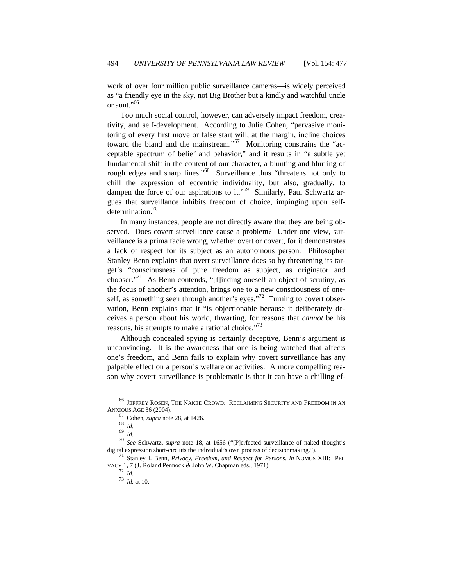work of over four million public surveillance cameras—is widely perceived as "a friendly eye in the sky, not Big Brother but a kindly and watchful uncle or aunt."<sup>66</sup>

Too much social control, however, can adversely impact freedom, creativity, and self-development. According to Julie Cohen, "pervasive monitoring of every first move or false start will, at the margin, incline choices toward the bland and the mainstream."<sup>67</sup> Monitoring constrains the "acceptable spectrum of belief and behavior," and it results in "a subtle yet fundamental shift in the content of our character, a blunting and blurring of rough edges and sharp lines."<sup>68</sup> Surveillance thus "threatens not only to chill the expression of eccentric individuality, but also, gradually, to dampen the force of our aspirations to it."<sup>69</sup> Similarly, Paul Schwartz argues that surveillance inhibits freedom of choice, impinging upon selfdetermination.<sup>70</sup>

In many instances, people are not directly aware that they are being observed. Does covert surveillance cause a problem? Under one view, surveillance is a prima facie wrong, whether overt or covert, for it demonstrates a lack of respect for its subject as an autonomous person. Philosopher Stanley Benn explains that overt surveillance does so by threatening its target's "consciousness of pure freedom as subject, as originator and chooser."<sup>71</sup> As Benn contends, "[f]inding oneself an object of scrutiny, as the focus of another's attention, brings one to a new consciousness of oneself, as something seen through another's eyes."<sup>72</sup> Turning to covert observation, Benn explains that it "is objectionable because it deliberately deceives a person about his world, thwarting, for reasons that *cannot* be his reasons, his attempts to make a rational choice."<sup>73</sup>

Although concealed spying is certainly deceptive, Benn's argument is unconvincing. It is the awareness that one is being watched that affects one's freedom, and Benn fails to explain why covert surveillance has any palpable effect on a person's welfare or activities. A more compelling reason why covert surveillance is problematic is that it can have a chilling ef-

<sup>66</sup> JEFFREY ROSEN, THE NAKED CROWD: RECLAIMING SECURITY AND FREEDOM IN AN

ANXIOUS AGE 36 (2004).<br>
<sup>67</sup> Cohen, *supra* note 28, at 1426.<br>
<sup>69</sup> *Id.*<br>
<sup>70</sup> *See* Schwartz, *supra* note 18, at 1656 ("[P]erfected surveillance of naked thought's digital expression short-circuits the individual's own process of decisionmaking."). 71 Stanley I. Benn, *Privacy, Freedom, and Respect for Person*s, *in* NOMOS XIII: PRI-

VACY 1, 7 (J. Roland Pennock & John W. Chapman eds., 1971).

 $73 \frac{\text{m}}{\text{l}d}$ . at 10.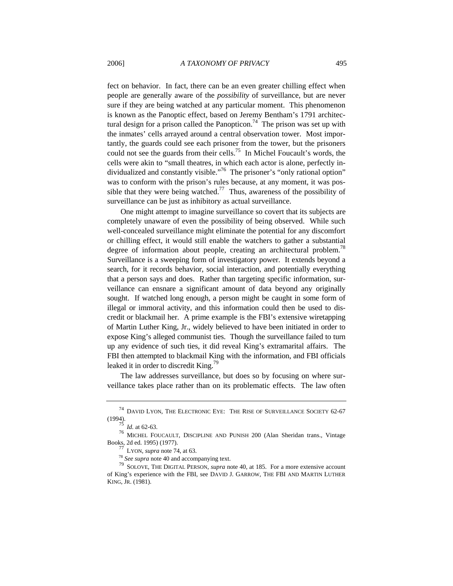fect on behavior. In fact, there can be an even greater chilling effect when people are generally aware of the *possibility* of surveillance, but are never sure if they are being watched at any particular moment. This phenomenon is known as the Panoptic effect, based on Jeremy Bentham's 1791 architectural design for a prison called the Panopticon.<sup>74</sup> The prison was set up with the inmates' cells arrayed around a central observation tower. Most importantly, the guards could see each prisoner from the tower, but the prisoners could not see the guards from their cells.<sup>75</sup> In Michel Foucault's words, the cells were akin to "small theatres, in which each actor is alone, perfectly individualized and constantly visible."<sup>76</sup> The prisoner's "only rational option" was to conform with the prison's rules because, at any moment, it was possible that they were being watched.<sup>77</sup> Thus, awareness of the possibility of surveillance can be just as inhibitory as actual surveillance.

One might attempt to imagine surveillance so covert that its subjects are completely unaware of even the possibility of being observed. While such well-concealed surveillance might eliminate the potential for any discomfort or chilling effect, it would still enable the watchers to gather a substantial degree of information about people, creating an architectural problem.<sup>78</sup> Surveillance is a sweeping form of investigatory power. It extends beyond a search, for it records behavior, social interaction, and potentially everything that a person says and does. Rather than targeting specific information, surveillance can ensnare a significant amount of data beyond any originally sought. If watched long enough, a person might be caught in some form of illegal or immoral activity, and this information could then be used to discredit or blackmail her. A prime example is the FBI's extensive wiretapping of Martin Luther King, Jr., widely believed to have been initiated in order to expose King's alleged communist ties. Though the surveillance failed to turn up any evidence of such ties, it did reveal King's extramarital affairs. The FBI then attempted to blackmail King with the information, and FBI officials leaked it in order to discredit King.<sup>79</sup>

The law addresses surveillance, but does so by focusing on where surveillance takes place rather than on its problematic effects. The law often

<sup>&</sup>lt;sup>74</sup> DAVID LYON, THE ELECTRONIC EYE: THE RISE OF SURVEILLANCE SOCIETY 62-67<br>(1994).<br> $75$  *Id.* at 62-63.

<sup>&</sup>lt;sup>76</sup> MICHEL FOUCAULT, DISCIPLINE AND PUNISH 200 (Alan Sheridan trans., Vintage Books, 2d ed. 1995) (1977).

<sup>&</sup>lt;sup>77</sup> LYON, *supra* note 74, at 63.<br><sup>78</sup> *See supra* note 40 and accompanying text.<br><sup>79</sup> SOLOVE, THE DIGITAL PERSON, *supra* note 40, at 185. For a more extensive account of King's experience with the FBI, see DAVID J. GARROW, THE FBI AND MARTIN LUTHER KING, JR. (1981).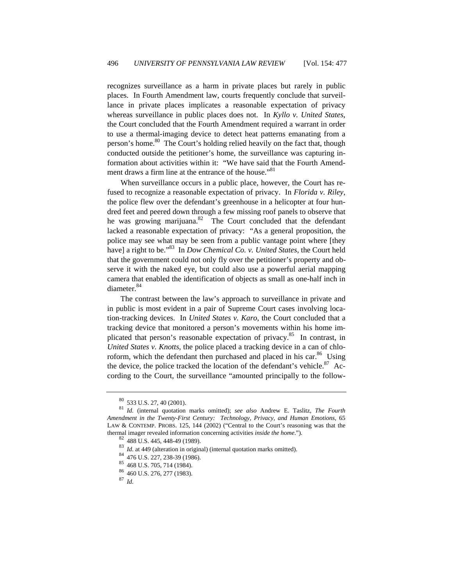recognizes surveillance as a harm in private places but rarely in public places. In Fourth Amendment law, courts frequently conclude that surveillance in private places implicates a reasonable expectation of privacy whereas surveillance in public places does not. In *Kyllo v. United States*, the Court concluded that the Fourth Amendment required a warrant in order to use a thermal-imaging device to detect heat patterns emanating from a person's home.<sup>80</sup> The Court's holding relied heavily on the fact that, though conducted outside the petitioner's home, the surveillance was capturing information about activities within it: "We have said that the Fourth Amendment draws a firm line at the entrance of the house."<sup>81</sup>

When surveillance occurs in a public place, however, the Court has refused to recognize a reasonable expectation of privacy. In *Florida v. Riley*, the police flew over the defendant's greenhouse in a helicopter at four hundred feet and peered down through a few missing roof panels to observe that he was growing marijuana. $82$  The Court concluded that the defendant lacked a reasonable expectation of privacy: "As a general proposition, the police may see what may be seen from a public vantage point where [they have] a right to be."<sup>83</sup> In *Dow Chemical Co. v. United States*, the Court held that the government could not only fly over the petitioner's property and observe it with the naked eye, but could also use a powerful aerial mapping camera that enabled the identification of objects as small as one-half inch in diameter.<sup>84</sup>

The contrast between the law's approach to surveillance in private and in public is most evident in a pair of Supreme Court cases involving location-tracking devices. In *United States v. Karo*, the Court concluded that a tracking device that monitored a person's movements within his home implicated that person's reasonable expectation of privacy.<sup>85</sup> In contrast, in *United States v. Knotts*, the police placed a tracking device in a can of chloroform, which the defendant then purchased and placed in his car. $86$  Using the device, the police tracked the location of the defendant's vehicle.<sup>87</sup> According to the Court, the surveillance "amounted principally to the follow-

<sup>80</sup> 533 U.S. 27, 40 (2001). 81 *Id.* (internal quotation marks omitted); *see also* Andrew E. Taslitz, *The Fourth Amendment in the Twenty-First Century: Technology, Privacy, and Human Emotions*, 65 LAW & CONTEMP. PROBS. 125, 144 (2002) ("Central to the Court's reasoning was that the thermal imager revealed information concerning activities *inside the home.*").<br><sup>82</sup> 488 U.S. 445, 448-49 (1989).<br><sup>83</sup> *Id.* at 449 (alteration in original) (internal quotation marks omitted).<br><sup>84</sup> 476 U.S. 227, 238-39 (1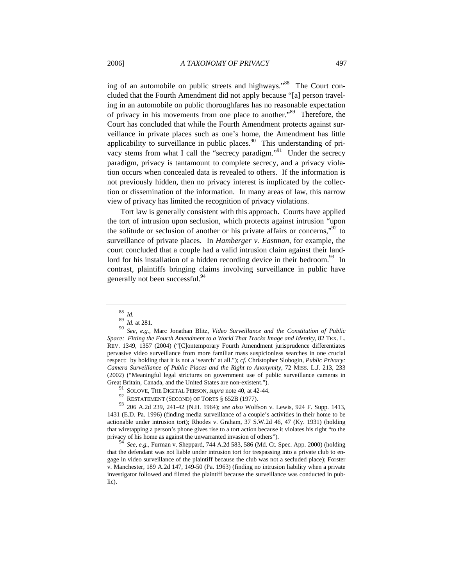ing of an automobile on public streets and highways."<sup>88</sup> The Court concluded that the Fourth Amendment did not apply because "[a] person traveling in an automobile on public thoroughfares has no reasonable expectation of privacy in his movements from one place to another.["89](#page-20-1) Therefore, the Court has concluded that while the Fourth Amendment protects against surveillance in private places such as one's home, the Amendment has little applicability to surveillance in public places.  $90$  This understanding of privacy stems from what I call the "secrecy paradigm."<sup>91</sup> Under the secrecy paradigm, privacy is tantamount to complete secrecy, and a privacy violation occurs when concealed data is revealed to others. If the information is not previously hidden, then no privacy interest is implicated by the collection or dissemination of the information. In many areas of law, this narrow view of privacy has limited the recognition of privacy violations.

Tort law is generally consistent with this approach. Courts have applied the tort of intrusion upon seclusion, which protects against intrusion "upon the solitude or seclusion of another or his private affairs or concerns,  $192$  to surveillance of private places. In *Hamberger v. Eastman*, for example, the court concluded that a couple had a valid intrusion claim against their landlord for his installation of a hidden recording device in their bedroom.<sup>93</sup> In contrast, plaintiffs bringing claims involving surveillance in public have generally not been successful.<sup>94</sup>

<span id="page-20-5"></span><span id="page-20-4"></span><sup>93</sup> 206 A.2d 239, 241-42 (N.H. 1964); *see also* Wolfson v. Lewis, 924 F. Supp. 1413, 1431 (E.D. Pa. 1996) (finding media surveillance of a couple's activities in their home to be actionable under intrusion tort); Rhodes v. Graham, 37 S.W.2d 46, 47 (Ky. 1931) (holding that wiretapping a person's phone gives rise to a tort action because it violates his right "to the privacy of his home as against the unwarranted invasion of others").

<span id="page-20-6"></span><sup>94</sup> *See, e.g.*, Furman v. Sheppard, 744 A.2d 583, 586 (Md. Ct. Spec. App. 2000) (holding that the defendant was not liable under intrusion tort for trespassing into a private club to engage in video surveillance of the plaintiff because the club was not a secluded place); Forster v. Manchester, 189 A.2d 147, 149-50 (Pa. 1963) (finding no intrusion liability when a private investigator followed and filmed the plaintiff because the surveillance was conducted in public).

<span id="page-20-0"></span><sup>88</sup> *Id.*

<sup>89</sup> *Id.* at 281.

<span id="page-20-2"></span><span id="page-20-1"></span><sup>90</sup> *See, e.g.*, Marc Jonathan Blitz, *Video Surveillance and the Constitution of Public Space: Fitting the Fourth Amendment to a World That Tracks Image and Identity*, 82 TEX. L. REV. 1349, 1357 (2004) ("[C]ontemporary Fourth Amendment jurisprudence differentiates pervasive video surveillance from more familiar mass suspicionless searches in one crucial respect: by holding that it is not a 'search' at all."); *cf.* Christopher Slobogin, *Public Privacy: Camera Surveillance of Public Places and the Right to Anonymity*, 72 MISS. L.J. 213, 233 (2002) ("Meaningful legal strictures on government use of public surveillance cameras in Great Britain, Canada, and the United States are non-existent.").

<span id="page-20-3"></span><sup>91</sup> SOLOVE, THE DIGITAL PERSON, *supra* note 40, at 42-44.

 $^{92}$  RESTATEMENT (SECOND) OF TORTS  $\,$  652B (1977).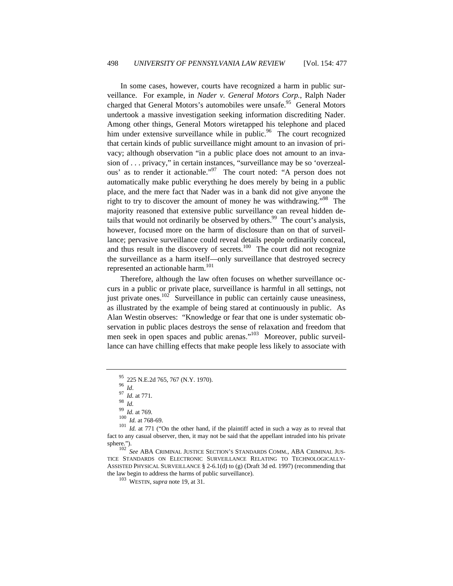In some cases, however, courts have recognized a harm in public surveillance. For example, in *Nader v. General Motors Corp.*, Ralph Nader charged that General Motors's automobiles were unsafe.<sup>95</sup> General Motors undertook a massive investigation seeking information discrediting Nader. Among other things, General Motors wiretapped his telephone and placed him under extensive surveillance while in public.<sup>96</sup> The court recognized that certain kinds of public surveillance might amount to an invasion of privacy; although observation "in a public place does not amount to an invasion of . . . privacy," in certain instances, "surveillance may be so 'overzealous' as to render it actionable."<sup>97</sup> The court noted: "A person does not automatically make public everything he does merely by being in a public place, and the mere fact that Nader was in a bank did not give anyone the right to try to discover the amount of money he was withdrawing.<sup>"98</sup> The majority reasoned that extensive public surveillance can reveal hidden details that would not ordinarily be observed by others.<sup>99</sup> The court's analysis, however, focused more on the harm of disclosure than on that of surveillance; pervasive surveillance could reveal details people ordinarily conceal, and thus result in the discovery of secrets.<sup>100</sup> The court did not recognize the surveillance as a harm itself—only surveillance that destroyed secrecy represented an actionable harm.<sup>[101](#page-21-6)</sup>

Therefore, although the law often focuses on whether surveillance occurs in a public or private place, surveillance is harmful in all settings, not just private ones.<sup>102</sup> Surveillance in public can certainly cause uneasiness, as illustrated by the example of being stared at continuously in public. As Alan Westin observes: "Knowledge or fear that one is under systematic observation in public places destroys the sense of relaxation and freedom that men seek in open spaces and public arenas."<sup>103</sup> Moreover, public surveillance can have chilling effects that make people less likely to associate with

<span id="page-21-7"></span>TICE STANDARDS ON ELECTRONIC SURVEILLANCE RELATING TO TECHNOLOGICALLY-ASSISTED PHYSICAL SURVEILLANCE  $\S$  2-6.1(d) to (g) (Draft 3d ed. 1997) (recommending that the law begin to address the harms of public surveillance). 103 WESTIN, *supra* note 19, at 31.

<span id="page-21-8"></span>

<span id="page-21-0"></span><sup>95 225</sup> N.E.2d 765, 767 (N.Y. 1970).<br>96 *Id.*<br>97 *Id.* at 771.<br>98 *Id* 

<span id="page-21-1"></span>

<span id="page-21-2"></span>

<span id="page-21-6"></span>

<span id="page-21-5"></span><span id="page-21-4"></span><span id="page-21-3"></span><sup>&</sup>lt;sup>99</sup> *Id.* at 769. <sup>100</sup> *Id.* at 768-69. <sup>100</sup> *Id.* at 771 ("On the other hand, if the plaintiff acted in such a way as to reveal that fact to any casual observer, then, it may not be said that the appellant intruded into his private sphere."). <sup>102</sup> *See* ABA CRIMINAL JUSTICE SECTION'S STANDARDS COMM., ABA CRIMINAL JUS-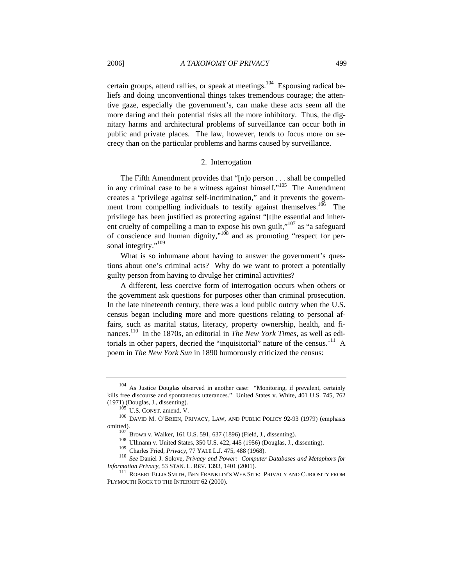certain groups, attend rallies, or speak at meetings.<sup>104</sup> Espousing radical beliefs and doing unconventional things takes tremendous courage; the attentive gaze, especially the government's, can make these acts seem all the more daring and their potential risks all the more inhibitory. Thus, the dignitary harms and architectural problems of surveillance can occur both in public and private places. The law, however, tends to focus more on secrecy than on the particular problems and harms caused by surveillance.

## 2. Interrogation

The Fifth Amendment provides that "[n]o person . . . shall be compelled in any criminal case to be a witness against himself."<sup>105</sup> The Amendment creates a "privilege against self-incrimination," and it prevents the government from compelling individuals to testify against themselves.<sup>106</sup> The privilege has been justified as protecting against "[t]he essential and inherent cruelty of compelling a man to expose his own guilt," $107$  as "a safeguard of conscience and human dignity,["108](#page-22-4) and as promoting "respect for per-sonal integrity."<sup>[109](#page-22-5)</sup>

What is so inhumane about having to answer the government's questions about one's criminal acts? Why do we want to protect a potentially guilty person from having to divulge her criminal activities?

A different, less coercive form of interrogation occurs when others or the government ask questions for purposes other than criminal prosecution. In the late nineteenth century, there was a loud public outcry when the U.S. census began including more and more questions relating to personal affairs, such as marital status, literacy, property ownership, health, and finances. [110](#page-22-6) In the 1870s, an editorial in *The New York Times*, as well as editorials in other papers, decried the "inquisitorial" nature of the census.<sup>111</sup> A poem in *The New York Sun* in 1890 humorously criticized the census:

<span id="page-22-0"></span><sup>104</sup> As Justice Douglas observed in another case: "Monitoring, if prevalent, certainly kills free discourse and spontaneous utterances." United States v. White, 401 U.S. 745, 762 (1971) (Douglas, J., dissenting).

<span id="page-22-2"></span><span id="page-22-1"></span><sup>165</sup> U.S. CONST. amend. V.<br><sup>106</sup> DAVID M. O'BRIEN, PRIVACY, LAW, AND PUBLIC POLICY 92-93 (1979) (emphasis omitted).<br><sup>107</sup> Brown v. Walker, 161 U.S. 591, 637 (1896) (Field, J., dissenting).<br><sup>108</sup> Ullmann v. United States, 350 U.S. 422, 445 (1956) (Douglas, J., dissenting).<br><sup>109</sup> Charles Fried, *Privacy*, 77 YALE L.J. 475, 488 (

<span id="page-22-3"></span>

<span id="page-22-4"></span>

<span id="page-22-6"></span><span id="page-22-5"></span><sup>&</sup>lt;sup>110</sup> See Daniel J. Solove, Privacy and Power: Computer Databases and Metaphors for *Information Privacy*, 53 STAN. L. REV. 1393, 1401 (2001).<br><sup>111</sup> ROBERT ELLIS SMITH, BEN FRANKLIN'S WEB SITE: PRIVACY AND CURIOSITY FROM

<span id="page-22-7"></span>PLYMOUTH ROCK TO THE INTERNET 62 (2000).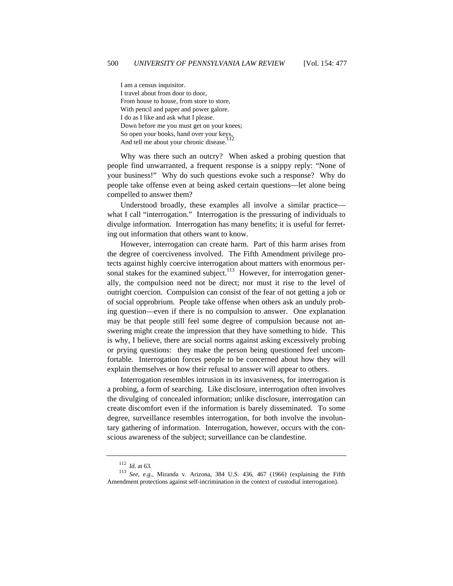I am a census inquisitor. I travel about from door to door, From house to house, from store to store, With pencil and paper and power galore. I do as I like and ask what I please. Down before me you must get on your knees; So open your books, hand over your keys,

And tell me about your chronic disease[.](#page-23-0)

Why was there such an outcry? When asked a probing question that people find unwarranted, a frequent response is a snippy reply: "None of your business!" Why do such questions evoke such a response? Why do people take offense even at being asked certain questions—let alone being compelled to answer them?

Understood broadly, these examples all involve a similar practice what I call "interrogation." Interrogation is the pressuring of individuals to divulge information. Interrogation has many benefits; it is useful for ferreting out information that others want to know.

However, interrogation can create harm. Part of this harm arises from the degree of coerciveness involved. The Fifth Amendment privilege protects against highly coercive interrogation about matters with enormous personal stakes for the examined subject. $113$  However, for interrogation generally, the compulsion need not be direct; nor must it rise to the level of outright coercion. Compulsion can consist of the fear of not getting a job or of social opprobrium. People take offense when others ask an unduly probing question—even if there is no compulsion to answer. One explanation may be that people still feel some degree of compulsion because not answering might create the impression that they have something to hide. This is why, I believe, there are social norms against asking excessively probing or prying questions: they make the person being questioned feel uncomfortable. Interrogation forces people to be concerned about how they will explain themselves or how their refusal to answer will appear to others.

Interrogation resembles intrusion in its invasiveness, for interrogation is a probing, a form of searching. Like disclosure, interrogation often involves the divulging of concealed information; unlike disclosure, interrogation can create discomfort even if the information is barely disseminated. To some degree, surveillance resembles interrogation, for both involve the involuntary gathering of information. Interrogation, however, occurs with the conscious awareness of the subject; surveillance can be clandestine.

<span id="page-23-1"></span><span id="page-23-0"></span><sup>112</sup> *Id.* at 63. 113 *See, e.g.*, Miranda v. Arizona, 384 U.S. 436, 467 (1966) (explaining the Fifth Amendment protections against self-incrimination in the context of custodial interrogation).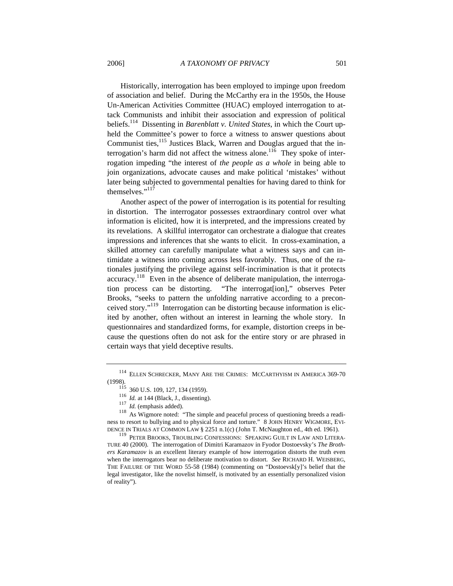Historically, interrogation has been employed to impinge upon freedom of association and belief. During the McCarthy era in the 1950s, the House Un-American Activities Committee (HUAC) employed interrogation to attack Communists and inhibit their association and expression of political beliefs[.114](#page-24-0) Dissenting in *Barenblatt v. United States*, in which the Court upheld the Committee's power to force a witness to answer questions about Communist ties,<sup>115</sup> Justices Black, Warren and Douglas argued that the interrogation's harm did not affect the witness alone.<sup>116</sup> They spoke of interrogation impeding "the interest of *the people as a whole* in being able to join organizations, advocate causes and make political 'mistakes' without later being subjected to governmental penalties for having dared to think for themselves."<sup>117</sup>

Another aspect of the power of interrogation is its potential for resulting in distortion. The interrogator possesses extraordinary control over what information is elicited, how it is interpreted, and the impressions created by its revelations. A skillful interrogator can orchestrate a dialogue that creates impressions and inferences that she wants to elicit. In cross-examination, a skilled attorney can carefully manipulate what a witness says and can intimidate a witness into coming across less favorably. Thus, one of the rationales justifying the privilege against self-incrimination is that it protects accuracy.<sup>118</sup> Even in the absence of deliberate manipulation, the interrogation process can be distorting. "The interrogat[ion]," observes Peter Brooks, "seeks to pattern the unfolding narrative according to a preconceived story.["119](#page-24-5) Interrogation can be distorting because information is elicited by another, often without an interest in learning the whole story. In questionnaires and standardized forms, for example, distortion creeps in because the questions often do not ask for the entire story or are phrased in certain ways that yield deceptive results.

<span id="page-24-0"></span> $^{114}$  ELLEN SCHRECKER, MANY ARE THE CRIMES: MCCARTHYISM IN AMERICA 369-70 (1998).  $^{115}$  360 U.S. 109, 127, 134 (1959).

<span id="page-24-4"></span>

<span id="page-24-3"></span><span id="page-24-2"></span><span id="page-24-1"></span><sup>116</sup> *Id.* at 144 (Black, J., dissenting).<br>
<sup>117</sup> *Id.* (emphasis added).<br>
<sup>118</sup> As Wigmore noted: "The simple and peaceful process of questioning breeds a readi-<br>
<sup>118</sup> As Wigmore noted: "The simple and peaceful process of ness to resort to bullying and to physical force and torture." 8 JOHN HENRY WIGMORE, EVI-DENCE IN TRIALS AT COMMON LAW § 2251 n.1(c) (John T. McNaughton ed., 4th ed. 1961).

<span id="page-24-5"></span><sup>&</sup>lt;sup>119</sup> PETER BROOKS, TROUBLING CONFESSIONS: SPEAKING GUILT IN LAW AND LITERA-TURE 40 (2000). The interrogation of Dimitri Karamazov in Fyodor Dostoevsky's *The Brothers Karamazov* is an excellent literary example of how interrogation distorts the truth even when the interrogators bear no deliberate motivation to distort. *See* RICHARD H. WEISBERG, THE FAILURE OF THE WORD 55-58 (1984) (commenting on "Dostoevsk[y]'s belief that the legal investigator, like the novelist himself, is motivated by an essentially personalized vision of reality").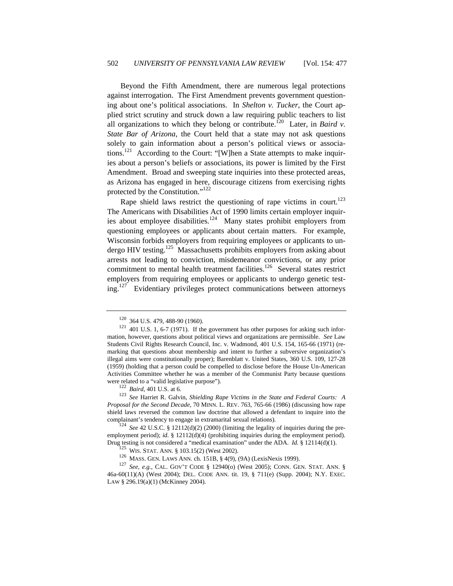Beyond the Fifth Amendment, there are numerous legal protections against interrogation. The First Amendment prevents government questioning about one's political associations. In *Shelton v. Tucker*, the Court applied strict scrutiny and struck down a law requiring public teachers to list all organizations to which they belong or contribute.<sup>120</sup> Later, in *Baird v*. *State Bar of Arizona*, the Court held that a state may not ask questions solely to gain information about a person's political views or associations.<sup>121</sup> According to the Court: "[W]hen a State attempts to make inquiries about a person's beliefs or associations, its power is limited by the First Amendment. Broad and sweeping state inquiries into these protected areas, as Arizona has engaged in here, discourage citizens from exercising rights protected by the Constitution."<sup>122</sup>

Rape shield laws restrict the questioning of rape victims in court.<sup>123</sup> The Americans with Disabilities Act of 1990 limits certain employer inquiries about employee disabilities.<sup>124</sup> Many states prohibit employers from questioning employees or applicants about certain matters. For example, Wisconsin forbids employers from requiring employees or applicants to undergo HIV testing.<sup>125</sup> Massachusetts prohibits employers from asking about arrests not leading to conviction, misdemeanor convictions, or any prior commitment to mental health treatment facilities.<sup>126</sup> Several states restrict employers from requiring employees or applicants to undergo genetic testing.<sup>127</sup> Evidentiary privileges protect communications between attorneys

<span id="page-25-1"></span><span id="page-25-0"></span><sup>&</sup>lt;sup>120</sup> 364 U.S. 479, 488-90 (1960). 121 401 U.S. 1, 6-7 (1971). If the government has other purposes for asking such information, however, questions about political views and organizations are permissible. *See* Law Students Civil Rights Research Council, Inc. v. Wadmond, 401 U.S. 154, 165-66 (1971) (remarking that questions about membership and intent to further a subversive organization's illegal aims were constitutionally proper); Barenblatt v. United States, 360 U.S. 109, 127-28 (1959) (holding that a person could be compelled to disclose before the House Un-American Activities Committee whether he was a member of the Communist Party because questions

<span id="page-25-3"></span>

<span id="page-25-2"></span>were related to a "valid legislative purpose").<br><sup>122</sup> *Baird*, 401 U.S. at 6. <sup>123</sup> *See* Harriet R. Galvin, *Shielding Rape Victims in the State and Federal Courts: A Proposal for the Second Decade*, 70 MINN. L. REV. 763, 765-66 (1986) (discussing how rape shield laws reversed the common law doctrine that allowed a defendant to inquire into the

<span id="page-25-4"></span>complainant's tendency to engage in extramarital sexual relations). 124 *See* 42 U.S.C. § 12112(d)(2) (2000) (limiting the legality of inquiries during the preemployment period); *id.* § 12112(d)(4) (prohibiting inquiries during the employment period).<br>Drug testing is not considered a "medical examination" under the ADA. *Id.* § 12114(d)(1).

<span id="page-25-7"></span><span id="page-25-6"></span><span id="page-25-5"></span><sup>&</sup>lt;sup>125</sup> WIS. STAT. ANN. § 103.15(2) (West 2002).<br><sup>126</sup> MASS. GEN. LAWS ANN. ch. 151B, § 4(9), (9A) (LexisNexis 1999).<br><sup>127</sup> *See, e.g., CAL. GOV*'T CODE § 12940(0) (West 2005); CONN. GEN. STAT. ANN. § 46a-60(11)(A) (West 2004); DEL. CODE ANN. tit. 19, § 711(e) (Supp. 2004); N.Y. EXEC. LAW § 296.19(a)(1) (McKinney 2004).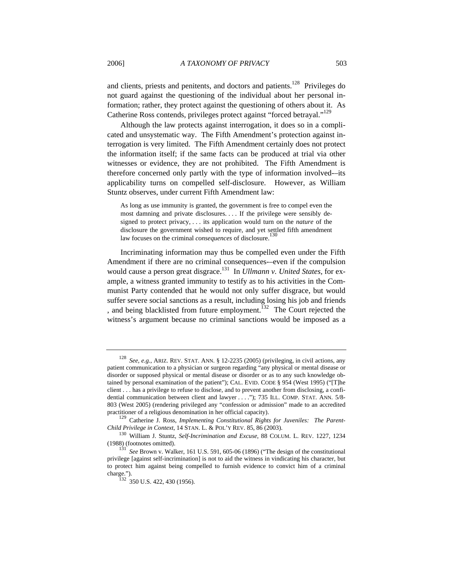and clients, priests and penitents, and doctors and patients.<sup>128</sup> Privileges do not guard against the questioning of the individual about her personal information; rather, they protect against the questioning of others about it. As Catherine Ross contends, privileges protect against "forced betrayal."<sup>129</sup>

Although the law protects against interrogation, it does so in a complicated and unsystematic way. The Fifth Amendment's protection against interrogation is very limited. The Fifth Amendment certainly does not protect the information itself; if the same facts can be produced at trial via other witnesses or evidence, they are not prohibited. The Fifth Amendment is therefore concerned only partly with the type of information involved-–its applicability turns on compelled self-disclosure. However, as William Stuntz observes, under current Fifth Amendment law:

As long as use immunity is granted, the government is free to compel even the most damning and private disclosures. . . . If the privilege were sensibly designed to protect privacy, . . . its application would turn on the *nature* of the disclosure the government wished to require, and yet settled fifth amendment lawfocuses on the criminal *consequences* of disclosure.<sup>130</sup>

Incriminating information may thus be compelled even under the Fifth Amendment if there are no criminal consequences-–even if the compulsion would cause a person great disgrace.<sup>131</sup> In *Ullmann v. United States*, for example, a witness granted immunity to testify as to his activities in the Communist Party contended that he would not only suffer disgrace, but would suffer severe social sanctions as a result, including losing his job and friends , and being blacklisted from future employment.<sup>132</sup> The Court rejected the witness's argument because no criminal sanctions would be imposed as a

<span id="page-26-0"></span><sup>128</sup> *See, e.g.*, ARIZ. REV. STAT. ANN. § 12-2235 (2005) (privileging, in civil actions, any patient communication to a physician or surgeon regarding "any physical or mental disease or disorder or supposed physical or mental disease or disorder or as to any such knowledge obtained by personal examination of the patient"); CAL. EVID. CODE § 954 (West 1995) ("[T]he client . . . has a privilege to refuse to disclose, and to prevent another from disclosing, a confidential communication between client and lawyer . . . ."); 735 ILL. COMP. STAT. ANN. 5/8-803 (West 2005) (rendering privileged any "confession or admission" made to an accredited practitioner of a religious denomination in her official capacity).

<span id="page-26-1"></span>Catherine J. Ross, *Implementing Constitutional Rights for Juveniles: The Parent-*

<span id="page-26-2"></span>*Child Privilege in Context*, 14 STAN. L. & POL'Y REV. 85, 86 (2003).<br><sup>130</sup> William J. Stuntz, *Self-Incrimination and Excuse*, 88 COLUM. L. REV. 1227, 1234<br>(1988) (footnotes omitted).<br><sup>131</sup> See Brown v. Walkar, 161 U.S. 5

<span id="page-26-3"></span>See Brown v. Walker, 161 U.S. 591, 605-06 (1896) ("The design of the constitutional privilege [against self-incrimination] is not to aid the witness in vindicating his character, but to protect him against being compelled to furnish evidence to convict him of a criminal charge.").<br>  $^{132}$  350 U.S. 422, 430 (1956).

<span id="page-26-4"></span>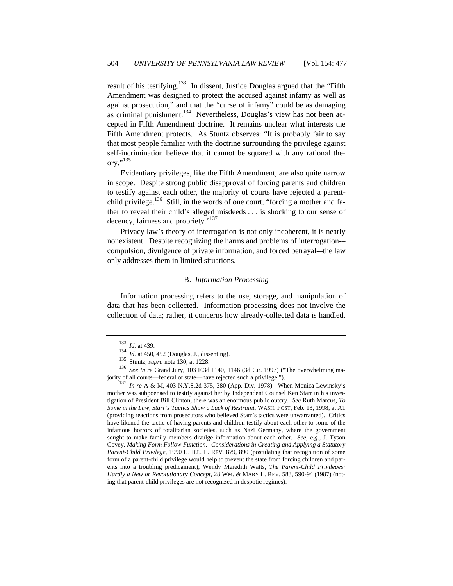result of his testifying.<sup>133</sup> In dissent, Justice Douglas argued that the "Fifth" Amendment was designed to protect the accused against infamy as well as against prosecution," and that the "curse of infamy" could be as damaging as criminal punishment.<sup>134</sup> Nevertheless, Douglas's view has not been accepted in Fifth Amendment doctrine. It remains unclear what interests the Fifth Amendment protects. As Stuntz observes: "It is probably fair to say that most people familiar with the doctrine surrounding the privilege against self-incrimination believe that it cannot be squared with any rational theory."[135](#page-27-2)

Evidentiary privileges, like the Fifth Amendment, are also quite narrow in scope. Despite strong public disapproval of forcing parents and children to testify against each other, the majority of courts have rejected a parentchild privilege.<sup>136</sup> Still, in the words of one court, "forcing a mother and father to reveal their child's alleged misdeeds . . . is shocking to our sense of decency, fairness and propriety."<sup>137</sup>

Privacy law's theory of interrogation is not only incoherent, it is nearly nonexistent. Despite recognizing the harms and problems of interrogation-– compulsion, divulgence of private information, and forced betrayal-–the law only addresses them in limited situations.

## B. *Information Processing*

Information processing refers to the use, storage, and manipulation of data that has been collected. Information processing does not involve the collection of data; rather, it concerns how already-collected data is handled.

<span id="page-27-2"></span>

<span id="page-27-1"></span><span id="page-27-0"></span><sup>&</sup>lt;sup>133</sup> *Id.* at 439.<br><sup>134</sup> *Id.* at 450, 452 (Douglas, J., dissenting).<br><sup>135</sup> Stuntz, *supra* note 130, at 1228.<br><sup>136</sup> *See In re* Grand Jury, 103 F.3d 1140, 1146 (3d Cir. 1997) ("The overwhelming ma-<br>jority of all courts—f

<span id="page-27-4"></span><span id="page-27-3"></span> $^{137}$  *In re* A & M, 403 N.Y.S.2d 375, 380 (App. Div. 1978). When Monica Lewinsky's mother was subpoenaed to testify against her by Independent Counsel Ken Starr in his investigation of President Bill Clinton, there was an enormous public outcry. *See* Ruth Marcus, *To Some in the Law, Starr's Tactics Show a Lack of Restraint*, WASH. POST, Feb. 13, 1998, at A1 (providing reactions from prosecutors who believed Starr's tactics were unwarranted). Critics have likened the tactic of having parents and children testify about each other to some of the infamous horrors of totalitarian societies, such as Nazi Germany, where the government sought to make family members divulge information about each other. *See, e.g.*, J. Tyson Covey, *Making Form Follow Function: Considerations in Creating and Applying a Statutory Parent-Child Privilege*, 1990 U. ILL. L. REV. 879, 890 (postulating that recognition of some form of a parent-child privilege would help to prevent the state from forcing children and parents into a troubling predicament); Wendy Meredith Watts, *The Parent-Child Privileges: Hardly a New or Revolutionary Concept*, 28 WM. & MARY L. REV. 583, 590-94 (1987) (noting that parent-child privileges are not recognized in despotic regimes).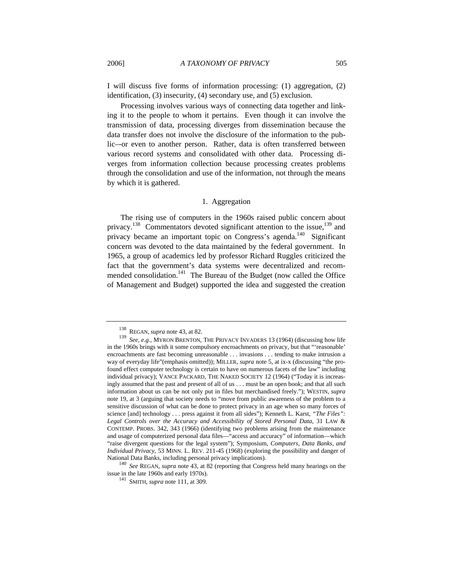I will discuss five forms of information processing: (1) aggregation, (2) identification, (3) insecurity, (4) secondary use, and (5) exclusion.

Processing involves various ways of connecting data together and linking it to the people to whom it pertains. Even though it can involve the transmission of data, processing diverges from dissemination because the data transfer does not involve the disclosure of the information to the public–-or even to another person. Rather, data is often transferred between various record systems and consolidated with other data. Processing diverges from information collection because processing creates problems through the consolidation and use of the information, not through the means by which it is gathered.

## 1. Aggregation

The rising use of computers in the 1960s raised public concern about privacy.<sup>138</sup> Commentators devoted significant attention to the issue,  $139$  and privacy became an important topic on Congress's agenda.<sup>140</sup> Significant concern was devoted to the data maintained by the federal government. In 1965, a group of academics led by professor Richard Ruggles criticized the fact that the government's data systems were decentralized and recommended consolidation.<sup>141</sup> The Bureau of the Budget (now called the Office of Management and Budget) supported the idea and suggested the creation

<span id="page-28-2"></span>National Data Banks, including personal privacy implications). 140 *See* REGAN, *supra* note 43, at 82 (reporting that Congress held many hearings on the issue in the late 1960s and early 1970s). 141 SMITH, *supra* note 111, at 309.

<sup>138</sup> REGAN, *supra* note 43, at 82.

<span id="page-28-1"></span><span id="page-28-0"></span><sup>&</sup>lt;sup>139</sup> *See, e.g.*, MYRON BRENTON, THE PRIVACY INVADERS 13 (1964) (discussing how life in the 1960s brings with it some compulsory encroachments on privacy, but that "'reasonable' encroachments are fast becoming unreasonable . . . invasions . . . tending to make intrusion a way of everyday life"(emphasis omitted)); MILLER, *supra* note 5, at ix-x (discussing "the profound effect computer technology is certain to have on numerous facets of the law" including individual privacy); VANCE PACKARD, THE NAKED SOCIETY 12 (1964) ("Today it is increasingly assumed that the past and present of all of us . . . must be an open book; and that all such information about us can be not only put in files but merchandised freely."); WESTIN, *supra* note 19, at 3 (arguing that society needs to "move from public awareness of the problem to a sensitive discussion of what can be done to protect privacy in an age when so many forces of science [and] technology . . . press against it from all sides"); Kenneth L. Karst, *"The Files": Legal Controls over the Accuracy and Accessibility of Stored Personal Data*, 31 LAW & CONTEMP. PROBS. 342, 343 (1966) (identifying two problems arising from the maintenance and usage of computerized personal data files—"access and accuracy" of information—which "raise divergent questions for the legal system"); Symposium, *Computers, Data Banks, and Individual Privacy*, 53 MINN. L. REV. 211-45 (1968) (exploring the possibility and danger of

<span id="page-28-3"></span>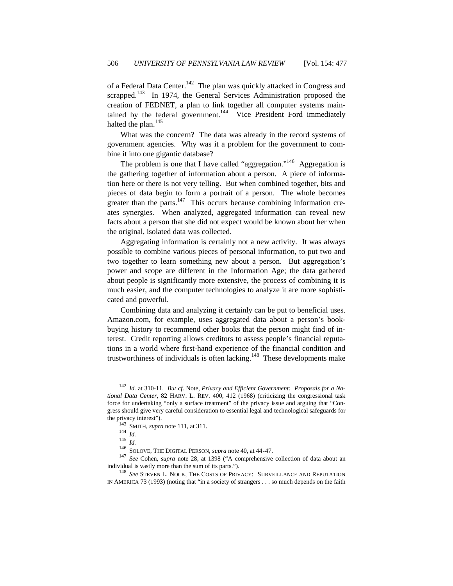<span id="page-29-6"></span>of a Federal Data Center.<sup>142</sup> The plan was quickly attacked in Congress and scrapped.<sup>143</sup> In 1974, the General Services Administration proposed the creation of FEDNET, a plan to link together all computer systems maintained by the federal government.<sup>144</sup> Vice President Ford immediately halted the plan. $145$ 

What was the concern? The data was already in the record systems of government agencies. Why was it a problem for the government to combine it into one gigantic database?

The problem is one that I have called "aggregation."<sup>146</sup> Aggregation is the gathering together of information about a person. A piece of information here or there is not very telling. But when combined together, bits and pieces of data begin to form a portrait of a person. The whole becomes greater than the parts. $147$  This occurs because combining information creates synergies. When analyzed, aggregated information can reveal new facts about a person that she did not expect would be known about her when the original, isolated data was collected.

Aggregating information is certainly not a new activity. It was always possible to combine various pieces of personal information, to put two and two together to learn something new about a person. But aggregation's power and scope are different in the Information Age; the data gathered about people is significantly more extensive, the process of combining it is much easier, and the computer technologies to analyze it are more sophisticated and powerful.

Combining data and analyzing it certainly can be put to beneficial uses. Amazon.com, for example, uses aggregated data about a person's bookbuying history to recommend other books that the person might find of interest. Credit reporting allows creditors to assess people's financial reputations in a world where first-hand experience of the financial condition and trustworthiness of individuals is often lacking.<sup>148</sup> These developments make

<span id="page-29-0"></span><sup>142</sup> *Id.* at 310-11. *But cf.* Note, *Privacy and Efficient Government: Proposals for a National Data Center*, 82 HARV. L. REV. 400, 412 (1968) (criticizing the congressional task force for undertaking "only a surface treatment" of the privacy issue and arguing that "Congress should give very careful consideration to essential legal and technological safeguards for

<span id="page-29-3"></span><span id="page-29-2"></span>

<span id="page-29-5"></span><span id="page-29-4"></span>

<span id="page-29-1"></span>the privacy interest").<br>
<sup>143</sup> SMITH, *supra* note 111, at 311.<br>
<sup>144</sup> Id.<br>
<sup>145</sup> M.<br>
<sup>146</sup> SOLOVE, THE DIGITAL PERSON, *supra* note 40, at 44-47.<br>
<sup>147</sup> See Cohen, *supra* note 28, at 1398 ("A comprehensive collection of individual is vastly more than the sum of its parts."). 148 *See* STEVEN L. NOCK, THE COSTS OF PRIVACY: SURVEILLANCE AND REPUTATION

IN AMERICA 73 (1993) (noting that "in a society of strangers . . . so much depends on the faith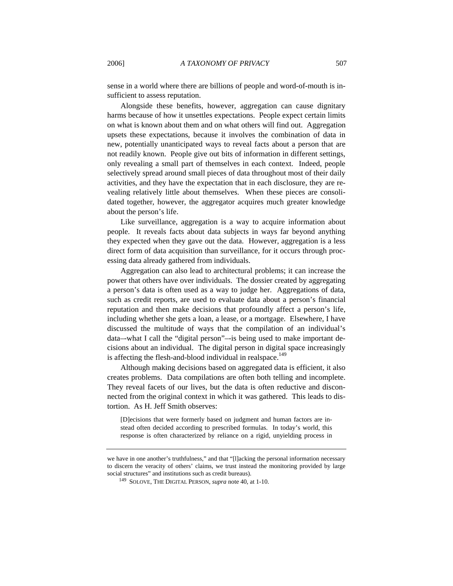sense in a world where there are billions of people and word-of-mouth is insufficient to assess reputation.

Alongside these benefits, however, aggregation can cause dignitary harms because of how it unsettles expectations. People expect certain limits on what is known about them and on what others will find out. Aggregation upsets these expectations, because it involves the combination of data in new, potentially unanticipated ways to reveal facts about a person that are not readily known. People give out bits of information in different settings, only revealing a small part of themselves in each context. Indeed, people selectively spread around small pieces of data throughout most of their daily activities, and they have the expectation that in each disclosure, they are revealing relatively little about themselves. When these pieces are consolidated together, however, the aggregator acquires much greater knowledge about the person's life.

Like surveillance, aggregation is a way to acquire information about people. It reveals facts about data subjects in ways far beyond anything they expected when they gave out the data. However, aggregation is a less direct form of data acquisition than surveillance, for it occurs through processing data already gathered from individuals.

Aggregation can also lead to architectural problems; it can increase the power that others have over individuals. The dossier created by aggregating a person's data is often used as a way to judge her. Aggregations of data, such as credit reports, are used to evaluate data about a person's financial reputation and then make decisions that profoundly affect a person's life, including whether she gets a loan, a lease, or a mortgage. Elsewhere, I have discussed the multitude of ways that the compilation of an individual's data–-what I call the "digital person"–-is being used to make important decisions about an individual. The digital person in digital space increasingly is affecting the flesh-and-blood individual in realspace.<sup>149</sup>

Although making decisions based on aggregated data is efficient, it also creates problems. Data compilations are often both telling and incomplete. They reveal facets of our lives, but the data is often reductive and disconnected from the original context in which it was gathered. This leads to distortion. As H. Jeff Smith observes:

[D]ecisions that were formerly based on judgment and human factors are instead often decided according to prescribed formulas. In today's world, this response is often characterized by reliance on a rigid, unyielding process in

we have in one another's truthfulness," and that "[l]acking the personal information necessary to discern the veracity of others' claims, we trust instead the monitoring provided by large social structures" and institutions such as credit bureaus).

<span id="page-30-0"></span><sup>149</sup> SOLOVE, THE DIGITAL PERSON, *supra* note 40, at 1-10.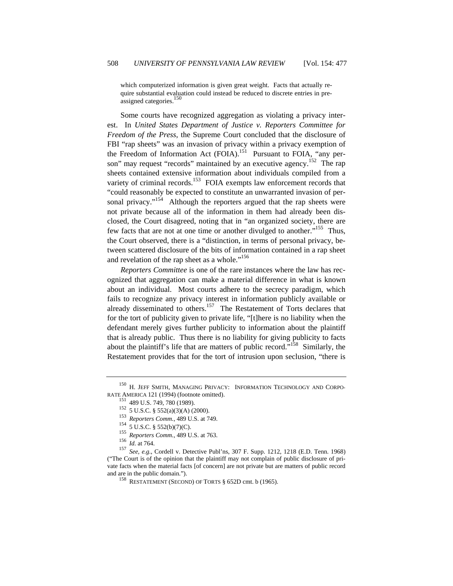which computerized information is given great weight. Facts that actually require substantial evaluation could instead be reduced to discrete entries in preassignedcategories.<sup>150</sup>

Some courts have recognized aggregation as violating a privacy interest. In *United States Department of Justice v. Reporters Committee for Freedom of the Press*, the Supreme Court concluded that the disclosure of FBI "rap sheets" was an invasion of privacy within a privacy exemption of the Freedom of Information Act (FOIA).<sup>151</sup> Pursuant to FOIA, "any person" may request "records" maintained by an executive agency.<sup>152</sup> The rap sheets contained extensive information about individuals compiled from a variety of criminal records.<sup>153</sup> FOIA exempts law enforcement records that "could reasonably be expected to constitute an unwarranted invasion of personal privacy."<sup>154</sup> Although the reporters argued that the rap sheets were not private because all of the information in them had already been disclosed, the Court disagreed, noting that in "an organized society, there are few facts that are not at one time or another divulged to another."<sup>155</sup> Thus, the Court observed, there is a "distinction, in terms of personal privacy, between scattered disclosure of the bits of information contained in a rap sheet and revelation of the rap sheet as a whole."<sup>156</sup>

*Reporters Committee* is one of the rare instances where the law has recognized that aggregation can make a material difference in what is known about an individual. Most courts adhere to the secrecy paradigm, which fails to recognize any privacy interest in information publicly available or already disseminated to others.<sup>157</sup> The Restatement of Torts declares that for the tort of publicity given to private life, "[t]here is no liability when the defendant merely gives further publicity to information about the plaintiff that is already public. Thus there is no liability for giving publicity to facts about the plaintiff's life that are matters of public record."[158](#page-31-8) Similarly, the Restatement provides that for the tort of intrusion upon seclusion, "there is

<span id="page-31-0"></span> $^{150}$  H. JEFF SMITH, MANAGING PRIVACY: INFORMATION TECHNOLOGY AND CORPORATE AMERICA 121 (1994) (footnote omitted).<br> $^{151}$ 489 U.S. 749, 780 (1989).

<span id="page-31-4"></span>

<span id="page-31-5"></span>

<span id="page-31-7"></span><span id="page-31-6"></span>

<span id="page-31-3"></span><span id="page-31-2"></span><span id="page-31-1"></span><sup>152 5</sup> U.S.C. § 552(a)(3)(A) (2000).<br>
153 5 U.S.C. § 552(a)(3)(A) (2000).<br>
153 Reporters Comm., 489 U.S. at 749.<br>
154 5 U.S.C. § 552(b)(7)(C).<br>
156 Reporters Comm., 489 U.S. at 763.<br>
156 Id. at 764.<br>
157 See, e.g., Cordell ("The Court is of the opinion that the plaintiff may not complain of public disclosure of private facts when the material facts [of concern] are not private but are matters of public record and are in the public domain.").<br><sup>158</sup> RESTATEMENT (SECOND) OF TORTS § 652D cmt. b (1965).

<span id="page-31-8"></span>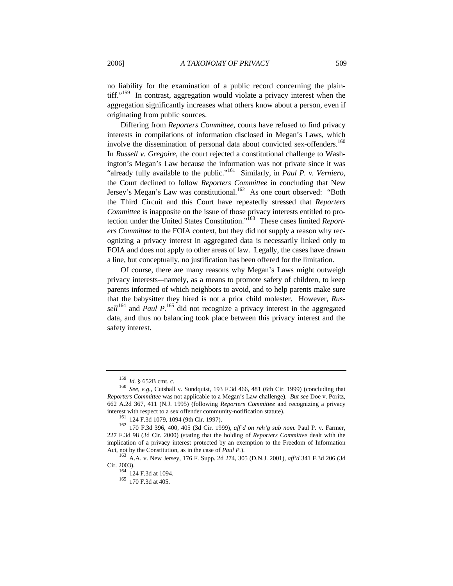no liability for the examination of a public record concerning the plaintiff."<sup>159</sup> In contrast, aggregation would violate a privacy interest when the aggregation significantly increases what others know about a person, even if originating from public sources.

Differing from *Reporters Committee*, courts have refused to find privacy interests in compilations of information disclosed in Megan's Laws, which involve the dissemination of personal data about convicted sex-offenders.<sup>160</sup> In *Russell v. Gregoire*, the court rejected a constitutional challenge to Washington's Megan's Law because the information was not private since it was "already fully available to the public.["161](#page-32-2) Similarly, in *Paul P. v. Verniero*, the Court declined to follow *Reporters Committee* in concluding that New Jersey's Megan's Law was constitutional.<sup>162</sup> As one court observed: "Both the Third Circuit and this Court have repeatedly stressed that *Reporters Committee* is inapposite on the issue of those privacy interests entitled to protection under the United States Constitution.["163](#page-32-4) These cases limited *Reporters Committee* to the FOIA context, but they did not supply a reason why recognizing a privacy interest in aggregated data is necessarily linked only to FOIA and does not apply to other areas of law. Legally, the cases have drawn a line, but conceptually, no justification has been offered for the limitation.

Of course, there are many reasons why Megan's Laws might outweigh privacy interests-–namely, as a means to promote safety of children, to keep parents informed of which neighbors to avoid, and to help parents make sure that the babysitter they hired is not a prior child molester. However, *Russell*[164](#page-32-5) and *Paul P.*[165](#page-32-6) did not recognize a privacy interest in the aggregated data, and thus no balancing took place between this privacy interest and the safety interest.

<span id="page-32-1"></span><span id="page-32-0"></span><sup>&</sup>lt;sup>159</sup> *Id.* § 652B cmt. c.<br><sup>160</sup> *See, e.g.*, Cutshall v. Sundquist, 193 F.3d 466, 481 (6th Cir. 1999) (concluding that *Reporters Committee* was not applicable to a Megan's Law challenge). *But see* Doe v. Poritz, 662 A.2d 367, 411 (N.J. 1995) (following *Reporters Committee* and recognizing a privacy

<span id="page-32-3"></span>

<span id="page-32-2"></span>interest with respect to a sex offender community-notification statute). 161 124 F.3d 1079, 1094 (9th Cir. 1997). 162 170 F.3d 396, 400, 405 (3d Cir. 1999), *aff'd on reh'g sub nom.* Paul P. v. Farmer, 227 F.3d 98 (3d Cir. 2000) (stating that the holding of *Reporters Committee* dealt with the implication of a privacy interest protected by an exemption to the Freedom of Information Act, not by the Constitution, as in the case of *Paul P.*). <sup>163</sup> A.A. v. New Jersey, 176 F. Supp. 2d 274, 305 (D.N.J. 2001), *aff'd* 341 F.3d 206 (3d

<span id="page-32-4"></span>Cir. 2003). 164 124 F.3d at 1094. 165 170 F.3d at 405.

<span id="page-32-6"></span><span id="page-32-5"></span>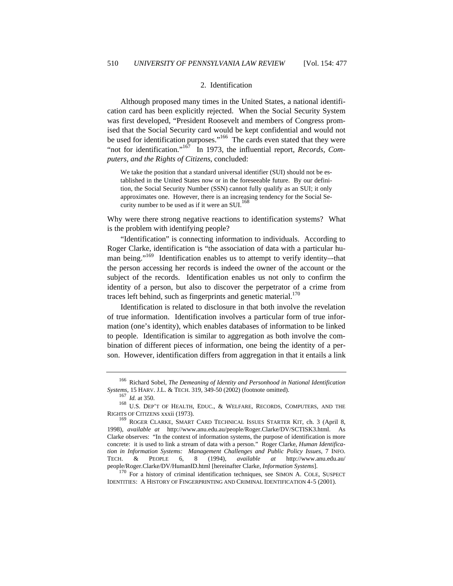## 2. Identification

Although proposed many times in the United States, a national identification card has been explicitly rejected. When the Social Security System was first developed, "President Roosevelt and members of Congress promised that the Social Security card would be kept confidential and would not be used for identification purposes."<sup>166</sup> The cards even stated that they were "not for identification.["167](#page-33-1) In 1973, the influential report, *Records, Computers, and the Rights of Citizens*, concluded:

We take the position that a standard universal identifier (SUI) should not be established in the United States now or in the foreseeable future. By our definition, the Social Security Number (SSN) cannot fully qualify as an SUI; it only approximates one. However, there is an increasing tendency for the Social Securitynumber to be used as if it were an  $SUI.$ <sup>168</sup>

Why were there strong negative reactions to identification systems? What is the problem with identifying people?

"Identification" is connecting information to individuals. According to Roger Clarke, identification is "the association of data with a particular human being."<sup>169</sup> Identification enables us to attempt to verify identity--that the person accessing her records is indeed the owner of the account or the subject of the records. Identification enables us not only to confirm the identity of a person, but also to discover the perpetrator of a crime from traces left behind, such as fingerprints and genetic material.<sup>170</sup>

Identification is related to disclosure in that both involve the revelation of true information. Identification involves a particular form of true information (one's identity), which enables databases of information to be linked to people. Identification is similar to aggregation as both involve the combination of different pieces of information, one being the identity of a person. However, identification differs from aggregation in that it entails a link

<span id="page-33-4"></span>IDENTITIES: A HISTORY OF FINGERPRINTING AND CRIMINAL IDENTIFICATION 4-5 (2001).

<span id="page-33-0"></span><sup>166</sup> Richard Sobel, *The Demeaning of Identity and Personhood in National Identification* 

<span id="page-33-2"></span>

<span id="page-33-1"></span>*Systems*, 15 HARV. J.L. & TECH. 319, 349-50 (2002) (footnote omitted). 167 *Id.* at 350. 168 U.S. DEP'T OF HEALTH, EDUC., & WELFARE, RECORDS, COMPUTERS, AND THE RIGHTS OF CITIZENS xxxii (1973).

<span id="page-33-3"></span><sup>169</sup> ROGER CLARKE, SMART CARD TECHNICAL ISSUES STARTER KIT, ch. 3 (April 8, 1998), *available at* http://www.anu.edu.au/people/Roger.Clarke/DV/SCTISK3.html. As Clarke observes: "In the context of information systems, the purpose of identification is more concrete: it is used to link a stream of data with a person." Roger Clarke, *Human Identification in Information Systems: Management Challenges and Public Policy Issues*, 7 INFO. TECH. & PEOPLE 6, 8 (1994), *available at* http://www.anu.edu.au/ people/Roger.Clarke/DV/HumanID.html [hereinafter Clarke, *Information Systems*]. 170 For a history of criminal identification techniques, see SIMON A. COLE, SUSPECT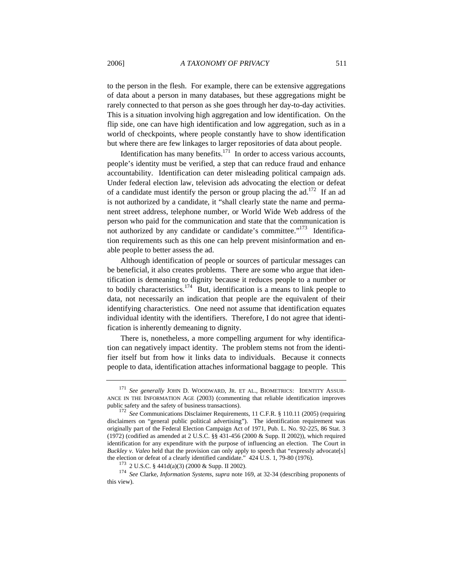to the person in the flesh. For example, there can be extensive aggregations of data about a person in many databases, but these aggregations might be rarely connected to that person as she goes through her day-to-day activities. This is a situation involving high aggregation and low identification. On the flip side, one can have high identification and low aggregation, such as in a world of checkpoints, where people constantly have to show identification but where there are few linkages to larger repositories of data about people.

Identification has many benefits.<sup>171</sup> In order to access various accounts, people's identity must be verified, a step that can reduce fraud and enhance accountability. Identification can deter misleading political campaign ads. Under federal election law, television ads advocating the election or defeat of a candidate must identify the person or group placing the  $ad<sup>172</sup>$  If an ad is not authorized by a candidate, it "shall clearly state the name and permanent street address, telephone number, or World Wide Web address of the person who paid for the communication and state that the communication is not authorized by any candidate or candidate's committee."<sup>173</sup> Identification requirements such as this one can help prevent misinformation and enable people to better assess the ad.

Although identification of people or sources of particular messages can be beneficial, it also creates problems. There are some who argue that identification is demeaning to dignity because it reduces people to a number or to bodily characteristics.<sup>174</sup> But, identification is a means to link people to data, not necessarily an indication that people are the equivalent of their identifying characteristics. One need not assume that identification equates individual identity with the identifiers. Therefore, I do not agree that identification is inherently demeaning to dignity.

There is, nonetheless, a more compelling argument for why identification can negatively impact identity. The problem stems not from the identifier itself but from how it links data to individuals. Because it connects people to data, identification attaches informational baggage to people. This

<span id="page-34-0"></span><sup>171</sup> *See generally* JOHN D. WOODWARD, JR. ET AL., BIOMETRICS: IDENTITY ASSUR-ANCE IN THE INFORMATION AGE (2003) (commenting that reliable identification improves

<span id="page-34-1"></span><sup>&</sup>lt;sup>172</sup> *See* Communications Disclaimer Requirements, 11 C.F.R. § 110.11 (2005) (requiring disclaimers on "general public political advertising"). The identification requirement was originally part of the Federal Election Campaign Act of 1971, Pub. L. No. 92-225, 86 Stat. 3 (1972) (codified as amended at 2 U.S.C. §§ 431-456 (2000 & Supp. II 2002)), which required identification for any expenditure with the purpose of influencing an election. The Court in *Buckley v. Valeo* held that the provision can only apply to speech that "expressly advocate[s]

<span id="page-34-3"></span>

<span id="page-34-2"></span>the election or defeat of a clearly identified candidate."  $424$  U.S. 1, 79-80 (1976).<br><sup>173</sup> 2 U.S.C. § 441d(a)(3) (2000 & Supp. II 2002).<br><sup>174</sup> *See* Clarke, *Information Systems, supra* note 169, at 32-34 (describing pr this view).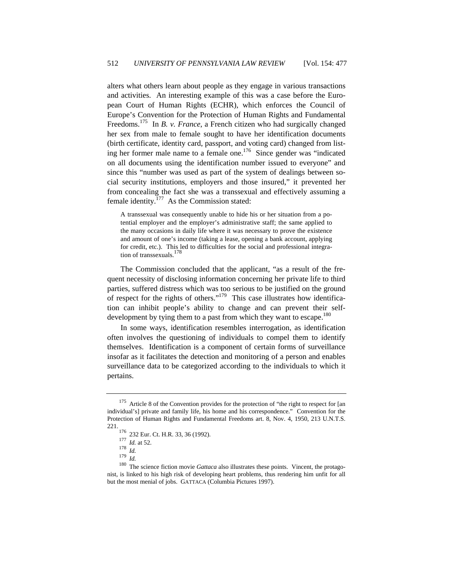alters what others learn about people as they engage in various transactions and activities. An interesting example of this was a case before the European Court of Human Rights (ECHR), which enforces the Council of Europe's Convention for the Protection of Human Rights and Fundamental Freedoms.[175](#page-35-0) In *B. v. France*, a French citizen who had surgically changed her sex from male to female sought to have her identification documents (birth certificate, identity card, passport, and voting card) changed from listing her former male name to a female one.<sup>176</sup> Since gender was "indicated on all documents using the identification number issued to everyone" and since this "number was used as part of the system of dealings between social security institutions, employers and those insured," it prevented her from concealing the fact she was a transsexual and effectively assuming a female identity.<sup>177</sup> As the Commission stated:

A transsexual was consequently unable to hide his or her situation from a potential employer and the employer's administrative staff; the same applied to the many occasions in daily life where it was necessary to prove the existence and amount of one's income (taking a lease, opening a bank account, applying for credit, etc.). This led to difficulties for the social and professional integra-tion of transsexuals[.](#page-35-3)<sup>1</sup>

The Commission concluded that the applicant, "as a result of the frequent necessity of disclosing information concerning her private life to third parties, suffered distress which was too serious to be justified on the ground of respect for the rights of others.["179](#page-35-4) This case illustrates how identification can inhibit people's ability to change and can prevent their selfdevelopment by tying them to a past from which they want to escape.<sup>180</sup>

In some ways, identification resembles interrogation, as identification often involves the questioning of individuals to compel them to identify themselves. Identification is a component of certain forms of surveillance insofar as it facilitates the detection and monitoring of a person and enables surveillance data to be categorized according to the individuals to which it pertains.

<span id="page-35-0"></span><sup>&</sup>lt;sup>175</sup> Article 8 of the Convention provides for the protection of "the right to respect for [an individual's] private and family life, his home and his correspondence." Convention for the Protection of Human Rights and Fundamental Freedoms art. 8, Nov. 4, 1950, 213 U.N.T.S. 221.<br><sup>176</sup> 232 Eur. Ct. H.R. 33, 36 (1992).<br><sup>177</sup> *Id.* at 52.<br><sup>178</sup> *Id.*<br>*I*<sup>9</sup> *Id.* 

<span id="page-35-1"></span>

<span id="page-35-2"></span>

<span id="page-35-3"></span>

<span id="page-35-5"></span><span id="page-35-4"></span><sup>&</sup>lt;sup>180</sup> The science fiction movie *Gattaca* also illustrates these points. Vincent, the protagonist, is linked to his high risk of developing heart problems, thus rendering him unfit for all but the most menial of jobs. GATTACA (Columbia Pictures 1997).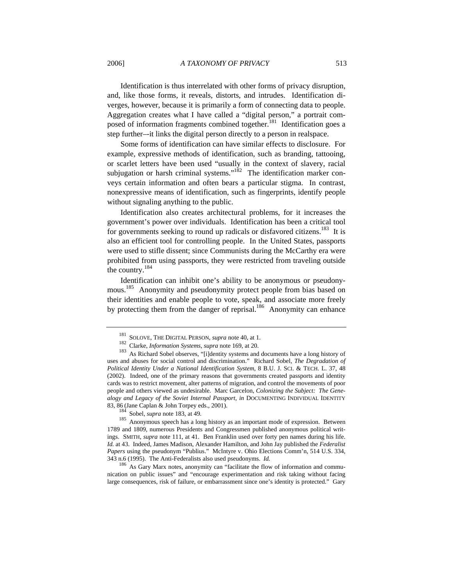<span id="page-36-5"></span>Identification is thus interrelated with other forms of privacy disruption, and, like those forms, it reveals, distorts, and intrudes. Identification diverges, however, because it is primarily a form of connecting data to people. Aggregation creates what I have called a "digital person," a portrait composed of information fragments combined together.<sup>181</sup> Identification goes a step further–-it links the digital person directly to a person in realspace.

Some forms of identification can have similar effects to disclosure. For example, expressive methods of identification, such as branding, tattooing, or scarlet letters have been used "usually in the context of slavery, racial subjugation or harsh criminal systems."<sup>182</sup> The identification marker conveys certain information and often bears a particular stigma. In contrast, nonexpressive means of identification, such as fingerprints, identify people without signaling anything to the public.

Identification also creates architectural problems, for it increases the government's power over individuals. Identification has been a critical tool for governments seeking to round up radicals or disfavored citizens.<sup>183</sup> It is also an efficient tool for controlling people. In the United States, passports were used to stifle dissent; since Communists during the McCarthy era were prohibited from using passports, they were restricted from traveling outside the country.<sup>[184](#page-36-3)</sup>

Identification can inhibit one's ability to be anonymous or pseudonymous.<sup>185</sup> Anonymity and pseudonymity protect people from bias based on their identities and enable people to vote, speak, and associate more freely by protecting them from the danger of reprisal.<sup>186</sup> Anonymity can enhance

<span id="page-36-2"></span>

<span id="page-36-1"></span><span id="page-36-0"></span><sup>&</sup>lt;sup>181</sup> SOLOVE, THE DIGITAL PERSON, *supra* note 40, at 1.<br><sup>182</sup> Clarke, *Information Systems*, *supra* note 169, at 20.<br><sup>183</sup> As Richard Sobel observes, "[i]dentity systems and documents have a long history of uses and abuses for social control and discrimination." Richard Sobel, *The Degradation of Political Identity Under a National Identification System*, 8 B.U. J. SCI. & TECH. L. 37, 48 (2002). Indeed, one of the primary reasons that governments created passports and identity cards was to restrict movement, alter patterns of migration, and control the movements of poor people and others viewed as undesirable. Marc Garcelon, *Colonizing the Subject: The Genealogy and Legacy of the Soviet Internal Passport*, *in* DOCUMENTING INDIVIDUAL IDENTITY

<span id="page-36-4"></span>

<span id="page-36-3"></span><sup>83, 86 (</sup>Jane Caplan & John Torpey eds., 2001).<br><sup>184</sup> Sobel, *supra* note 183, at 49.<br><sup>185</sup> Anonymous speech has a long history as an important mode of expression. Between 1789 and 1809, numerous Presidents and Congressmen published anonymous political writings. SMITH, *supra* note 111, at 41. Ben Franklin used over forty pen names during his life. *Id.* at 43. Indeed, James Madison, Alexander Hamilton, and John Jay published the *Federalist Papers* using the pseudonym "Publius." McIntyre v. Ohio Elections Comm'n, 514 U.S. 334, 343 n.6 (1995). The Anti-Federalists also used pseudonyms. *Id.* <sup>186</sup> As Gary Marx notes, anonymity can "facilitate the flow of information and commu-

nication on public issues" and "encourage experimentation and risk taking without facing large consequences, risk of failure, or embarrassment since one's identity is protected." Gary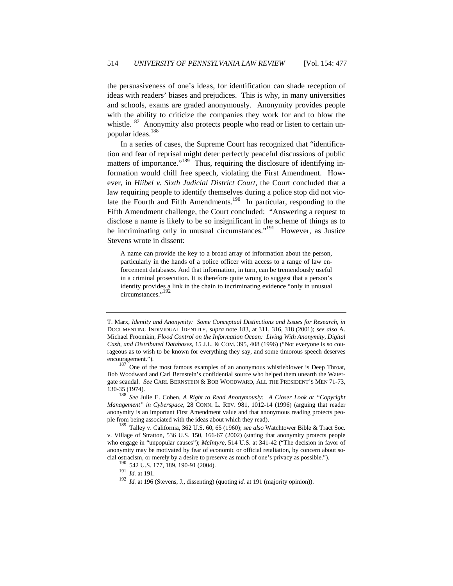the persuasiveness of one's ideas, for identification can shade reception of ideas with readers' biases and prejudices. This is why, in many universities and schools, exams are graded anonymously. Anonymity provides people with the ability to criticize the companies they work for and to blow the whistle.<sup>187</sup> Anonymity also protects people who read or listen to certain unpopular ideas.<sup>188</sup>

In a series of cases, the Supreme Court has recognized that "identification and fear of reprisal might deter perfectly peaceful discussions of public matters of importance."<sup>189</sup> Thus, requiring the disclosure of identifying information would chill free speech, violating the First Amendment. However, in *Hiibel v. Sixth Judicial District Court*, the Court concluded that a law requiring people to identify themselves during a police stop did not violate the Fourth and Fifth Amendments.<sup>190</sup> In particular, responding to the Fifth Amendment challenge, the Court concluded: "Answering a request to disclose a name is likely to be so insignificant in the scheme of things as to be incriminating only in unusual circumstances."<sup>191</sup> However, as Justice Stevens wrote in dissent:

A name can provide the key to a broad array of information about the person, particularly in the hands of a police officer with access to a range of law enforcement databases. And that information, in turn, can be tremendously useful in a criminal prosecution. It is therefore quite wrong to suggest that a person's identity provides a link in the chain to incriminating evidence ["](#page-37-5)onlyin unusual circumstances."<sup>192</sup>

T. Marx, *Identity and Anonymity: Some Conceptual Distinctions and Issues for Research*, *in* DOCUMENTING INDIVIDUAL IDENTITY, *supra* note 183, at 311, 316, 318 (2001); *see also* A. Michael Froomkin, *Flood Control on the Information Ocean: Living With Anonymity, Digital Cash, and Distributed Databases*, 15 J.L. & COM. 395, 408 (1996) ("Not everyone is so courageous as to wish to be known for everything they say, and some timorous speech deserves encouragement.").<br><sup>187</sup> One of the most famous examples of an anonymous whistleblower is Deep Throat,

<span id="page-37-0"></span>Bob Woodward and Carl Bernstein's confidential source who helped them unearth the Watergate scandal. *See* CARL BERNSTEIN & BOB WOODWARD, ALL THE PRESIDENT'S MEN 71-73,

<span id="page-37-1"></span><sup>130-35 (1974). 188</sup> *See* Julie E. Cohen, *A Right to Read Anonymously: A Closer Look at "Copyright Management" in Cyberspace*, 28 CONN. L. REV. 981, 1012-14 (1996) (arguing that reader anonymity is an important First Amendment value and that anonymous reading protects people from being associated with the ideas about which they read).

<span id="page-37-2"></span><sup>189</sup> Talley v. California, 362 U.S. 60, 65 (1960); *see also* Watchtower Bible & Tract Soc. v. Village of Stratton, 536 U.S. 150, 166-67 (2002) (stating that anonymity protects people who engage in "unpopular causes"); *McIntyre*, 514 U.S. at 341-42 ("The decision in favor of anonymity may be motivated by fear of economic or official retaliation, by concern about social ostracism, or merely by a desire to preserve as much of one's privacy as possible.").

<span id="page-37-3"></span><sup>190</sup> 542 U.S. 177, 189, 190-91 (2004).

<span id="page-37-4"></span><sup>191</sup> *Id.* at 191.

<span id="page-37-5"></span><sup>192</sup> *Id.* at 196 (Stevens, J., dissenting) (quoting *id.* at 191 (majority opinion)).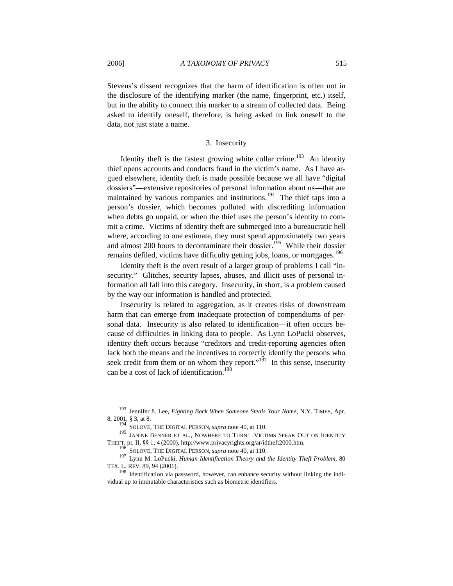Stevens's dissent recognizes that the harm of identification is often not in the disclosure of the identifying marker (the name, fingerprint, etc.) itself, but in the ability to connect this marker to a stream of collected data. Being asked to identify oneself, therefore, is being asked to link oneself to the data, not just state a name.

# 3. Insecurity

Identity theft is the fastest growing white collar crime.<sup>193</sup> An identity thief opens accounts and conducts fraud in the victim's name. As I have argued elsewhere, identity theft is made possible because we all have "digital dossiers"—extensive repositories of personal information about us—that are maintained by various companies and institutions.<sup>194</sup> The thief taps into a person's dossier, which becomes polluted with discrediting information when debts go unpaid, or when the thief uses the person's identity to commit a crime. Victims of identity theft are submerged into a bureaucratic hell where, according to one estimate, they must spend approximately two years and almost 200 hours to decontaminate their dossier.<sup>195</sup> While their dossier remains defiled, victims have difficulty getting jobs, loans, or mortgages.<sup>[196](#page-38-3)</sup>

Identity theft is the overt result of a larger group of problems I call "insecurity." Glitches, security lapses, abuses, and illicit uses of personal information all fall into this category. Insecurity, in short, is a problem caused by the way our information is handled and protected.

Insecurity is related to aggregation, as it creates risks of downstream harm that can emerge from inadequate protection of compendiums of personal data. Insecurity is also related to identification—it often occurs because of difficulties in linking data to people. As Lynn LoPucki observes, identity theft occurs because "creditors and credit-reporting agencies often lack both the means and the incentives to correctly identify the persons who seek credit from them or on whom they report."<sup>197</sup> In this sense, insecurity can be a cost of lack of identification.<sup>198</sup>

<span id="page-38-0"></span><sup>193</sup> Jennifer 8. Lee, *Fighting Back When Someone Steals Your Name*, N.Y. TIMES, Apr. 8, 2001, § 3, at 8.

<sup>194</sup> SOLOVE, THE DIGITAL PERSON, *supra* note 40, at 110.

<span id="page-38-2"></span><span id="page-38-1"></span><sup>195</sup> JANINE BENNER ET AL., NOWHERE TO TURN: VICTIMS SPEAK OUT ON IDENTITY THEFT, pt. II, §§ 1, 4 (2000), http://www.privacyrights.org/ar/idtheft2000.htm.

SOLOVE, THE DIGITAL PERSON, *supra* note 40, at 110.

<span id="page-38-4"></span><span id="page-38-3"></span><sup>197</sup> Lynn M. LoPucki, *Human Identification Theory and the Identity Theft Problem*, 80 TEX. L. REV. 89, 94 (2001).

<span id="page-38-5"></span><sup>&</sup>lt;sup>198</sup> Identification via password, however, can enhance security without linking the individual up to immutable characteristics such as biometric identifiers.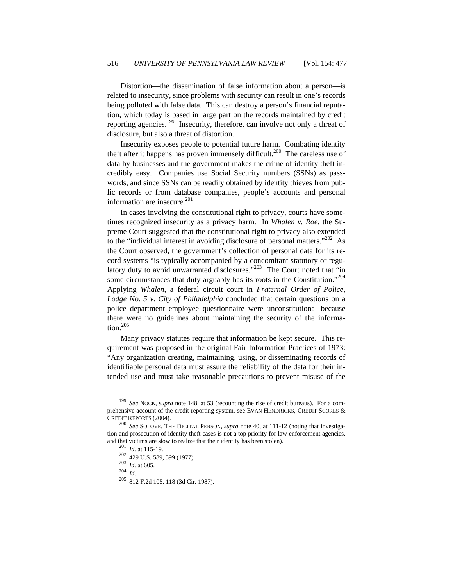Distortion—the dissemination of false information about a person—is related to insecurity, since problems with security can result in one's records being polluted with false data. This can destroy a person's financial reputation, which today is based in large part on the records maintained by credit reporting agencies.<sup>199</sup> Insecurity, therefore, can involve not only a threat of disclosure, but also a threat of distortion.

Insecurity exposes people to potential future harm. Combating identity theft after it happens has proven immensely difficult.<sup>200</sup> The careless use of data by businesses and the government makes the crime of identity theft incredibly easy. Companies use Social Security numbers (SSNs) as passwords, and since SSNs can be readily obtained by identity thieves from public records or from database companies, people's accounts and personal information are insecure.<sup>201</sup>

In cases involving the constitutional right to privacy, courts have sometimes recognized insecurity as a privacy harm. In *Whalen v. Roe*, the Supreme Court suggested that the constitutional right to privacy also extended to the "individual interest in avoiding disclosure of personal matters."<sup>202</sup> As the Court observed, the government's collection of personal data for its record systems "is typically accompanied by a concomitant statutory or regulatory duty to avoid unwarranted disclosures."<sup>203</sup> The Court noted that "in some circumstances that duty arguably has its roots in the Constitution."<sup>204</sup> Applying *Whalen*, a federal circuit court in *Fraternal Order of Police, Lodge No. 5 v. City of Philadelphia* concluded that certain questions on a police department employee questionnaire were unconstitutional because there were no guidelines about maintaining the security of the informa- $\text{tion.}^{205}$ 

Many privacy statutes require that information be kept secure. This requirement was proposed in the original Fair Information Practices of 1973: "Any organization creating, maintaining, using, or disseminating records of identifiable personal data must assure the reliability of the data for their intended use and must take reasonable precautions to prevent misuse of the

<span id="page-39-0"></span><sup>199</sup> *See* NOCK, *supra* note 148, at 53 (recounting the rise of credit bureaus). For a comprehensive account of the credit reporting system, see EVAN HENDRICKS, CREDIT SCORES & CREDIT REPORTS (2004). <sup>200</sup> *See* SOLOVE, THE DIGITAL PERSON, *supra* note 40, at 111-12 (noting that investiga-

<span id="page-39-1"></span>tion and prosecution of identity theft cases is not a top priority for law enforcement agencies, and that victims are slow to realize that their identity has been stolen).<br>
<sup>201</sup> *Id.* at 115-19.<br>
<sup>202</sup> 429 U.S. 589, 599 (1977).<br>
<sup>203</sup> *Id.* at 605.<br>
<sup>204</sup> *Id.*<br>
<sup>205</sup> 812 F.2d 105, 118 (3d Cir. 1987).

<span id="page-39-2"></span>

<span id="page-39-3"></span>

<span id="page-39-5"></span><span id="page-39-4"></span>

<span id="page-39-6"></span>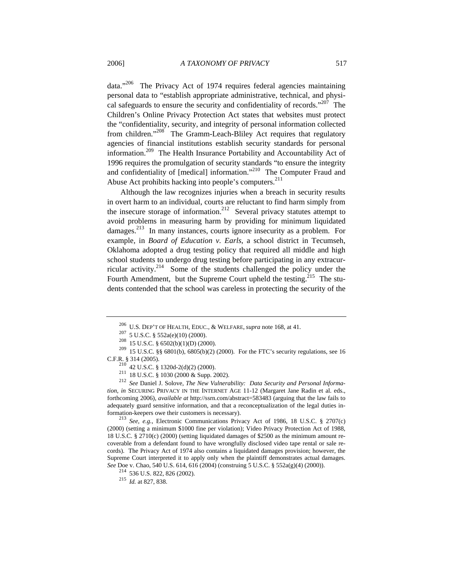data."<sup>206</sup> The Privacy Act of 1974 requires federal agencies maintaining personal data to "establish appropriate administrative, technical, and physical safeguards to ensure the security and confidentiality of records."<sup>207</sup> The Children's Online Privacy Protection Act states that websites must protect the "confidentiality, security, and integrity of personal information collected from children."<sup>208</sup> The Gramm-Leach-Bliley Act requires that regulatory agencies of financial institutions establish security standards for personal information.<sup>209</sup> The Health Insurance Portability and Accountability Act of 1996 requires the promulgation of security standards "to ensure the integrity and confidentiality of [medical] information."<sup>210</sup> The Computer Fraud and Abuse Act prohibits hacking into people's computers. $^{211}$  $^{211}$  $^{211}$ 

Although the law recognizes injuries when a breach in security results in overt harm to an individual, courts are reluctant to find harm simply from the insecure storage of information.<sup>212</sup> Several privacy statutes attempt to avoid problems in measuring harm by providing for minimum liquidated damages.[213](#page-40-7) In many instances, courts ignore insecurity as a problem. For example, in *Board of Education v. Earls*, a school district in Tecumseh, Oklahoma adopted a drug testing policy that required all middle and high school students to undergo drug testing before participating in any extracurricular activity.[214](#page-40-8) Some of the students challenged the policy under the Fourth Amendment, but the Supreme Court upheld the testing.<sup>215</sup> The students contended that the school was careless in protecting the security of the

<span id="page-40-6"></span><span id="page-40-5"></span>*tion*, *in* SECURING PRIVACY IN THE INTERNET AGE 11-12 (Margaret Jane Radin et al. eds., forthcoming 2006), *available at* http://ssrn.com/abstract=583483 (arguing that the law fails to adequately guard sensitive information, and that a reconceptualization of the legal duties information-keepers owe their customers is necessary). 213 *See, e.g.*, Electronic Communications Privacy Act of 1986, 18 U.S.C. § 2707(c)

<span id="page-40-7"></span>(2000) (setting a minimum \$1000 fine per violation); Video Privacy Protection Act of 1988, 18 U.S.C. § 2710(c) (2000) (setting liquidated damages of \$2500 as the minimum amount recoverable from a defendant found to have wrongfully disclosed video tape rental or sale records). The Privacy Act of 1974 also contains a liquidated damages provision; however, the Supreme Court interpreted it to apply only when the plaintiff demonstrates actual damages. *See* Doe v. Chao, 540 U.S. 614, 616 (2004) (construing 5 U.S.C. § 552a(g)(4) (2000)).

<span id="page-40-0"></span><sup>&</sup>lt;sup>206</sup> U.S. DEP'T OF HEALTH, EDUC., & WELFARE, *supra* note 168, at 41.<br><sup>207</sup> 5 U.S.C. § 552a(e)(10) (2000).<br><sup>208</sup> 15 U.S.C. § 6502(b)(1)(D) (2000).

<span id="page-40-1"></span>

<span id="page-40-3"></span><span id="page-40-2"></span><sup>209</sup> 15 U.S.C. §§ 6801(b), 6805(b)(2) (2000). For the FTC's security regulations, see 16 C.F.R. § 314 (2005). 210 42 U.S.C. § 1320d-2(d)(2) (2000). 211 18 U.S.C. § 1030 (2000 & Supp. 2002). 212 *See* Daniel J. Solove, *The New Vulnerability: Data Security and Personal Informa-*

<span id="page-40-4"></span>

<span id="page-40-8"></span><sup>214</sup> 536 U.S. 822, 826 (2002). 215 *Id.* at 827, 838.

<span id="page-40-9"></span>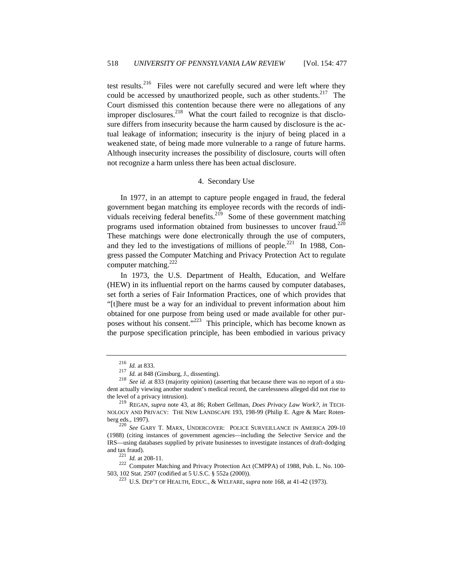test results.<sup>216</sup> Files were not carefully secured and were left where they could be accessed by unauthorized people, such as other students.<sup>217</sup> The Court dismissed this contention because there were no allegations of any improper disclosures.<sup>218</sup> What the court failed to recognize is that disclosure differs from insecurity because the harm caused by disclosure is the actual leakage of information; insecurity is the injury of being placed in a weakened state, of being made more vulnerable to a range of future harms. Although insecurity increases the possibility of disclosure, courts will often not recognize a harm unless there has been actual disclosure.

### 4. Secondary Use

In 1977, in an attempt to capture people engaged in fraud, the federal government began matching its employee records with the records of individuals receiving federal benefits.<sup>219</sup> Some of these government matching programs used information obtained from businesses to uncover fraud.<sup>220</sup> These matchings were done electronically through the use of computers, and they led to the investigations of millions of people.<sup>221</sup> In 1988, Congress passed the Computer Matching and Privacy Protection Act to regulate computer matching.<sup>222</sup>

In 1973, the U.S. Department of Health, Education, and Welfare (HEW) in its influential report on the harms caused by computer databases, set forth a series of Fair Information Practices, one of which provides that "[t]here must be a way for an individual to prevent information about him obtained for one purpose from being used or made available for other purposes without his consent." $2^{223}$  This principle, which has become known as the purpose specification principle, has been embodied in various privacy

<span id="page-41-2"></span>

<span id="page-41-1"></span><span id="page-41-0"></span><sup>216</sup> *Id.* at 833. 217 *Id.* at 848 (Ginsburg, J., dissenting). 218 *See id.* at 833 (majority opinion) (asserting that because there was no report of a student actually viewing another student's medical record, the carelessness alleged did not rise to the level of a privacy intrusion).

<span id="page-41-3"></span><sup>219</sup> REGAN, *supra* note 43, at 86; Robert Gellman, *Does Privacy Law Work?*, *in* TECH-NOLOGY AND PRIVACY: THE NEW LANDSCAPE 193, 198-99 (Philip E. Agre & Marc Roten-

<span id="page-41-4"></span>berg eds., 1997).<br><sup>220</sup> *See* GARY T. MARX, UNDERCOVER: POLICE SURVEILLANCE IN AMERICA 209-10 (1988) (citing instances of government agencies—including the Selective Service and the IRS—using databases supplied by private businesses to investigate instances of draft-dodging and tax fraud).<br> $^{221}$  *Id.* at 208-11.

<span id="page-41-6"></span><span id="page-41-5"></span><sup>222</sup> Computer Matching and Privacy Protection Act (CMPPA) of 1988, Pub. L. No. 100-<br>503, 102 Stat. 2507 (codified at 5 U.S.C. § 552a (2000)).

<span id="page-41-7"></span><sup>&</sup>lt;sup>223</sup> U.S. DEP'T OF HEALTH, EDUC., & WELFARE, *supra* note 168, at 41-42 (1973).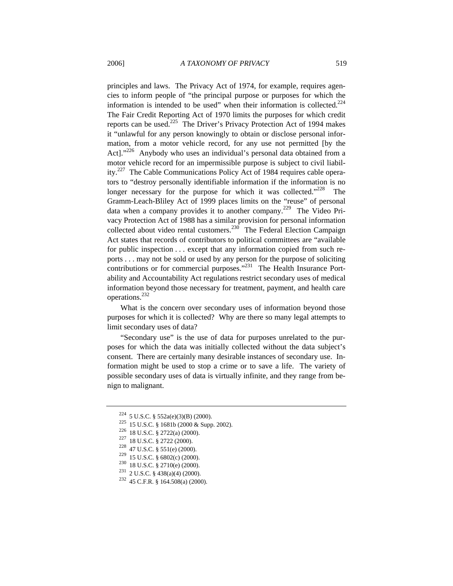principles and laws. The Privacy Act of 1974, for example, requires agencies to inform people of "the principal purpose or purposes for which the information is intended to be used" when their information is collected.<sup>224</sup> The Fair Credit Reporting Act of 1970 limits the purposes for which credit reports can be used.<sup>225</sup> The Driver's Privacy Protection Act of 1994 makes it "unlawful for any person knowingly to obtain or disclose personal information, from a motor vehicle record, for any use not permitted [by the Act]."<sup>226</sup> Anybody who uses an individual's personal data obtained from a motor vehicle record for an impermissible purpose is subject to civil liability.<sup>227</sup> The Cable Communications Policy Act of 1984 requires cable operators to "destroy personally identifiable information if the information is no longer necessary for the purpose for which it was collected." $228$  The Gramm-Leach-Bliley Act of 1999 places limits on the "reuse" of personal data when a company provides it to another company.<sup>229</sup> The Video Privacy Protection Act of 1988 has a similar provision for personal information collected about video rental customers.<sup>230</sup> The Federal Election Campaign Act states that records of contributors to political committees are "available for public inspection . . . except that any information copied from such reports . . . may not be sold or used by any person for the purpose of soliciting contributions or for commercial purposes."<sup>231</sup> The Health Insurance Portability and Accountability Act regulations restrict secondary uses of medical information beyond those necessary for treatment, payment, and health care operations[.232](#page-42-8)

What is the concern over secondary uses of information beyond those purposes for which it is collected? Why are there so many legal attempts to limit secondary uses of data?

"Secondary use" is the use of data for purposes unrelated to the purposes for which the data was initially collected without the data subject's consent. There are certainly many desirable instances of secondary use. Information might be used to stop a crime or to save a life. The variety of possible secondary uses of data is virtually infinite, and they range from benign to malignant.

<span id="page-42-1"></span>

<span id="page-42-0"></span><sup>&</sup>lt;sup>224</sup> 5 U.S.C. § 552a(e)(3)(B) (2000).<br>
<sup>225</sup> 15 U.S.C. § 1681b (2000 & Supp. 2002).<br>
<sup>226</sup> 18 U.S.C. § 2722(a) (2000).<br>
<sup>228</sup> 47 U.S.C. § 551(e) (2000).<br>
<sup>229</sup> 15 U.S.C. § 6802(c) (2000).

<span id="page-42-2"></span>

<span id="page-42-3"></span>

<span id="page-42-4"></span>

<span id="page-42-8"></span><span id="page-42-7"></span>

<span id="page-42-6"></span><span id="page-42-5"></span><sup>230 18</sup> U.S.C. § 2710(e) (2000).<br>
<sup>231</sup> 2 U.S.C. § 438(a)(4) (2000).<br>
<sup>232</sup> 45 C.F.R. § 164.508(a) (2000).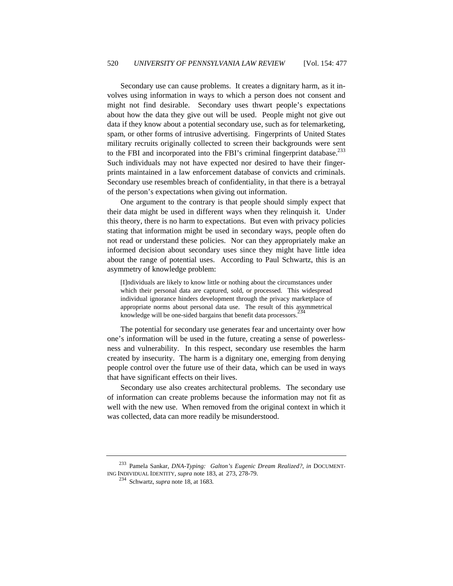Secondary use can cause problems. It creates a dignitary harm, as it involves using information in ways to which a person does not consent and might not find desirable. Secondary uses thwart people's expectations about how the data they give out will be used. People might not give out data if they know about a potential secondary use, such as for telemarketing, spam, or other forms of intrusive advertising. Fingerprints of United States military recruits originally collected to screen their backgrounds were sent to the FBI and incorporated into the FBI's criminal fingerprint database.<sup>233</sup> Such individuals may not have expected nor desired to have their fingerprints maintained in a law enforcement database of convicts and criminals. Secondary use resembles breach of confidentiality, in that there is a betrayal of the person's expectations when giving out information.

One argument to the contrary is that people should simply expect that their data might be used in different ways when they relinquish it. Under this theory, there is no harm to expectations. But even with privacy policies stating that information might be used in secondary ways, people often do not read or understand these policies. Nor can they appropriately make an informed decision about secondary uses since they might have little idea about the range of potential uses. According to Paul Schwartz, this is an asymmetry of knowledge problem:

[I]ndividuals are likely to know little or nothing about the circumstances under which their personal data are captured, sold, or processed. This widespread individual ignorance hinders development through the privacy marketplace of appropriate norms about personal data use. The result of this asymmetrical knowledge will be one-sided bargains that benefit data processors[.](#page-43-1)

The potential for secondary use generates fear and uncertainty over how one's information will be used in the future, creating a sense of powerlessness and vulnerability. In this respect, secondary use resembles the harm created by insecurity. The harm is a dignitary one, emerging from denying people control over the future use of their data, which can be used in ways that have significant effects on their lives.

Secondary use also creates architectural problems. The secondary use of information can create problems because the information may not fit as well with the new use. When removed from the original context in which it was collected, data can more readily be misunderstood.

<span id="page-43-0"></span><sup>233</sup> Pamela Sankar, *DNA-Typing: Galton's Eugenic Dream Realized?*, *in* DOCUMENT-ING INDIVIDUAL IDENTITY, *supra* note 183, at 273, 278-79. 234 Schwartz, *supra* note 18, at 1683.

<span id="page-43-1"></span>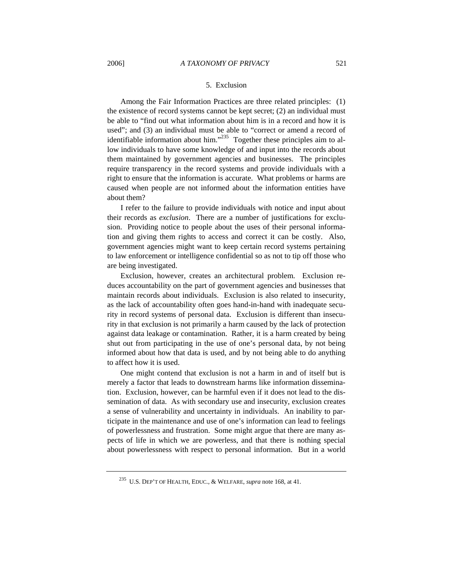## 5. Exclusion

Among the Fair Information Practices are three related principles: (1) the existence of record systems cannot be kept secret; (2) an individual must be able to "find out what information about him is in a record and how it is used"; and (3) an individual must be able to "correct or amend a record of identifiable information about him."<sup>235</sup> Together these principles aim to allow individuals to have some knowledge of and input into the records about them maintained by government agencies and businesses. The principles require transparency in the record systems and provide individuals with a right to ensure that the information is accurate. What problems or harms are caused when people are not informed about the information entities have about them?

I refer to the failure to provide individuals with notice and input about their records as *exclusion*. There are a number of justifications for exclusion. Providing notice to people about the uses of their personal information and giving them rights to access and correct it can be costly. Also, government agencies might want to keep certain record systems pertaining to law enforcement or intelligence confidential so as not to tip off those who are being investigated.

Exclusion, however, creates an architectural problem. Exclusion reduces accountability on the part of government agencies and businesses that maintain records about individuals. Exclusion is also related to insecurity, as the lack of accountability often goes hand-in-hand with inadequate security in record systems of personal data. Exclusion is different than insecurity in that exclusion is not primarily a harm caused by the lack of protection against data leakage or contamination. Rather, it is a harm created by being shut out from participating in the use of one's personal data, by not being informed about how that data is used, and by not being able to do anything to affect how it is used.

One might contend that exclusion is not a harm in and of itself but is merely a factor that leads to downstream harms like information dissemination. Exclusion, however, can be harmful even if it does not lead to the dissemination of data. As with secondary use and insecurity, exclusion creates a sense of vulnerability and uncertainty in individuals. An inability to participate in the maintenance and use of one's information can lead to feelings of powerlessness and frustration. Some might argue that there are many aspects of life in which we are powerless, and that there is nothing special about powerlessness with respect to personal information. But in a world

<span id="page-44-0"></span><sup>235</sup> U.S. DEP'T OF HEALTH, EDUC., & WELFARE, *supra* note 168, at 41.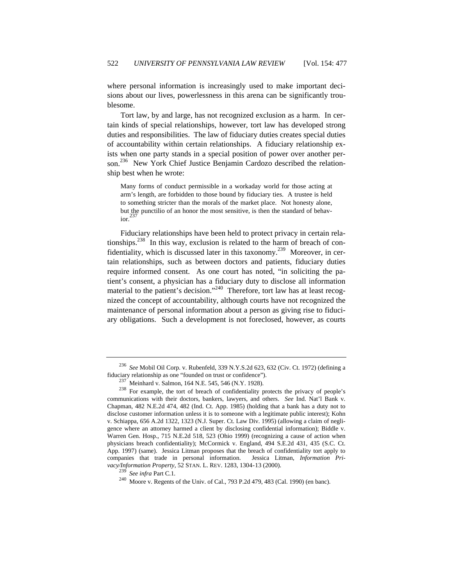where personal information is increasingly used to make important decisions about our lives, powerlessness in this arena can be significantly troublesome.

Tort law, by and large, has not recognized exclusion as a harm. In certain kinds of special relationships, however, tort law has developed strong duties and responsibilities. The law of fiduciary duties creates special duties of accountability within certain relationships. A fiduciary relationship exists when one party stands in a special position of power over another person. [236](#page-45-0) New York Chief Justice Benjamin Cardozo described the relationship best when he wrote:

Many forms of conduct permissible in a workaday world for those acting at arm's length, are forbidden to those bound by fiduciary ties. A trustee is held to something stricter than the morals of the market place. Not honesty alone, but the punctilio of an honor the most sensitive, is then the standard of behav- $\frac{1}{2}$ ior[.](#page-45-1)<sup>237</sup>

Fiduciary relationships have been held to protect privacy in certain relationships.<sup>238</sup> In this way, exclusion is related to the harm of breach of confidentiality, which is discussed later in this taxonomy.<sup>239</sup> Moreover, in certain relationships, such as between doctors and patients, fiduciary duties require informed consent. As one court has noted, "in soliciting the patient's consent, a physician has a fiduciary duty to disclose all information material to the patient's decision."<sup>240</sup> Therefore, tort law has at least recognized the concept of accountability, although courts have not recognized the maintenance of personal information about a person as giving rise to fiduciary obligations. Such a development is not foreclosed, however, as courts

<span id="page-45-0"></span><sup>&</sup>lt;sup>236</sup> *See* Mobil Oil Corp. v. Rubenfeld, 339 N.Y.S.2d 623, 632 (Civ. Ct. 1972) (defining a fiduciary relationship as one "founded on trust or confidence").

<span id="page-45-2"></span><span id="page-45-1"></span><sup>&</sup>lt;sup>237</sup> Meinhard v. Salmon, 164 N.E. 545, 546 (N.Y. 1928). <sup>238</sup> For example, the tort of breach of confidentiality protects the privacy of people's communications with their doctors, bankers, lawyers, and others. *See* Ind. Nat'l Bank v. Chapman, 482 N.E.2d 474, 482 (Ind. Ct. App. 1985) (holding that a bank has a duty not to disclose customer information unless it is to someone with a legitimate public interest); Kohn v. Schiappa, 656 A.2d 1322, 1323 (N.J. Super. Ct. Law Div. 1995) (allowing a claim of negligence where an attorney harmed a client by disclosing confidential information); Biddle v. Warren Gen. Hosp., 715 N.E.2d 518, 523 (Ohio 1999) (recognizing a cause of action when physicians breach confidentiality); McCormick v. England, 494 S.E.2d 431, 435 (S.C. Ct. App. 1997) (same). Jessica Litman proposes that the breach of confidentiality tort apply to companies that trade in personal information. Jessica Litman, *Information Privacy/Information Property*, 52 STAN. L. REV. 1283, 1304-13 (2000).

<span id="page-45-4"></span>

<span id="page-45-3"></span><sup>&</sup>lt;sup>239</sup> *See infra* Part C.1.<br><sup>240</sup> Moore v. Regents of the Univ. of Cal., 793 P.2d 479, 483 (Cal. 1990) (en banc).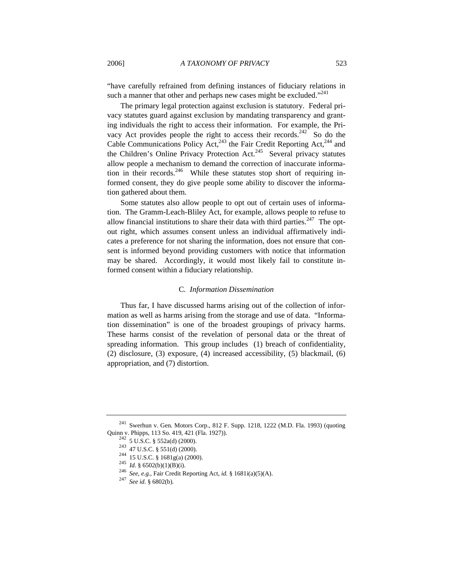"have carefully refrained from defining instances of fiduciary relations in such a manner that other and perhaps new cases might be excluded. $2^{241}$  $2^{241}$  $2^{241}$ 

The primary legal protection against exclusion is statutory. Federal privacy statutes guard against exclusion by mandating transparency and granting individuals the right to access their information. For example, the Privacy Act provides people the right to access their records.<sup>242</sup> So do the Cable Communications Policy Act, $243$  the Fair Credit Reporting Act, $244$  and the Children's Online Privacy Protection Act.<sup>245</sup> Several privacy statutes allow people a mechanism to demand the correction of inaccurate information in their records.<sup>246</sup> While these statutes stop short of requiring informed consent, they do give people some ability to discover the information gathered about them.

Some statutes also allow people to opt out of certain uses of information. The Gramm-Leach-Bliley Act, for example, allows people to refuse to allow financial institutions to share their data with third parties.<sup>247</sup> The optout right, which assumes consent unless an individual affirmatively indicates a preference for not sharing the information, does not ensure that consent is informed beyond providing customers with notice that information may be shared. Accordingly, it would most likely fail to constitute informed consent within a fiduciary relationship.

# C*. Information Dissemination*

Thus far, I have discussed harms arising out of the collection of information as well as harms arising from the storage and use of data. "Information dissemination" is one of the broadest groupings of privacy harms. These harms consist of the revelation of personal data or the threat of spreading information. This group includes (1) breach of confidentiality, (2) disclosure, (3) exposure, (4) increased accessibility, (5) blackmail, (6) appropriation, and (7) distortion.

<span id="page-46-0"></span><sup>&</sup>lt;sup>241</sup> Swerhun v. Gen. Motors Corp., 812 F. Supp. 1218, 1222 (M.D. Fla. 1993) (quoting Quinn v. Phipps, 113 So. 419, 421 (Fla. 1927)).<br>
<sup>242</sup> 5 U.S.C. § 552a(d) (2000).<br>
<sup>243</sup> 47 U.S.C. § 551(d) (2000).<br>
<sup>243</sup> 15 U.S.C. § 1681g(a) (2000).<br>
<sup>245</sup> *Id.* § 6502(b)(1)(B)(i).<br>
<sup>246</sup> *See, e.g.*, Fair Credit Repo

<span id="page-46-2"></span><span id="page-46-1"></span>

<span id="page-46-3"></span>

<span id="page-46-4"></span>

<span id="page-46-6"></span><span id="page-46-5"></span>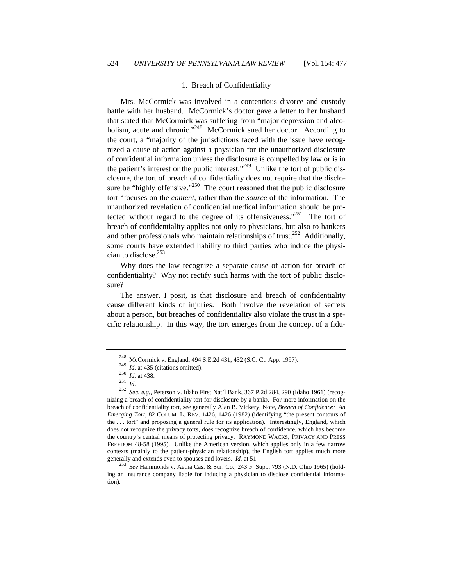## 1. Breach of Confidentiality

Mrs. McCormick was involved in a contentious divorce and custody battle with her husband. McCormick's doctor gave a letter to her husband that stated that McCormick was suffering from "major depression and alcoholism, acute and chronic."<sup>248</sup> McCormick sued her doctor. According to the court, a "majority of the jurisdictions faced with the issue have recognized a cause of action against a physician for the unauthorized disclosure of confidential information unless the disclosure is compelled by law or is in the patient's interest or the public interest."<sup>249</sup> Unlike the tort of public disclosure, the tort of breach of confidentiality does not require that the disclosure be "highly offensive."<sup>250</sup> The court reasoned that the public disclosure tort "focuses on the *content*, rather than the *source* of the information. The unauthorized revelation of confidential medical information should be protected without regard to the degree of its offensiveness."<sup>251</sup> The tort of breach of confidentiality applies not only to physicians, but also to bankers and other professionals who maintain relationships of trust.<sup>252</sup> Additionally, some courts have extended liability to third parties who induce the physician to disclose.<sup>253</sup>

Why does the law recognize a separate cause of action for breach of confidentiality? Why not rectify such harms with the tort of public disclosure?

The answer, I posit, is that disclosure and breach of confidentiality cause different kinds of injuries. Both involve the revelation of secrets about a person, but breaches of confidentiality also violate the trust in a specific relationship. In this way, the tort emerges from the concept of a fidu-

<span id="page-47-5"></span>ing an insurance company liable for inducing a physician to disclose confidential information).

<span id="page-47-0"></span><sup>&</sup>lt;sup>248</sup> McCormick v. England, 494 S.E.2d 431, 432 (S.C. Ct. App. 1997).<br><sup>249</sup> *Id.* at 435 (citations omitted).

<span id="page-47-4"></span>

<span id="page-47-3"></span><span id="page-47-2"></span><span id="page-47-1"></span><sup>250</sup> *Id.* at 438.<br>
251 *Id.*<br>
252 *See, e.g.*, Peterson v. Idaho First Nat'l Bank, 367 P.2d 284, 290 (Idaho 1961) (recog-<br>
252 *See, e.g.*, Peterson v. Idaho First Nat'l Bank, 367 P.2d 284, 290 (Idaho 1961) (recognizing a breach of confidentiality tort for disclosure by a bank). For more information on the breach of confidentiality tort, see generally Alan B. Vickery, Note, *Breach of Confidence: An Emerging Tort*, 82 COLUM. L. REV. 1426, 1426 (1982) (identifying "the present contours of the . . . tort" and proposing a general rule for its application). Interestingly, England, which does not recognize the privacy torts, does recognize breach of confidence, which has become the country's central means of protecting privacy. RAYMOND WACKS, PRIVACY AND PRESS FREEDOM 48-58 (1995). Unlike the American version, which applies only in a few narrow contexts (mainly to the patient-physician relationship), the English tort applies much more generally and extends even to spouses and lovers. *Id.* at 51.<br><sup>253</sup> *See* Hammonds v. Aetna Cas. & Sur. Co., 243 F. Supp. 793 (N.D. Ohio 1965) (hold-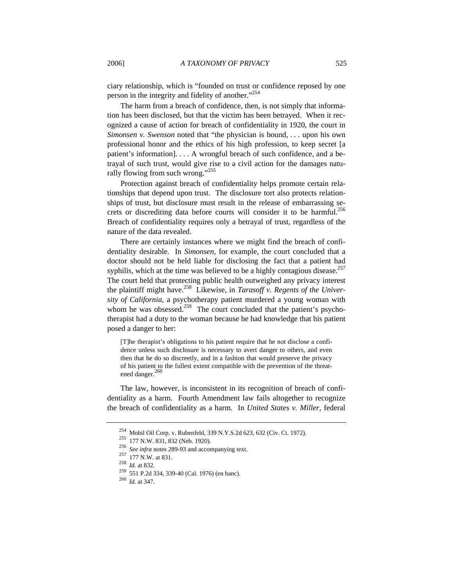ciary relationship, which is "founded on trust or confidence reposed by one person in the integrity and fidelity of another."<sup>[254](#page-48-0)</sup>

The harm from a breach of confidence, then, is not simply that information has been disclosed, but that the victim has been betrayed. When it recognized a cause of action for breach of confidentiality in 1920, the court in *Simonsen v. Swenson* noted that "the physician is bound, . . . upon his own professional honor and the ethics of his high profession, to keep secret [a patient's information]. . . . A wrongful breach of such confidence, and a betrayal of such trust, would give rise to a civil action for the damages naturally flowing from such wrong."<sup>255</sup>

Protection against breach of confidentiality helps promote certain relationships that depend upon trust. The disclosure tort also protects relationships of trust, but disclosure must result in the release of embarrassing secrets or discrediting data before courts will consider it to be harmful.<sup>256</sup> Breach of confidentiality requires only a betrayal of trust, regardless of the nature of the data revealed.

There are certainly instances where we might find the breach of confidentiality desirable. In *Simonsen*, for example, the court concluded that a doctor should not be held liable for disclosing the fact that a patient had syphilis, which at the time was believed to be a highly contagious disease.<sup>257</sup> The court held that protecting public health outweighed any privacy interest the plaintiff might have[.258](#page-48-4) Likewise, in *Tarasoff v. Regents of the University of California*, a psychotherapy patient murdered a young woman with whom he was obsessed.<sup>259</sup> The court concluded that the patient's psychotherapist had a duty to the woman because he had knowledge that his patient posed a danger to her:

[T]he therapist's obligations to his patient require that he not disclose a confidence unless such disclosure is necessary to avert danger to others, and even then that he do so discreetly, and in a fashion that would preserve the privacy of his patient to the fullest extent compatible with the prevention of the threat-ened danger[.](#page-48-6)<sup>260</sup>

The law, however, is inconsistent in its recognition of breach of confidentiality as a harm. Fourth Amendment law fails altogether to recognize the breach of confidentiality as a harm. In *United States v. Miller*, federal

<span id="page-48-0"></span><sup>&</sup>lt;sup>254</sup> Mobil Oil Corp. v. Rubenfeld, 339 N.Y.S.2d 623, 632 (Civ. Ct. 1972).<br><sup>255</sup> 177 N.W. 831, 832 (Neb. 1920).<br><sup>256</sup> *See infra* notes 289-93 and accompanying text.<br><sup>257</sup> 177 N.W. at 831.<br><sup>258</sup> *Id.* at 832.

<span id="page-48-1"></span>

<span id="page-48-2"></span>

<span id="page-48-3"></span>

<span id="page-48-4"></span>

<span id="page-48-5"></span><sup>259</sup> 551 P.2d 334, 339-40 (Cal. 1976) (en banc). 260 *Id.* at 347.

<span id="page-48-6"></span>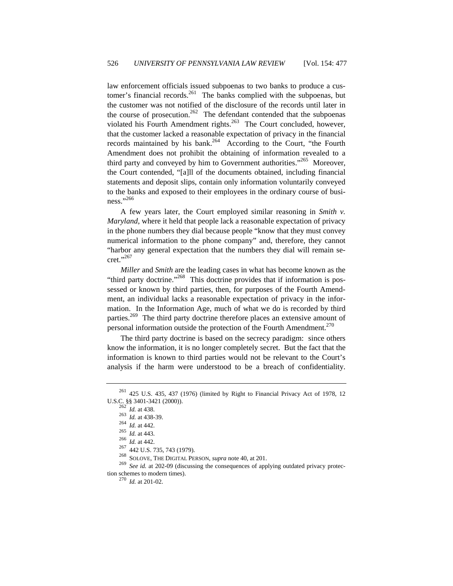law enforcement officials issued subpoenas to two banks to produce a customer's financial records.<sup>261</sup> The banks complied with the subpoenas, but the customer was not notified of the disclosure of the records until later in the course of prosecution.<sup>262</sup> The defendant contended that the subpoenas violated his Fourth Amendment rights.<sup>263</sup> The Court concluded, however, that the customer lacked a reasonable expectation of privacy in the financial records maintained by his bank. $264$  According to the Court, "the Fourth" Amendment does not prohibit the obtaining of information revealed to a third party and conveyed by him to Government authorities."<sup>265</sup> Moreover, the Court contended, "[a]ll of the documents obtained, including financial statements and deposit slips, contain only information voluntarily conveyed to the banks and exposed to their employees in the ordinary course of business."<sup>266</sup>

A few years later, the Court employed similar reasoning in *Smith v. Maryland*, where it held that people lack a reasonable expectation of privacy in the phone numbers they dial because people "know that they must convey numerical information to the phone company" and, therefore, they cannot "harbor any general expectation that the numbers they dial will remain secret."<sup>267</sup>

*Miller* and *Smith* are the leading cases in what has become known as the "third party doctrine."<sup>268</sup> This doctrine provides that if information is possessed or known by third parties, then, for purposes of the Fourth Amendment, an individual lacks a reasonable expectation of privacy in the information. In the Information Age, much of what we do is recorded by third parties.<sup>269</sup> The third party doctrine therefore places an extensive amount of personal information outside the protection of the Fourth Amendment.<sup> $270$ </sup>

The third party doctrine is based on the secrecy paradigm: since others know the information, it is no longer completely secret. But the fact that the information is known to third parties would not be relevant to the Court's analysis if the harm were understood to be a breach of confidentiality.

<span id="page-49-0"></span><sup>261</sup> 425 U.S. 435, 437 (1976) (limited by Right to Financial Privacy Act of 1978, 12 U.S.C. §§ 3401-3421 (2000)).<br>
<sup>262</sup> Id. at 438.<br>
<sup>263</sup> Id. at 438-39.<br>
<sup>264</sup> Id. at 442.<br>
<sup>265</sup> Id. at 442.<br>
<sup>266</sup> Id. at 442.<br>
<sup>266</sup> 442 U.S. 735, 743 (1979).<br>
<sup>268</sup> SOLOVE, THE DIGITAL PERSON, *supra* note 40, at 201.

<span id="page-49-1"></span>

<span id="page-49-2"></span>

<span id="page-49-3"></span>

<span id="page-49-4"></span>

<span id="page-49-5"></span>

<span id="page-49-6"></span>

<span id="page-49-8"></span><span id="page-49-7"></span><sup>269</sup> *See id.* at 202-09 (discussing the consequences of applying outdated privacy protection schemes to modern times).<br> $\frac{270}{Id}$ . at 201-02.

<span id="page-49-9"></span>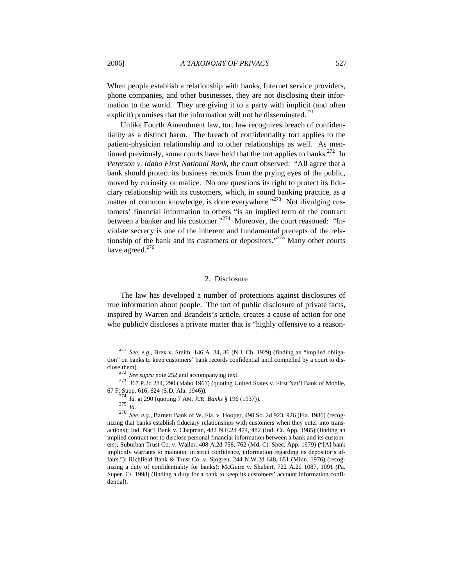When people establish a relationship with banks, Internet service providers, phone companies, and other businesses, they are not disclosing their information to the world. They are giving it to a party with implicit (and often explicit) promises that the information will not be disseminated.<sup>271</sup>

Unlike Fourth Amendment law, tort law recognizes breach of confidentiality as a distinct harm. The breach of confidentiality tort applies to the patient-physician relationship and to other relationships as well. As mentioned previously, some courts have held that the tort applies to banks.<sup>272</sup> In *Peterson v. Idaho First National Bank*, the court observed: "All agree that a bank should protect its business records from the prying eyes of the public, moved by curiosity or malice. No one questions its right to protect its fiduciary relationship with its customers, which, in sound banking practice, as a matter of common knowledge, is done everywhere." $273$  Not divulging customers' financial information to others "is an implied term of the contract between a banker and his customer."[274](#page-50-3) Moreover, the court reasoned: "Inviolate secrecy is one of the inherent and fundamental precepts of the relationship of the bank and its customers or depositors."<sup>275</sup> Many other courts have agreed. $276$ 

### 2. Disclosure

The law has developed a number of protections against disclosures of true information about people. The tort of public disclosure of private facts, inspired by Warren and Brandeis's article, creates a cause of action for one who publicly discloses a private matter that is "highly offensive to a reason-

<span id="page-50-0"></span><sup>271</sup> *See, e.g.*, Brex v. Smith, 146 A. 34, 36 (N.J. Ch. 1929) (finding an "implied obligation" on banks to keep customers' bank records confidential until compelled by a court to dis-

<span id="page-50-1"></span><sup>&</sup>lt;sup>272</sup> See supra note 252 and accompanying text.<br><sup>273</sup> 367 P.2d 284, 290 (Idaho 1961) (quoting United States v. First Nat'l Bank of Mobile,

<span id="page-50-4"></span><span id="page-50-3"></span>

<span id="page-50-5"></span>

<span id="page-50-2"></span><sup>67</sup> F. Supp. 616, 624 (S.D. Ala. 1946)). 274 *Id.* at 290 (quoting 7 AM. JUR. *Banks* § 196 (1937)). 275 *Id.* <sup>276</sup> *See, e.g.*, Barnett Bank of W. Fla. v. Hooper, 498 So. 2d 923, 926 (Fla. 1986) (recognizing that banks establish fiduciary relationships with customers when they enter into transactions); Ind. Nat'l Bank v. Chapman, 482 N.E.2d 474, 482 (Ind. Ct. App. 1985) (finding an implied contract not to disclose personal financial information between a bank and its customers); Suburban Trust Co. v. Waller, 408 A.2d 758, 762 (Md. Ct. Spec. App. 1979) ("[A] bank implicitly warrants to maintain, in strict confidence, information regarding its depositor's affairs."); Richfield Bank & Trust Co. v. Sjogren, 244 N.W.2d 648, 651 (Minn. 1976) (recognizing a duty of confidentiality for banks); McGuire v. Shubert, 722 A.2d 1087, 1091 (Pa. Super. Ct. 1998) (finding a duty for a bank to keep its customers' account information confidential).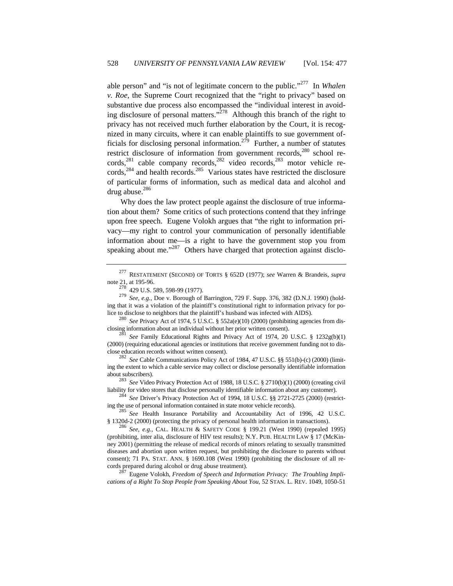<span id="page-51-10"></span>able person" and "is not of legitimate concern to the public.["277](#page-51-0) In *Whalen v. Roe*, the Supreme Court recognized that the "right to privacy" based on substantive due process also encompassed the "individual interest in avoiding disclosure of personal matters."<sup>278</sup> Although this branch of the right to privacy has not received much further elaboration by the Court, it is recognized in many circuits, where it can enable plaintiffs to sue government officials for disclosing personal information.<sup>279</sup> Further, a number of statutes restrict disclosure of information from government records,<sup>280</sup> school re- $\text{cords},^{281}$  cable company records,<sup>282</sup> video records,<sup>283</sup> motor vehicle records,<sup>284</sup> and health records.<sup>285</sup> Various states have restricted the disclosure of particular forms of information, such as medical data and alcohol and drug abuse.<sup>286</sup>

Why does the law protect people against the disclosure of true information about them? Some critics of such protections contend that they infringe upon free speech. Eugene Volokh argues that "the right to information privacy—my right to control your communication of personally identifiable information about me—is a right to have the government stop you from speaking about me."<sup>287</sup> Others have charged that protection against disclo-

<span id="page-51-2"></span><span id="page-51-1"></span><sup>279</sup> *See, e.g.*, Doe v. Borough of Barrington, 729 F. Supp. 376, 382 (D.N.J. 1990) (holding that it was a violation of the plaintiff's constitutional right to information privacy for po-

<span id="page-51-3"></span>lice to disclose to neighbors that the plaintiff's husband was infected with AIDS).<br><sup>280</sup> *See* Privacy Act of 1974, 5 U.S.C. § 552a(e)(10) (2000) (prohibiting agencies from dis-<br>closing information about an individual wit

<span id="page-51-4"></span>See Family Educational Rights and Privacy Act of 1974, 20 U.S.C. § 1232g(b)(1) (2000) (requiring educational agencies or institutions that receive government funding not to disclose education records without written consent). 282 *See* Cable Communications Policy Act of 1984, 47 U.S.C. §§ 551(b)-(c) (2000) (limit-

<span id="page-51-5"></span>ing the extent to which a cable service may collect or disclose personally identifiable information

<span id="page-51-6"></span>about subscribers). 283 *See* Video Privacy Protection Act of 1988, 18 U.S.C. § 2710(b)(1) (2000) (creating civil liability for video stores that disclose personally identifiable information about any customer). 284 *See* Driver's Privacy Protection Act of 1994, 18 U.S.C. §§ 2721-2725 (2000) (restrict-

<span id="page-51-7"></span>ing the use of personal information contained in state motor vehicle records). 285 *See* Health Insurance Portability and Accountability Act of 1996, 42 U.S.C.

<span id="page-51-8"></span>§ 1320d-2 (2000) (protecting the privacy of personal health information in transactions). 286 *See, e.g.*, CAL. HEALTH & SAFETY CODE § 199.21 (West 1990) (repealed 1995)

<span id="page-51-9"></span>(prohibiting, inter alia, disclosure of HIV test results); N.Y. PUB. HEALTH LAW § 17 (McKinney 2001) (permitting the release of medical records of minors relating to sexually transmitted diseases and abortion upon written request, but prohibiting the disclosure to parents without consent); 71 PA. STAT. ANN. § 1690.108 (West 1990) (prohibiting the disclosure of all records prepared during alcohol or drug abuse treatment).<br><sup>287</sup> Eugene Volokh, *Freedom of Speech and Information Privacy: The Troubling Impli-*

*cations of a Right To Stop People from Speaking About You*, 52 STAN. L. REV. 1049, 1050-51

<span id="page-51-0"></span><sup>277</sup> RESTATEMENT (SECOND) OF TORTS § 652D (1977); *see* Warren & Brandeis, *supra* note 21, at 195-96.<br><sup>278</sup> 429 U.S. 589, 598-99 (1977).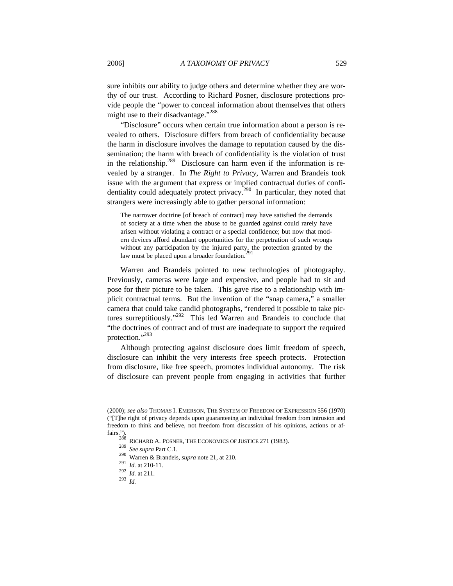sure inhibits our ability to judge others and determine whether they are worthy of our trust. According to Richard Posner, disclosure protections provide people the "power to conceal information about themselves that others might use to their disadvantage."<sup>288</sup>

"Disclosure" occurs when certain true information about a person is revealed to others. Disclosure differs from breach of confidentiality because the harm in disclosure involves the damage to reputation caused by the dissemination; the harm with breach of confidentiality is the violation of trust in the relationship.<sup>289</sup> Disclosure can harm even if the information is revealed by a stranger. In *The Right to Privacy*, Warren and Brandeis took issue with the argument that express or implied contractual duties of confidentiality could adequately protect privacy.<sup>290</sup> In particular, they noted that strangers were increasingly able to gather personal information:

The narrower doctrine [of breach of contract] may have satisfied the demands of society at a time when the abuse to be guarded against could rarely have arisen without violating a contract or a special confidence; but now that modern devices afford abundant opportunities for the perpetration of such wrongs without any participation by the injured party, the protection granted by the law must be placed upon a broader foundation[.](#page-52-3)<sup>2</sup>

Warren and Brandeis pointed to new technologies of photography. Previously, cameras were large and expensive, and people had to sit and pose for their picture to be taken. This gave rise to a relationship with implicit contractual terms. But the invention of the "snap camera," a smaller camera that could take candid photographs, "rendered it possible to take pictures surreptitiously."<sup>292</sup> This led Warren and Brandeis to conclude that "the doctrines of contract and of trust are inadequate to support the required protection."<sup>293</sup>

Although protecting against disclosure does limit freedom of speech, disclosure can inhibit the very interests free speech protects. Protection from disclosure, like free speech, promotes individual autonomy. The risk of disclosure can prevent people from engaging in activities that further

<sup>(2000);</sup> *see also* THOMAS I. EMERSON, THE SYSTEM OF FREEDOM OF EXPRESSION 556 (1970) ("[T]he right of privacy depends upon guaranteeing an individual freedom from intrusion and freedom to think and believe, not freedom from discussion of his opinions, actions or affairs.").<br><sup>288</sup> RICHARD A. POSNER, THE ECONOMICS OF JUSTICE 271 (1983).

<span id="page-52-0"></span>

<span id="page-52-1"></span><sup>289</sup> *See supra* Part C.1.

<sup>290</sup> Warren & Brandeis, *supra* note 21, at 210.

<span id="page-52-3"></span><span id="page-52-2"></span><sup>291</sup> *Id.* at 210-11.

<span id="page-52-4"></span><sup>292</sup> *Id.* at 211.

<span id="page-52-5"></span><sup>293</sup> *Id.*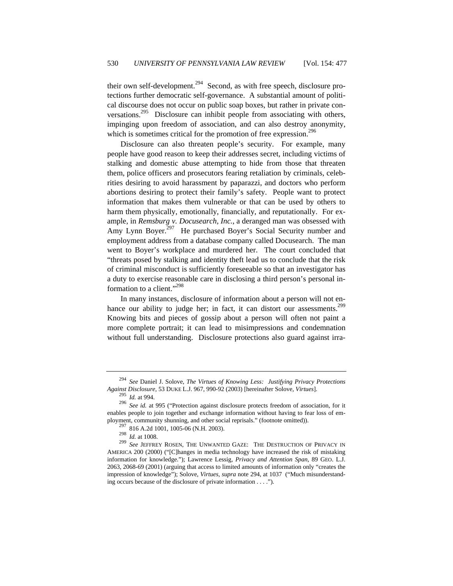their own self-development.<sup>294</sup> Second, as with free speech, disclosure protections further democratic self-governance. A substantial amount of political discourse does not occur on public soap boxes, but rather in private conversations.<sup>295</sup> Disclosure can inhibit people from associating with others, impinging upon freedom of association, and can also destroy anonymity, which is sometimes critical for the promotion of free expression.<sup>296</sup>

Disclosure can also threaten people's security. For example, many people have good reason to keep their addresses secret, including victims of stalking and domestic abuse attempting to hide from those that threaten them, police officers and prosecutors fearing retaliation by criminals, celebrities desiring to avoid harassment by paparazzi, and doctors who perform abortions desiring to protect their family's safety. People want to protect information that makes them vulnerable or that can be used by others to harm them physically, emotionally, financially, and reputationally. For example, in *Remsburg v. Docusearch, Inc.*, a deranged man was obsessed with Amy Lynn Boyer.<sup>297</sup> He purchased Boyer's Social Security number and employment address from a database company called Docusearch. The man went to Boyer's workplace and murdered her. The court concluded that "threats posed by stalking and identity theft lead us to conclude that the risk of criminal misconduct is sufficiently foreseeable so that an investigator has a duty to exercise reasonable care in disclosing a third person's personal in-formation to a client."<sup>[298](#page-53-4)</sup>

In many instances, disclosure of information about a person will not enhance our ability to judge her; in fact, it can distort our assessments.<sup>299</sup> Knowing bits and pieces of gossip about a person will often not paint a more complete portrait; it can lead to misimpressions and condemnation without full understanding. Disclosure protections also guard against irra-

<span id="page-53-0"></span><sup>294</sup> *See* Daniel J. Solove, *The Virtues of Knowing Less: Justifying Privacy Protections Against Disclosure*, 53 DUKE L.J. 967, 990-92 (2003) [hereinafter Solove, *Virtues*].

<sup>295</sup> *Id.* at 994.

<span id="page-53-2"></span><span id="page-53-1"></span><sup>296</sup> *See id.* at 995 ("Protection against disclosure protects freedom of association, for it enables people to join together and exchange information without having to fear loss of employment, community shunning, and other social reprisals." (footnote omitted)).

<span id="page-53-3"></span> $^{297}$  816 A.2d 1001, 1005-06 (N.H. 2003).<br><sup>298</sup> *M* at 1008

 $\frac{298}{299}$  *Id.* at 1008.

<span id="page-53-5"></span><span id="page-53-4"></span>**See JEFFREY ROSEN, THE UNWANTED GAZE: THE DESTRUCTION OF PRIVACY IN** AMERICA 200 (2000) ("[C]hanges in media technology have increased the risk of mistaking information for knowledge."); Lawrence Lessig, *Privacy and Attention Span*, 89 GEO. L.J. 2063, 2068-69 (2001) (arguing that access to limited amounts of information only "creates the impression of knowledge"); Solove, *Virtues*, *supra* note 294, at 1037 ("Much misunderstanding occurs because of the disclosure of private information . . . .").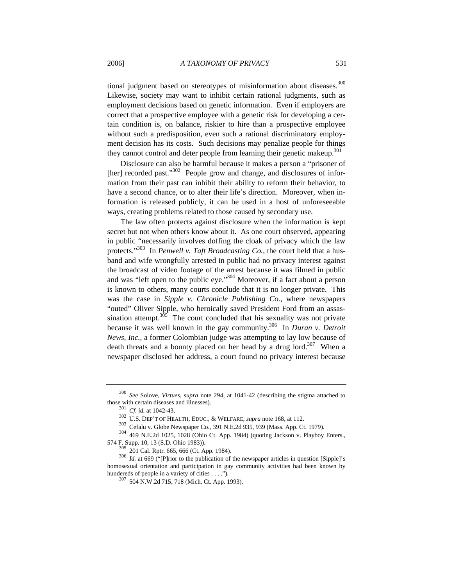tional judgment based on stereotypes of misinformation about diseases.<sup>300</sup> Likewise, society may want to inhibit certain rational judgments, such as employment decisions based on genetic information. Even if employers are correct that a prospective employee with a genetic risk for developing a certain condition is, on balance, riskier to hire than a prospective employee without such a predisposition, even such a rational discriminatory employment decision has its costs. Such decisions may penalize people for things they cannot control and deter people from learning their genetic makeup.<sup>301</sup>

Disclosure can also be harmful because it makes a person a "prisoner of [her] recorded past."<sup>302</sup> People grow and change, and disclosures of information from their past can inhibit their ability to reform their behavior, to have a second chance, or to alter their life's direction. Moreover, when information is released publicly, it can be used in a host of unforeseeable ways, creating problems related to those caused by secondary use.

The law often protects against disclosure when the information is kept secret but not when others know about it. As one court observed, appearing in public "necessarily involves doffing the cloak of privacy which the law protects."<sup>303</sup> In *Penwell v. Taft Broadcasting Co.*, the court held that a husband and wife wrongfully arrested in public had no privacy interest against the broadcast of video footage of the arrest because it was filmed in public and was "left open to the public eye."<sup>304</sup> Moreover, if a fact about a person is known to others, many courts conclude that it is no longer private. This was the case in *Sipple v. Chronicle Publishing Co.*, where newspapers "outed" Oliver Sipple, who heroically saved President Ford from an assassination attempt. $305$  The court concluded that his sexuality was not private because it was well known in the gay community.[306](#page-54-6) In *Duran v. Detroit News, Inc.*, a former Colombian judge was attempting to lay low because of death threats and a bounty placed on her head by a drug lord.<sup>307</sup> When a newspaper disclosed her address, a court found no privacy interest because

<span id="page-54-0"></span><sup>300</sup> *See* Solove, *Virtues*, *supra* note 294, at 1041-42 (describing the stigma attached to

<span id="page-54-3"></span>

<span id="page-54-2"></span><span id="page-54-1"></span><sup>&</sup>lt;sup>301</sup> *Cf. id.* at 1042-43.<br><sup>302</sup> U.S. DEP'T OF HEALTH, EDUC., & WELFARE, *supra* note 168, at 112.<br><sup>303</sup> Cefalu v. Globe Newspaper Co., 391 N.E.2d 935, 939 (Mass. App. Ct. 1979).<br><sup>304</sup> 469 N.E.2d 1025, 1028 (Ohio Ct. App

<span id="page-54-6"></span>

<span id="page-54-5"></span><span id="page-54-4"></span><sup>574</sup> F. Supp. 10, 13 (S.D. Ohio 1983)). 305 201 Cal. Rptr. 665, 666 (Ct. App. 1984). 306 *Id.* at 669 ("[P]rior to the publication of the newspaper articles in question [Sipple]'s homosexual orientation and participation in gay community activities had been known by hundereds of people in a variety of cities . . . .").<br><sup>307</sup> 504 N.W.2d 715, 718 (Mich. Ct. App. 1993).

<span id="page-54-7"></span>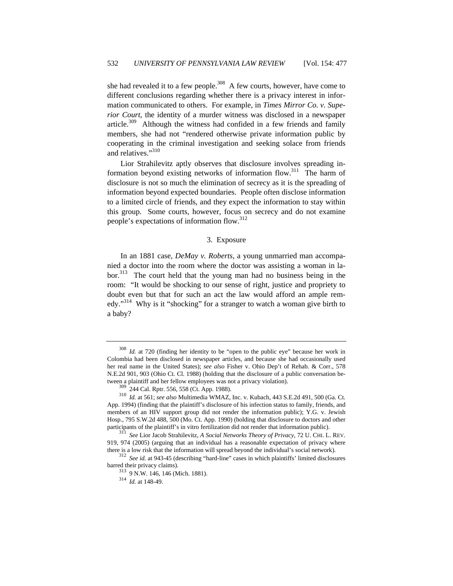she had revealed it to a few people.<sup>308</sup> A few courts, however, have come to different conclusions regarding whether there is a privacy interest in information communicated to others. For example, in *Times Mirror Co. v. Superior Court*, the identity of a murder witness was disclosed in a newspaper article.<sup>309</sup> Although the witness had confided in a few friends and family members, she had not "rendered otherwise private information public by cooperating in the criminal investigation and seeking solace from friends and relatives."<sup>310</sup>

Lior Strahilevitz aptly observes that disclosure involves spreading information beyond existing networks of information flow.<sup>311</sup> The harm of disclosure is not so much the elimination of secrecy as it is the spreading of information beyond expected boundaries. People often disclose information to a limited circle of friends, and they expect the information to stay within this group. Some courts, however, focus on secrecy and do not examine people's expectations of information flow[.312](#page-55-4)

### 3. Exposure

In an 1881 case, *DeMay v. Roberts*, a young unmarried man accompanied a doctor into the room where the doctor was assisting a woman in labor[.313](#page-55-5) The court held that the young man had no business being in the room: "It would be shocking to our sense of right, justice and propriety to doubt even but that for such an act the law would afford an ample remedy."<sup>314</sup> Why is it "shocking" for a stranger to watch a woman give birth to a baby?

<span id="page-55-0"></span><sup>308</sup> *Id.* at 720 (finding her identity to be "open to the public eye" because her work in Colombia had been disclosed in newspaper articles, and because she had occasionally used her real name in the United States); *see also* Fisher v. Ohio Dep't of Rehab. & Corr., 578 N.E.2d 901, 903 (Ohio Ct. Cl. 1988) (holding that the disclosure of a public conversation between a plaintiff and her fellow employees was not a privacy violation).

<span id="page-55-2"></span><span id="page-55-1"></span><sup>309</sup> 244 Cal. Rptr. 556, 558 (Ct. App. 1988). 310 *Id.* at 561; *see also* Multimedia WMAZ, Inc. v. Kubach, 443 S.E.2d 491, 500 (Ga. Ct. App. 1994) (finding that the plaintiff's disclosure of his infection status to family, friends, and members of an HIV support group did not render the information public); Y.G. v. Jewish Hosp., 795 S.W.2d 488, 500 (Mo. Ct. App. 1990) (holding that disclosure to doctors and other participants of the plaintiff's in vitro fertilization did not render that information public).

<span id="page-55-3"></span>participants of the plaintiff's in vitro fertilization did not render that information public). 311 *See* Lior Jacob Strahilevitz, *A Social Networks Theory of Privacy*, 72 U. CHI. L. REV. 919, 974 (2005) (arguing that an individual has a reasonable expectation of privacy where there is a low risk that the information will spread beyond the individual's social network). 312 *See id.* at 943-45 (describing "hard-line" cases in which plaintiffs' limited disclosures

<span id="page-55-4"></span>barred their privacy claims).<br><sup>313</sup> 9 N.W. 146, 146 (Mich. 1881).<br><sup>314</sup> *Id.* at 148-49.

<span id="page-55-6"></span><span id="page-55-5"></span>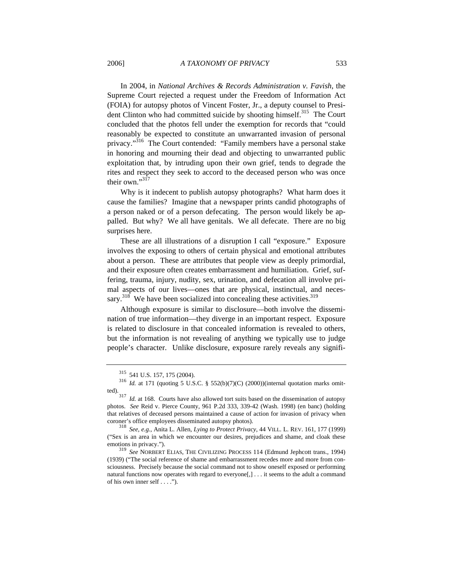In 2004, in *National Archives & Records Administration v. Favish*, the Supreme Court rejected a request under the Freedom of Information Act (FOIA) for autopsy photos of Vincent Foster, Jr., a deputy counsel to President Clinton who had committed suicide by shooting himself.<sup>315</sup> The Court concluded that the photos fell under the exemption for records that "could reasonably be expected to constitute an unwarranted invasion of personal privacy."<sup>316</sup> The Court contended: "Family members have a personal stake in honoring and mourning their dead and objecting to unwarranted public exploitation that, by intruding upon their own grief, tends to degrade the rites and respect they seek to accord to the deceased person who was once their own."<sup>317</sup>

Why is it indecent to publish autopsy photographs? What harm does it cause the families? Imagine that a newspaper prints candid photographs of a person naked or of a person defecating. The person would likely be appalled. But why? We all have genitals. We all defecate. There are no big surprises here.

These are all illustrations of a disruption I call "exposure." Exposure involves the exposing to others of certain physical and emotional attributes about a person. These are attributes that people view as deeply primordial, and their exposure often creates embarrassment and humiliation. Grief, suffering, trauma, injury, nudity, sex, urination, and defecation all involve primal aspects of our lives—ones that are physical, instinctual, and necessary.<sup>318</sup> We have been socialized into concealing these activities.<sup>319</sup>

Although exposure is similar to disclosure—both involve the dissemination of true information—they diverge in an important respect. Exposure is related to disclosure in that concealed information is revealed to others, but the information is not revealing of anything we typically use to judge people's character. Unlike disclosure, exposure rarely reveals any signifi-

<span id="page-56-1"></span><span id="page-56-0"></span><sup>315</sup> 541 U.S. 157, 175 (2004). 316 *Id.* at 171 (quoting 5 U.S.C. § 552(b)(7)(C) (2000))(internal quotation marks omitted). 317 *Id.* at 168. Courts have also allowed tort suits based on the dissemination of autopsy

<span id="page-56-2"></span>photos. *See* Reid v. Pierce County, 961 P.2d 333, 339-42 (Wash. 1998) (en banc) (holding that relatives of deceased persons maintained a cause of action for invasion of privacy when

<span id="page-56-3"></span>coroner's office employees disseminated autopsy photos). 318 *See, e.g.*, Anita L. Allen, *Lying to Protect Privacy*, 44 VILL. L. REV. 161, 177 (1999) ("Sex is an area in which we encounter our desires, prejudices and shame, and cloak these emotions in privacy.").

<span id="page-56-4"></span><sup>319</sup> *See* NORBERT ELIAS, THE CIVILIZING PROCESS 114 (Edmund Jephcott trans., 1994) (1939) ("The social reference of shame and embarrassment recedes more and more from consciousness. Precisely because the social command not to show oneself exposed or performing natural functions now operates with regard to everyone[,] . . . it seems to the adult a command of his own inner self . . . .").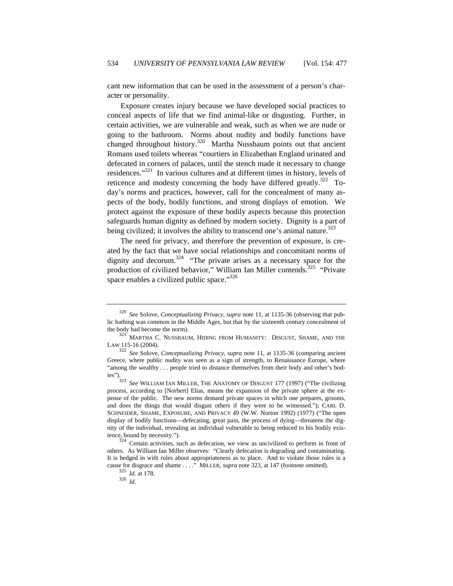cant new information that can be used in the assessment of a person's character or personality.

Exposure creates injury because we have developed social practices to conceal aspects of life that we find animal-like or disgusting. Further, in certain activities, we are vulnerable and weak, such as when we are nude or going to the bathroom. Norms about nudity and bodily functions have changed throughout history.<sup>320</sup> Martha Nussbaum points out that ancient Romans used toilets whereas "courtiers in Elizabethan England urinated and defecated in corners of palaces, until the stench made it necessary to change residences."<sup>321</sup> In various cultures and at different times in history, levels of reticence and modesty concerning the body have differed greatly.<sup>322</sup> Today's norms and practices, however, call for the concealment of many aspects of the body, bodily functions, and strong displays of emotion. We protect against the exposure of these bodily aspects because this protection safeguards human dignity as defined by modern society. Dignity is a part of being civilized; it involves the ability to transcend one's animal nature.<sup>323</sup>

The need for privacy, and therefore the prevention of exposure, is created by the fact that we have social relationships and concomitant norms of dignity and decorum.<sup>324</sup> "The private arises as a necessary space for the production of civilized behavior," William Ian Miller contends.<sup>325</sup> "Private space enables a civilized public space."<sup>326</sup>

<span id="page-57-0"></span><sup>320</sup> *See* Solove, *Conceptualizing Privacy*, *supra* note 11, at 1135-36 (observing that public bathing was common in the Middle Ages, but that by the sixteenth century concealment of the body had become the norm).

<span id="page-57-1"></span><sup>321</sup> MARTHA C. NUSSBAUM, HIDING FROM HUMANITY: DISGUST, SHAME, AND THE LAW 115-16 (2004).

<span id="page-57-2"></span><sup>322</sup> *See* Solove, *Conceptualizing Privacy*, *supra* note 11, at 1135-36 (comparing ancient Greece, where public nudity was seen as a sign of strength, to Renaissance Europe, where "among the wealthy ... people tried to distance themselves from their body and other's bod-<br>ies").

<span id="page-57-3"></span>See WILLIAM IAN MILLER, THE ANATOMY OF DISGUST 177 (1997) ("The civilizing process, according to [Norbert] Elias, means the expansion of the private sphere at the expense of the public. The new norms demand private spaces in which one prepares, grooms, and does the things that would disgust others if they were to be witnessed."); CARL D. SCHNEIDER, SHAME, EXPOSURE, AND PRIVACY 49 (W.W. Norton 1992) (1977) ("The open display of bodily functions—defecating, great pain, the process of dying—threatens the dignity of the individual, revealing an individual vulnerable to being reduced to his bodily exis-

<span id="page-57-4"></span>tence, bound by necessity.").  $324$  Certain activities, such as defecation, we view as uncivilized to perform in front of others. As William Ian Miller observes: "Clearly defecation is degrading and contaminating. It is hedged in with rules about appropriateness as to place. And to violate those rules is a cause for disgrace and shame . . . ." MILLER, *supra* note 323, at 147 (footnote omitted).<br><sup>325</sup> *Id.* at 178.<br><sup>326</sup> *Id.* 

<span id="page-57-5"></span>

<span id="page-57-6"></span>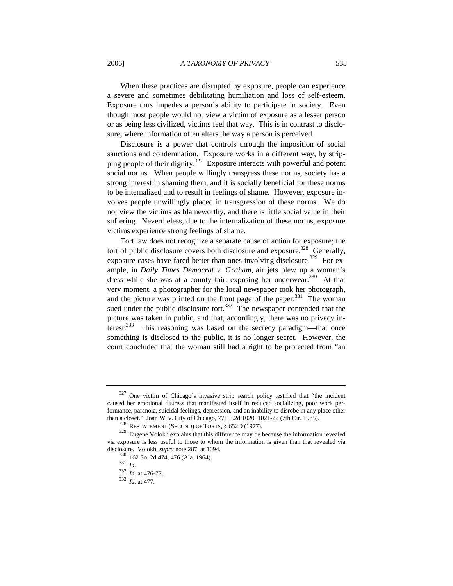When these practices are disrupted by exposure, people can experience a severe and sometimes debilitating humiliation and loss of self-esteem. Exposure thus impedes a person's ability to participate in society. Even though most people would not view a victim of exposure as a lesser person or as being less civilized, victims feel that way. This is in contrast to disclosure, where information often alters the way a person is perceived.

Disclosure is a power that controls through the imposition of social sanctions and condemnation. Exposure works in a different way, by stripping people of their dignity.<sup>327</sup> Exposure interacts with powerful and potent social norms. When people willingly transgress these norms, society has a strong interest in shaming them, and it is socially beneficial for these norms to be internalized and to result in feelings of shame. However, exposure involves people unwillingly placed in transgression of these norms. We do not view the victims as blameworthy, and there is little social value in their suffering. Nevertheless, due to the internalization of these norms, exposure victims experience strong feelings of shame.

Tort law does not recognize a separate cause of action for exposure; the tort of public disclosure covers both disclosure and exposure.<sup>328</sup> Generally, exposure cases have fared better than ones involving disclosure.<sup>329</sup> For example, in *Daily Times Democrat v. Graham*, air jets blew up a woman's dress while she was at a county fair, exposing her underwear.<sup>330</sup> At that very moment, a photographer for the local newspaper took her photograph, and the picture was printed on the front page of the paper. $331$  The woman sued under the public disclosure tort.<sup>332</sup> The newspaper contended that the picture was taken in public, and that, accordingly, there was no privacy interest.<sup>333</sup> This reasoning was based on the secrecy paradigm—that once something is disclosed to the public, it is no longer secret. However, the court concluded that the woman still had a right to be protected from "an

<span id="page-58-0"></span> $327$  One victim of Chicago's invasive strip search policy testified that "the incident caused her emotional distress that manifested itself in reduced socializing, poor work performance, paranoia, suicidal feelings, depression, and an inability to disrobe in any place other than a closet." Joan W. v. City of Chicago, 771 F.2d 1020, 1021-22 (7th Cir. 1985). 328 RESTATEMENT (SECOND) OF TORTS, § 652D (1977).

<span id="page-58-2"></span><span id="page-58-1"></span><sup>329</sup> Eugene Volokh explains that this difference may be because the information revealed via exposure is less useful to those to whom the information is given than that revealed via disclosure. Volokh, *supra* note 287, at 1094.<br><sup>330</sup> 162 So. 2d 474, 476 (Ala. 1964).<br><sup>331</sup> *Id.* at 476-77.<br><sup>333</sup> *Id.* at 477.

<span id="page-58-3"></span>

<span id="page-58-4"></span>

<span id="page-58-5"></span>

<span id="page-58-6"></span>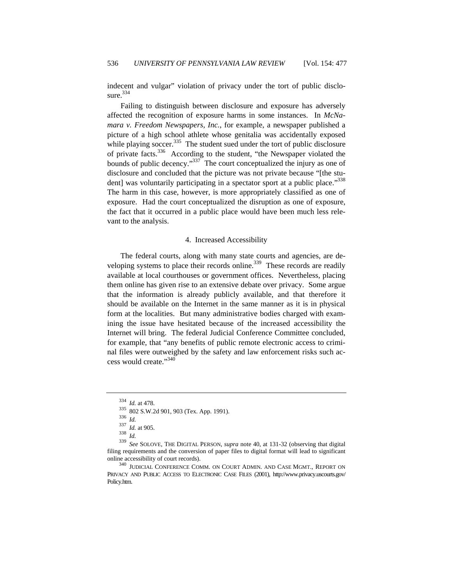indecent and vulgar" violation of privacy under the tort of public disclosure. [334](#page-59-0)

Failing to distinguish between disclosure and exposure has adversely affected the recognition of exposure harms in some instances. In *McNamara v. Freedom Newspapers, Inc.*, for example, a newspaper published a picture of a high school athlete whose genitalia was accidentally exposed while playing soccer.<sup>335</sup> The student sued under the tort of public disclosure of private facts.[336](#page-59-2) According to the student, "the Newspaper violated the bounds of public decency."<sup>337</sup> The court conceptualized the injury as one of disclosure and concluded that the picture was not private because "[the student] was voluntarily participating in a spectator sport at a public place."<sup>338</sup> The harm in this case, however, is more appropriately classified as one of exposure. Had the court conceptualized the disruption as one of exposure, the fact that it occurred in a public place would have been much less relevant to the analysis.

#### 4. Increased Accessibility

The federal courts, along with many state courts and agencies, are developing systems to place their records online.<sup>339</sup> These records are readily available at local courthouses or government offices. Nevertheless, placing them online has given rise to an extensive debate over privacy. Some argue that the information is already publicly available, and that therefore it should be available on the Internet in the same manner as it is in physical form at the localities. But many administrative bodies charged with examining the issue have hesitated because of the increased accessibility the Internet will bring. The federal Judicial Conference Committee concluded, for example, that "any benefits of public remote electronic access to criminal files were outweighed by the safety and law enforcement risks such access would create.["340](#page-59-6)

<span id="page-59-1"></span><span id="page-59-0"></span>

<sup>334</sup> *Id.* at 478.<br>
335 802 S.W.2d 901, 903 (Tex. App. 1991).<br>
336 *Id.*<br>
338 *Id.* 339 See SOLOVE TUE DIGITAL PERSON 538

<span id="page-59-2"></span>

<span id="page-59-3"></span>

<span id="page-59-5"></span><span id="page-59-4"></span>See SOLOVE, THE DIGITAL PERSON, *supra* note 40, at 131-32 (observing that digital filing requirements and the conversion of paper files to digital format will lead to significant online accessibility of court records).<br><sup>340</sup> JUDICIAL CONFERENCE COMM. ON COURT ADMIN. AND CASE MGMT., REPORT ON

<span id="page-59-6"></span>PRIVACY AND PUBLIC ACCESS TO ELECTRONIC CASE FILES (2001), http://www.privacy.uscourts.gov/ Policy.htm.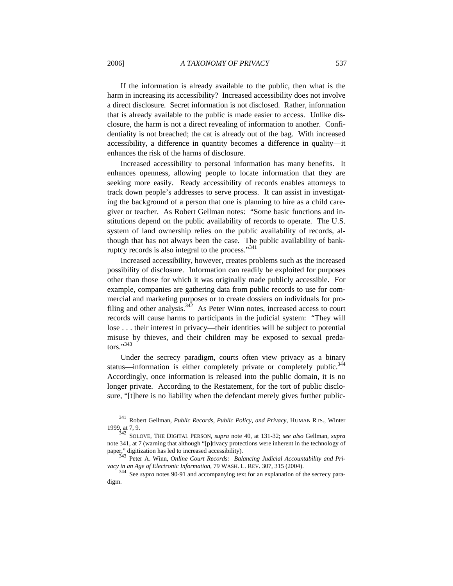If the information is already available to the public, then what is the harm in increasing its accessibility? Increased accessibility does not involve a direct disclosure. Secret information is not disclosed. Rather, information that is already available to the public is made easier to access. Unlike disclosure, the harm is not a direct revealing of information to another. Confidentiality is not breached; the cat is already out of the bag. With increased accessibility, a difference in quantity becomes a difference in quality—it enhances the risk of the harms of disclosure.

Increased accessibility to personal information has many benefits. It enhances openness, allowing people to locate information that they are seeking more easily. Ready accessibility of records enables attorneys to track down people's addresses to serve process. It can assist in investigating the background of a person that one is planning to hire as a child caregiver or teacher. As Robert Gellman notes: "Some basic functions and institutions depend on the public availability of records to operate. The U.S. system of land ownership relies on the public availability of records, although that has not always been the case. The public availability of bank-ruptcy records is also integral to the process."<sup>[341](#page-60-0)</sup>

Increased accessibility, however, creates problems such as the increased possibility of disclosure. Information can readily be exploited for purposes other than those for which it was originally made publicly accessible. For example, companies are gathering data from public records to use for commercial and marketing purposes or to create dossiers on individuals for profiling and other analysis. $342$  As Peter Winn notes, increased access to court records will cause harms to participants in the judicial system: "They will lose . . . their interest in privacy—their identities will be subject to potential misuse by thieves, and their children may be exposed to sexual predators."<sup>343</sup>

Under the secrecy paradigm, courts often view privacy as a binary status—information is either completely private or completely public. $344$ Accordingly, once information is released into the public domain, it is no longer private. According to the Restatement, for the tort of public disclosure, "[t]here is no liability when the defendant merely gives further public-

<span id="page-60-0"></span><sup>341</sup> Robert Gellman, *Public Records, Public Policy, and Privacy*, HUMAN RTS., Winter

<span id="page-60-1"></span><sup>1999,</sup> at 7, 9. 342 SOLOVE, THE DIGITAL PERSON, *supra* note 40, at 131-32; *see also* Gellman, *supra* note 341, at 7 (warning that although "[p]rivacy protections were inherent in the technology of

<span id="page-60-2"></span>paper," digitization has led to increased accessibility).<br><sup>343</sup> Peter A. Winn, *Online Court Records: Balancing Judicial Accountability and Pri-*<br>*vacy in an Age of Electronic Information*, 79 WASH. L. REV. 307, 315 (2004)

<span id="page-60-3"></span><sup>&</sup>lt;sup>344</sup> See *supra* notes 90-91 and accompanying text for an explanation of the secrecy paradigm.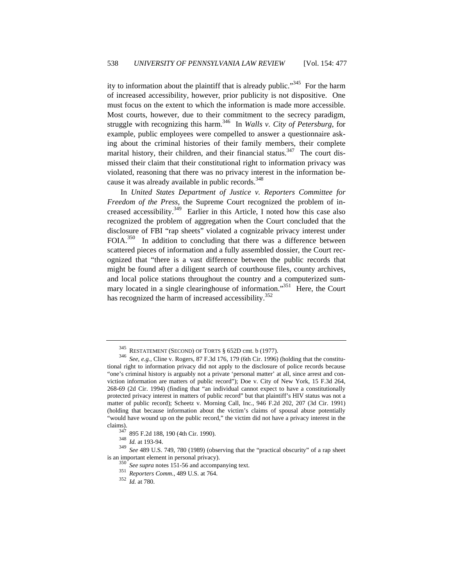ity to information about the plaintiff that is already public."<sup>345</sup> For the harm of increased accessibility, however, prior publicity is not dispositive. One must focus on the extent to which the information is made more accessible. Most courts, however, due to their commitment to the secrecy paradigm, struggle with recognizing this harm.[346](#page-61-1) In *Walls v. City of Petersburg*, for example, public employees were compelled to answer a questionnaire asking about the criminal histories of their family members, their complete marital history, their children, and their financial status.<sup>347</sup> The court dismissed their claim that their constitutional right to information privacy was violated, reasoning that there was no privacy interest in the information because it was already available in public records.<sup>348</sup>

In *United States Department of Justice v. Reporters Committee for Freedom of the Press*, the Supreme Court recognized the problem of increased accessibility.<sup>349</sup> Earlier in this Article, I noted how this case also recognized the problem of aggregation when the Court concluded that the disclosure of FBI "rap sheets" violated a cognizable privacy interest under FOIA.<sup>350</sup> In addition to concluding that there was a difference between scattered pieces of information and a fully assembled dossier, the Court recognized that "there is a vast difference between the public records that might be found after a diligent search of courthouse files, county archives, and local police stations throughout the country and a computerized summary located in a single clearinghouse of information."<sup>351</sup> Here, the Court has recognized the harm of increased accessibility.<sup>352</sup>

<span id="page-61-6"></span>

<span id="page-61-1"></span><span id="page-61-0"></span><sup>345</sup> RESTATEMENT (SECOND) OF TORTS § 652D cmt. b (1977). 346 *See, e.g.*, Cline v. Rogers, 87 F.3d 176, 179 (6th Cir. 1996) (holding that the constitutional right to information privacy did not apply to the disclosure of police records because "one's criminal history is arguably not a private 'personal matter' at all, since arrest and conviction information are matters of public record"); Doe v. City of New York, 15 F.3d 264, 268-69 (2d Cir. 1994) (finding that "an individual cannot expect to have a constitutionally protected privacy interest in matters of public record" but that plaintiff's HIV status was not a matter of public record); Scheetz v. Morning Call, Inc., 946 F.2d 202, 207 (3d Cir. 1991) (holding that because information about the victim's claims of spousal abuse potentially "would have wound up on the public record," the victim did not have a privacy interest in the claims). 347 895 F.2d 188, 190 (4th Cir. 1990). 348 *Id.* at 193-94.

<span id="page-61-2"></span>

<span id="page-61-4"></span><span id="page-61-3"></span><sup>349</sup> *See* 489 U.S. 749, 780 (1989) (observing that the "practical obscurity" of a rap sheet is an important element in personal privacy). 350 *See supra* notes 151-56 and accompanying text. 351 *Reporters Comm.*, <sup>489</sup> U.S. at 764. 352 *Id.* at 780.

<span id="page-61-5"></span>

<span id="page-61-7"></span>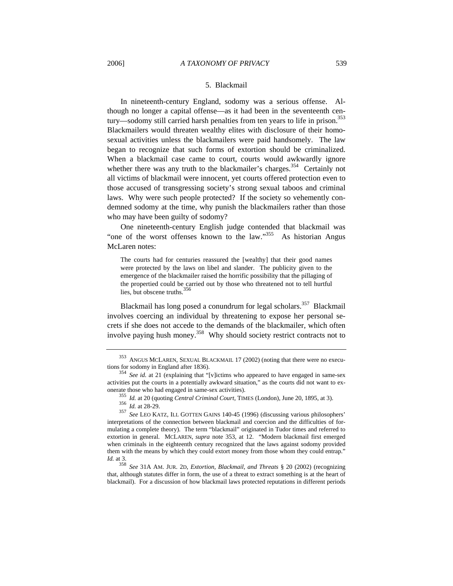#### 5. Blackmail

<span id="page-62-5"></span>In nineteenth-century England, sodomy was a serious offense. Although no longer a capital offense—as it had been in the seventeenth century—sodomy still carried harsh penalties from ten years to life in prison.<sup>353</sup> Blackmailers would threaten wealthy elites with disclosure of their homosexual activities unless the blackmailers were paid handsomely. The law began to recognize that such forms of extortion should be criminalized. When a blackmail case came to court, courts would awkwardly ignore whether there was any truth to the blackmailer's charges.<sup>354</sup> Certainly not all victims of blackmail were innocent, yet courts offered protection even to those accused of transgressing society's strong sexual taboos and criminal laws. Why were such people protected? If the society so vehemently condemned sodomy at the time, why punish the blackmailers rather than those who may have been guilty of sodomy?

One nineteenth-century English judge contended that blackmail was "one of the worst offenses known to the law."<sup>355</sup> As historian Angus McLaren notes:

The courts had for centuries reassured the [wealthy] that their good names were protected by the laws on libel and slander. The publicity given to the emergence of the blackmailer raised the horrific possibility that the pillaging of the propertied could be carried out by those who threatened not to tell hurtful lies,but obscene truths.<sup>356</sup>

Blackmail has long posed a conundrum for legal scholars.<sup>357</sup> Blackmail involves coercing an individual by threatening to expose her personal secrets if she does not accede to the demands of the blackmailer, which often involve paying hush money.<sup>358</sup> Why should society restrict contracts not to

that, although statutes differ in form, the use of a threat to extract something is at the heart of blackmail). For a discussion of how blackmail laws protected reputations in different periods

<span id="page-62-0"></span> $353$  ANGUS MCLAREN, SEXUAL BLACKMAIL 17 (2002) (noting that there were no executions for sodomy in England after 1836).

<span id="page-62-1"></span><sup>&</sup>lt;sup>354</sup> *See id.* at 21 (explaining that "[v]ictims who appeared to have engaged in same-sex activities put the courts in a potentially awkward situation," as the courts did not want to ex-

<span id="page-62-3"></span>

<span id="page-62-4"></span>

<span id="page-62-2"></span>onerate those who had engaged in same-sex activities).<br>
<sup>355</sup> *Id.* at 20 (quoting *Central Criminal Court*, TIMES (London), June 20, 1895, at 3).<br>
<sup>356</sup> *Id.* at 28-29.<br>
<sup>357</sup> *See* LEO KATZ, ILL GOTTEN GAINS 140-45 (1996 interpretations of the connection between blackmail and coercion and the difficulties of formulating a complete theory). The term "blackmail" originated in Tudor times and referred to extortion in general. MCLAREN, *supra* note 353, at 12. "Modern blackmail first emerged when criminals in the eighteenth century recognized that the laws against sodomy provided them with the means by which they could extort money from those whom they could entrap." *Id.* at 3.<br><sup>358</sup> *See* 31A AM. JUR. 2D, *Extortion, Blackmail, and Threats* § 20 (2002) (recognizing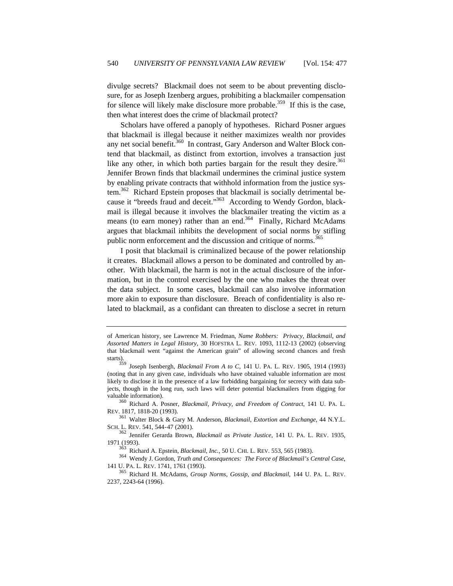divulge secrets? Blackmail does not seem to be about preventing disclosure, for as Joseph Izenberg argues, prohibiting a blackmailer compensation for silence will likely make disclosure more probable.<sup>359</sup> If this is the case, then what interest does the crime of blackmail protect?

Scholars have offered a panoply of hypotheses. Richard Posner argues that blackmail is illegal because it neither maximizes wealth nor provides any net social benefit.<sup>360</sup> In contrast, Gary Anderson and Walter Block contend that blackmail, as distinct from extortion, involves a transaction just like any other, in which both parties bargain for the result they desire.<sup>361</sup> Jennifer Brown finds that blackmail undermines the criminal justice system by enabling private contracts that withhold information from the justice system.<sup>362</sup> Richard Epstein proposes that blackmail is socially detrimental because it "breeds fraud and deceit."<sup>363</sup> According to Wendy Gordon, blackmail is illegal because it involves the blackmailer treating the victim as a means (to earn money) rather than an end.<sup>364</sup> Finally, Richard McAdams argues that blackmail inhibits the development of social norms by stifling public norm enforcement and the discussion and critique of norms.<sup>[365](#page-63-6)</sup>

I posit that blackmail is criminalized because of the power relationship it creates. Blackmail allows a person to be dominated and controlled by another. With blackmail, the harm is not in the actual disclosure of the information, but in the control exercised by the one who makes the threat over the data subject. In some cases, blackmail can also involve information more akin to exposure than disclosure. Breach of confidentiality is also related to blackmail, as a confidant can threaten to disclose a secret in return

of American history, see Lawrence M. Friedman, *Name Robbers: Privacy, Blackmail, and Assorted Matters in Legal History*, 30 HOFSTRA L. REV. 1093, 1112-13 (2002) (observing that blackmail went "against the American grain" of allowing second chances and fresh starts).<br> $\frac{359}{ }$ 

<span id="page-63-0"></span><sup>359</sup> Joseph Isenbergh, *Blackmail From A to C*, 141 U. PA. L. REV. 1905, 1914 (1993) (noting that in any given case, individuals who have obtained valuable information are most likely to disclose it in the presence of a law forbidding bargaining for secrecy with data subjects, though in the long run, such laws will deter potential blackmailers from digging for valuable information). 360 Richard A. Posner, *Blackmail, Privacy, and Freedom of Contract*, 141 U. PA. L.

<span id="page-63-1"></span>REV. 1817, 1818-20 (1993).

<span id="page-63-2"></span><sup>&</sup>lt;sup>361</sup> Walter Block & Gary M. Anderson, *Blackmail, Extortion and Exchange*, 44 N.Y.L. SCH. L. REV. 541, 544-47 (2001).

<span id="page-63-3"></span><sup>&</sup>lt;sup>362</sup> Jennifer Gerarda Brown, *Blackmail as Private Justice*, 141 U. PA. L. REV. 1935, 1971 (1993).

<span id="page-63-5"></span><span id="page-63-4"></span><sup>1971 (1993). 363</sup> Richard A. Epstein, *Blackmail, Inc.*, 50 U. CHI. L. REV. 553, 565 (1983). 364 Wendy J. Gordon, *Truth and Consequences: The Force of Blackmail's Central Case*,

<span id="page-63-6"></span><sup>141</sup> U. PA. L. REV. 1741, 1761 (1993). 365 Richard H. McAdams, *Group Norms, Gossip, and Blackmail*, 144 U. PA. L. REV. 2237, 2243-64 (1996).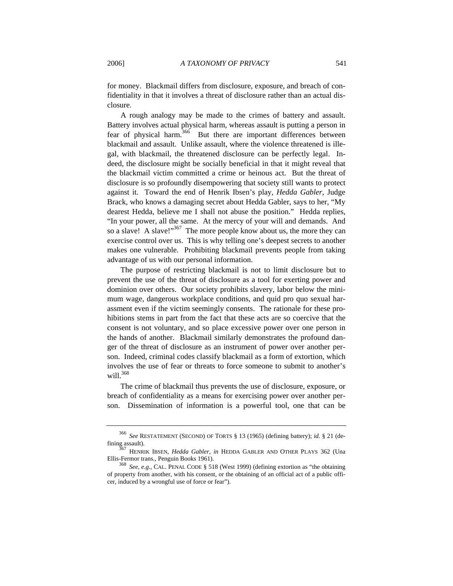for money. Blackmail differs from disclosure, exposure, and breach of confidentiality in that it involves a threat of disclosure rather than an actual disclosure.

A rough analogy may be made to the crimes of battery and assault. Battery involves actual physical harm, whereas assault is putting a person in fear of physical harm.<sup>366</sup> But there are important differences between blackmail and assault. Unlike assault, where the violence threatened is illegal, with blackmail, the threatened disclosure can be perfectly legal. Indeed, the disclosure might be socially beneficial in that it might reveal that the blackmail victim committed a crime or heinous act. But the threat of disclosure is so profoundly disempowering that society still wants to protect against it. Toward the end of Henrik Ibsen's play, *Hedda Gabler*, Judge Brack, who knows a damaging secret about Hedda Gabler, says to her, "My dearest Hedda, believe me I shall not abuse the position." Hedda replies, "In your power, all the same. At the mercy of your will and demands. And so a slave! A slave!"<sup>367</sup> The more people know about us, the more they can exercise control over us. This is why telling one's deepest secrets to another makes one vulnerable. Prohibiting blackmail prevents people from taking advantage of us with our personal information.

The purpose of restricting blackmail is not to limit disclosure but to prevent the use of the threat of disclosure as a tool for exerting power and dominion over others. Our society prohibits slavery, labor below the minimum wage, dangerous workplace conditions, and quid pro quo sexual harassment even if the victim seemingly consents. The rationale for these prohibitions stems in part from the fact that these acts are so coercive that the consent is not voluntary, and so place excessive power over one person in the hands of another. Blackmail similarly demonstrates the profound danger of the threat of disclosure as an instrument of power over another person. Indeed, criminal codes classify blackmail as a form of extortion, which involves the use of fear or threats to force someone to submit to another's will. $368$ 

The crime of blackmail thus prevents the use of disclosure, exposure, or breach of confidentiality as a means for exercising power over another person. Dissemination of information is a powerful tool, one that can be

<span id="page-64-0"></span><sup>366</sup> *See* RESTATEMENT (SECOND) OF TORTS § 13 (1965) (defining battery); *id.* § 21 (defining assault). 367 HENRIK IBSEN, *Hedda Gabler*, *in* HEDDA GABLER AND OTHER PLAYS 362 (Una

<span id="page-64-1"></span>Ellis-Fermor trans., Penguin Books 1961). 368 *See, e.g.*, CAL. PENAL CODE § 518 (West 1999) (defining extortion as "the obtaining

<span id="page-64-2"></span>of property from another, with his consent, or the obtaining of an official act of a public officer, induced by a wrongful use of force or fear").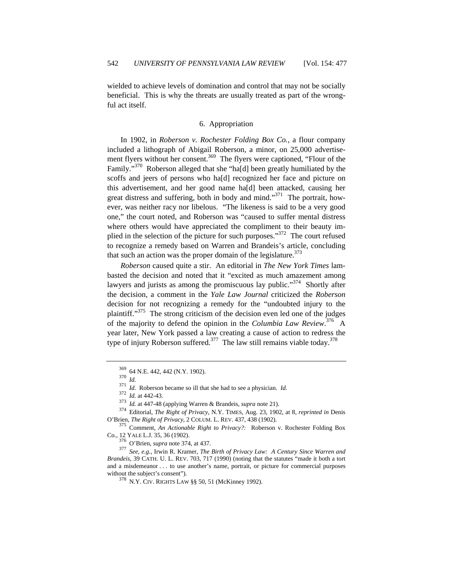wielded to achieve levels of domination and control that may not be socially beneficial. This is why the threats are usually treated as part of the wrongful act itself.

# 6. Appropriation

In 1902, in *Roberson v. Rochester Folding Box Co.*, a flour company included a lithograph of Abigail Roberson, a minor, on 25,000 advertisement flyers without her consent.<sup>369</sup> The flyers were captioned, "Flour of the Family."<sup>370</sup> Roberson alleged that she "ha[d] been greatly humiliated by the scoffs and jeers of persons who ha[d] recognized her face and picture on this advertisement, and her good name ha[d] been attacked, causing her great distress and suffering, both in body and mind." $371$  The portrait, however, was neither racy nor libelous. "The likeness is said to be a very good one," the court noted, and Roberson was "caused to suffer mental distress where others would have appreciated the compliment to their beauty implied in the selection of the picture for such purposes."<sup>372</sup> The court refused to recognize a remedy based on Warren and Brandeis's article, concluding that such an action was the proper domain of the legislature.<sup>373</sup>

*Roberson* caused quite a stir. An editorial in *The New York Times* lambasted the decision and noted that it "excited as much amazement among lawyers and jurists as among the promiscuous lay public."<sup>374</sup> Shortly after the decision, a comment in the *Yale Law Journal* criticized the *Roberson* decision for not recognizing a remedy for the "undoubted injury to the plaintiff."<sup>375</sup> The strong criticism of the decision even led one of the judges of the majority to defend the opinion in the *Columbia Law Review*. [376](#page-65-7) A year later, New York passed a law creating a cause of action to redress the type of injury Roberson suffered.<sup>377</sup> The law still remains viable today.<sup>378</sup>

<span id="page-65-2"></span>

<span id="page-65-3"></span>

<span id="page-65-5"></span><span id="page-65-4"></span>

<span id="page-65-1"></span><span id="page-65-0"></span><sup>&</sup>lt;sup>369</sup> 64 N.E. 442, 442 (N.Y. 1902).<br>
<sup>370</sup> *Id.*<br> *Id.* Roberson became so ill that she had to see a physician. *Id.*<br>
<sup>372</sup> *Id.* at 442-43.<br>
<sup>373</sup> *Id.* at 447-48 (applying Warren & Brandeis, *supra* note 21).<br>
<sup>374</sup> Ed O'Brien, *The Right of Privacy*, 2 COLUM. L. REV. 437, 438 (1902). 375 Comment, *An Actionable Right to Privacy?:* Roberson v. Rochester Folding Box

<span id="page-65-6"></span>Co., 12 YALE L.J. 35, 36 (1902). 376 O'Brien, *supra* note 374, at 437. 377 *See, e.g.*, Irwin R. Kramer, *The Birth of Privacy Law: A Century Since Warren and* 

<span id="page-65-8"></span><span id="page-65-7"></span>*Brandeis*, 39 CATH. U. L. REV. 703, 717 (1990) (noting that the statutes "made it both a tort and a misdemeanor . . . to use another's name, portrait, or picture for commercial purposes without the subject's consent").<br><sup>378</sup> N.Y. CIV. RIGHTS LAW §§ 50, 51 (McKinney 1992).

<span id="page-65-9"></span>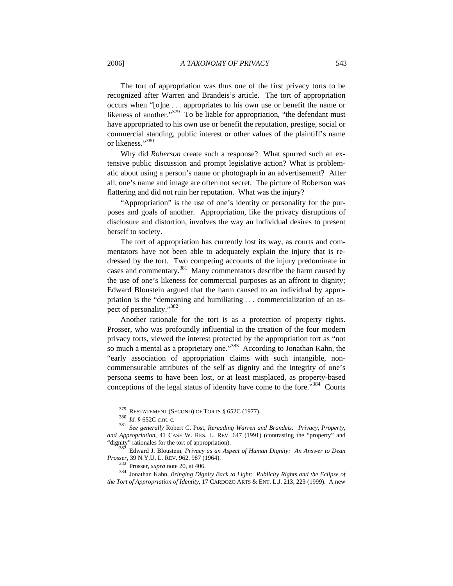<span id="page-66-5"></span>The tort of appropriation was thus one of the first privacy torts to be recognized after Warren and Brandeis's article. The tort of appropriation occurs when "[o]ne . . . appropriates to his own use or benefit the name or likeness of another."<sup>379</sup> To be liable for appropriation, "the defendant must have appropriated to his own use or benefit the reputation, prestige, social or commercial standing, public interest or other values of the plaintiff's name or likeness."<sup>380</sup>

Why did *Roberson* create such a response? What spurred such an extensive public discussion and prompt legislative action? What is problematic about using a person's name or photograph in an advertisement? After all, one's name and image are often not secret. The picture of Roberson was flattering and did not ruin her reputation. What was the injury?

"Appropriation" is the use of one's identity or personality for the purposes and goals of another. Appropriation, like the privacy disruptions of disclosure and distortion, involves the way an individual desires to present herself to society.

The tort of appropriation has currently lost its way, as courts and commentators have not been able to adequately explain the injury that is redressed by the tort. Two competing accounts of the injury predominate in cases and commentary.<sup>381</sup> Many commentators describe the harm caused by the use of one's likeness for commercial purposes as an affront to dignity; Edward Bloustein argued that the harm caused to an individual by appropriation is the "demeaning and humiliating . . . commercialization of an as-pect of personality.["382](#page-66-3)

Another rationale for the tort is as a protection of property rights. Prosser, who was profoundly influential in the creation of the four modern privacy torts, viewed the interest protected by the appropriation tort as "not so much a mental as a proprietary one."<sup>383</sup> According to Jonathan Kahn, the "early association of appropriation claims with such intangible, noncommensurable attributes of the self as dignity and the integrity of one's persona seems to have been lost, or at least misplaced, as property-based conceptions of the legal status of identity have come to the fore."<sup>384</sup> Courts

<span id="page-66-2"></span>

<span id="page-66-1"></span><span id="page-66-0"></span><sup>379</sup> RESTATEMENT (SECOND) OF TORTS § 652C (1977). 380 *Id.* § 652C cmt. c. 381 *See generally* Robert C. Post, *Rereading Warren and Brandeis: Privacy, Property, and Appropriation*, 41 CASE W. RES. L. REV. 647 (1991) (contrasting the "property" and "dignity" rationales for the tort of appropriation).<br><sup>382</sup> Edward J. Pleystoin, *Primary as an Appropriation* 

<span id="page-66-3"></span><sup>&</sup>lt;sup>382</sup> Edward J. Bloustein, *Privacy as an Aspect of Human Dignity: An Answer to Dean Prosser*, 39 N.Y.U. L. REV. 962, 987 (1964).

<span id="page-66-4"></span><sup>&</sup>lt;sup>383</sup> Prosser, *supra* note 20, at 406.<br><sup>384</sup> Jonathan Kahn, *Bringing Dignity Back to Light: Publicity Rights and the Eclipse of the Tort of Appropriation of Identity*, 17 CARDOZO ARTS & ENT. L.J. 213, 223 (1999). A new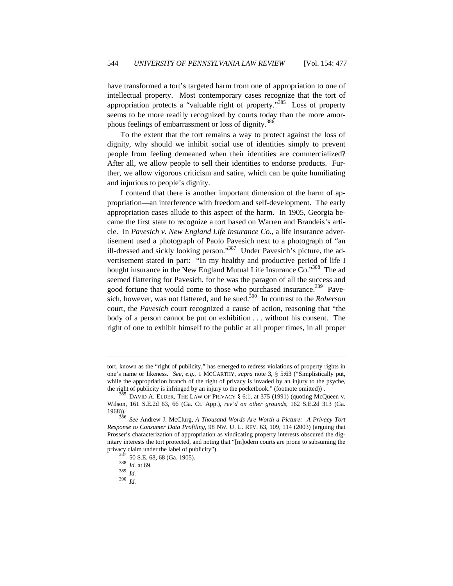have transformed a tort's targeted harm from one of appropriation to one of intellectual property. Most contemporary cases recognize that the tort of appropriation protects a "valuable right of property."<sup>385</sup> Loss of property seems to be more readily recognized by courts today than the more amor-phous feelings of embarrassment or loss of dignity.<sup>[386](#page-67-1)</sup>

To the extent that the tort remains a way to protect against the loss of dignity, why should we inhibit social use of identities simply to prevent people from feeling demeaned when their identities are commercialized? After all, we allow people to sell their identities to endorse products. Further, we allow vigorous criticism and satire, which can be quite humiliating and injurious to people's dignity.

I contend that there is another important dimension of the harm of appropriation—an interference with freedom and self-development. The early appropriation cases allude to this aspect of the harm. In 1905, Georgia became the first state to recognize a tort based on Warren and Brandeis's article. In *Pavesich v. New England Life Insurance Co.*, a life insurance advertisement used a photograph of Paolo Pavesich next to a photograph of "an ill-dressed and sickly looking person."<sup>387</sup> Under Pavesich's picture, the advertisement stated in part: "In my healthy and productive period of life I bought insurance in the New England Mutual Life Insurance Co."<sup>388</sup> The ad seemed flattering for Pavesich, for he was the paragon of all the success and good fortune that would come to those who purchased insurance.<sup>389</sup> Pavesich, however, was not flattered, and he sued[.390](#page-67-5) In contrast to the *Roberson* court, the *Pavesich* court recognized a cause of action, reasoning that "the body of a person cannot be put on exhibition . . . without his consent. The right of one to exhibit himself to the public at all proper times, in all proper

tort, known as the "right of publicity," has emerged to redress violations of property rights in one's name or likeness. *See, e.g.*, 1 MCCARTHY, *supra* note 3, § 5:63 ("Simplistically put, while the appropriation branch of the right of privacy is invaded by an injury to the psyche, the right of publicity is infringed by an injury to the pocketbook." (footnote omitted)) .  $385$  DAVID A. ELDER, THE LAW OF PRIVACY § 6:1, at 375 (1991) (quoting McQueen v.

<span id="page-67-0"></span>Wilson, 161 S.E.2d 63, 66 (Ga. Ct. App.), *rev'd on other grounds*, 162 S.E.2d 313 (Ga. 1968)). 386 *See* Andrew J. McClurg, *A Thousand Words Are Worth a Picture: A Privacy Tort* 

<span id="page-67-1"></span>*Response to Consumer Data Profiling*, 98 NW. U. L. REV. 63, 109, 114 (2003) (arguing that Prosser's characterization of appropriation as vindicating property interests obscured the dignitary interests the tort protected, and noting that "[m]odern courts are prone to subsuming the privacy claim under the label of publicity").<br><sup>387</sup> 50 S.E. 68, 68 (Ga. 1905).<br><sup>388</sup> *Id.* at 69.

<span id="page-67-2"></span>

<span id="page-67-3"></span><sup>389</sup> *Id.*

<span id="page-67-5"></span><span id="page-67-4"></span><sup>390</sup> *Id.*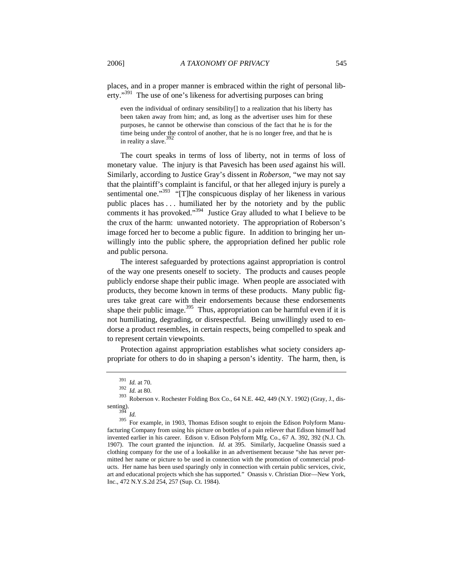places, and in a proper manner is embraced within the right of personal liberty."<sup>391</sup> The use of one's likeness for advertising purposes can bring

even the individual of ordinary sensibility[] to a realization that his liberty has been taken away from him; and, as long as the advertiser uses him for these purposes, he cannot be otherwise than conscious of the fact that he is for the time being under the control of another, that he is no longer free, and that he is in reality a slave.<sup>39</sup>

The court speaks in terms of loss of liberty, not in terms of loss of monetary value. The injury is that Pavesich has been *used* against his will. Similarly, according to Justice Gray's dissent in *Roberson*, "we may not say that the plaintiff's complaint is fanciful, or that her alleged injury is purely a sentimental one."<sup>393</sup> "[T]he conspicuous display of her likeness in various public places has . . . humiliated her by the notoriety and by the public comments it has provoked." $394$  Justice Gray alluded to what I believe to be the crux of the harm: unwanted notoriety. The appropriation of Roberson's image forced her to become a public figure. In addition to bringing her unwillingly into the public sphere, the appropriation defined her public role and public persona.

The interest safeguarded by protections against appropriation is control of the way one presents oneself to society. The products and causes people publicly endorse shape their public image. When people are associated with products, they become known in terms of these products. Many public figures take great care with their endorsements because these endorsements shape their public image.<sup>395</sup> Thus, appropriation can be harmful even if it is not humiliating, degrading, or disrespectful. Being unwillingly used to endorse a product resembles, in certain respects, being compelled to speak and to represent certain viewpoints.

Protection against appropriation establishes what society considers appropriate for others to do in shaping a person's identity. The harm, then, is

<sup>391</sup> *Id.* at 70.

<span id="page-68-0"></span><sup>392</sup> *Id.* at 80.

<span id="page-68-2"></span><span id="page-68-1"></span><sup>393</sup> Roberson v. Rochester Folding Box Co., 64 N.E. 442, 449 (N.Y. 1902) (Gray, J., dissenting).<br> $\frac{394}{}$ 

<sup>394</sup> *Id.*

<span id="page-68-4"></span><span id="page-68-3"></span><sup>&</sup>lt;sup>395</sup> For example, in 1903, Thomas Edison sought to enjoin the Edison Polyform Manufacturing Company from using his picture on bottles of a pain reliever that Edison himself had invented earlier in his career. Edison v. Edison Polyform Mfg. Co., 67 A. 392, 392 (N.J. Ch. 1907). The court granted the injunction. *Id.* at 395. Similarly, Jacqueline Onassis sued a clothing company for the use of a lookalike in an advertisement because "she has never permitted her name or picture to be used in connection with the promotion of commercial products. Her name has been used sparingly only in connection with certain public services, civic, art and educational projects which she has supported." Onassis v. Christian Dior—New York, Inc., 472 N.Y.S.2d 254, 257 (Sup. Ct. 1984).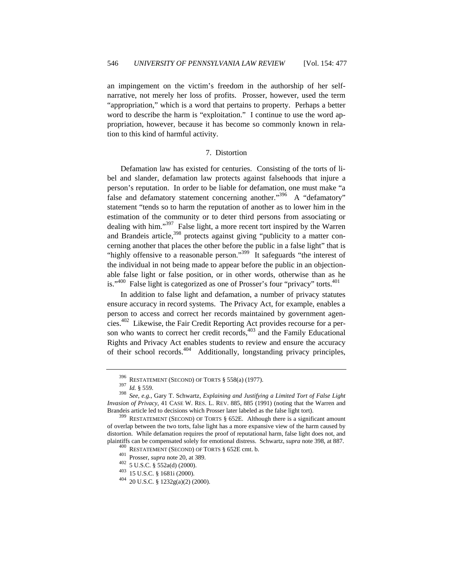an impingement on the victim's freedom in the authorship of her selfnarrative, not merely her loss of profits. Prosser, however, used the term "appropriation," which is a word that pertains to property. Perhaps a better word to describe the harm is "exploitation." I continue to use the word appropriation, however, because it has become so commonly known in relation to this kind of harmful activity.

## 7. Distortion

Defamation law has existed for centuries. Consisting of the torts of libel and slander, defamation law protects against falsehoods that injure a person's reputation. In order to be liable for defamation, one must make "a false and defamatory statement concerning another."<sup>396</sup> A "defamatory" statement "tends so to harm the reputation of another as to lower him in the estimation of the community or to deter third persons from associating or dealing with him.["397](#page-69-1) False light, a more recent tort inspired by the Warren and Brandeis article, $398$  protects against giving "publicity to a matter concerning another that places the other before the public in a false light" that is "highly offensive to a reasonable person."<sup>399</sup> It safeguards "the interest of the individual in not being made to appear before the public in an objectionable false light or false position, or in other words, otherwise than as he is." $400$  False light is categorized as one of Prosser's four "privacy" torts. $401$ 

In addition to false light and defamation, a number of privacy statutes ensure accuracy in record systems. The Privacy Act, for example, enables a person to access and correct her records maintained by government agencies.<sup>402</sup> Likewise, the Fair Credit Reporting Act provides recourse for a person who wants to correct her credit records, $403$  and the Family Educational Rights and Privacy Act enables students to review and ensure the accuracy of their school records.<sup>404</sup> Additionally, longstanding privacy principles,

<span id="page-69-0"></span> $396$  RESTATEMENT (SECOND) OF TORTS § 558(a) (1977).

 $\frac{397}{398}$  *Id.* § 559.

<span id="page-69-2"></span><span id="page-69-1"></span><sup>398</sup> *See, e.g.*, Gary T. Schwartz, *Explaining and Justifying a Limited Tort of False Light Invasion of Privacy,* 41 CASE W. RES. L. REV. 885, 885 (1991) (noting that the Warren and Brandeis article led to decisions which Prosser later labeled as the false light tort).

<span id="page-69-3"></span> $399$  RESTATEMENT (SECOND) OF TORTS § 652E. Although there is a significant amount of overlap between the two torts, false light has a more expansive view of the harm caused by distortion. While defamation requires the proof of reputational harm, false light does not, and plaintiffs can be compensated solely for emotional distress. Schwartz, *supra* note 398, at 887.<br>
<sup>400</sup> RESTATEMENT (SECOND) OF TORTS § 652E cmt. b.<br>
<sup>401</sup> Prosser, *supra* note 20, at 389.<br>
<sup>402</sup> 5 U.S.C. § 552a(d) (2000

<span id="page-69-4"></span>

<span id="page-69-5"></span>

<span id="page-69-6"></span>

<span id="page-69-7"></span>

<span id="page-69-8"></span>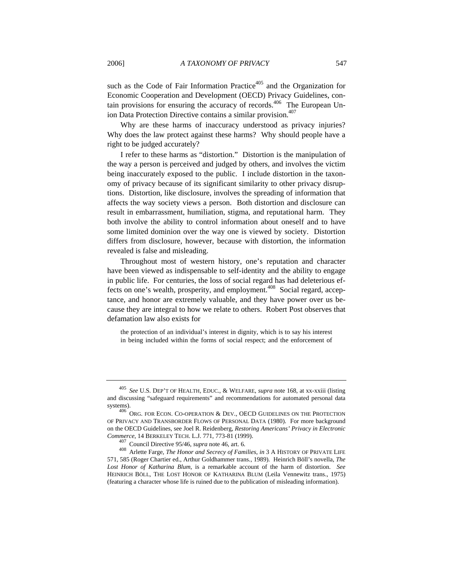such as the Code of Fair Information Practice<sup>405</sup> and the Organization for Economic Cooperation and Development (OECD) Privacy Guidelines, contain provisions for ensuring the accuracy of records.<sup>406</sup> The European Union Data Protection Directive contains a similar provision.<sup>407</sup>

Why are these harms of inaccuracy understood as privacy injuries? Why does the law protect against these harms? Why should people have a right to be judged accurately?

I refer to these harms as "distortion." Distortion is the manipulation of the way a person is perceived and judged by others, and involves the victim being inaccurately exposed to the public. I include distortion in the taxonomy of privacy because of its significant similarity to other privacy disruptions. Distortion, like disclosure, involves the spreading of information that affects the way society views a person. Both distortion and disclosure can result in embarrassment, humiliation, stigma, and reputational harm. They both involve the ability to control information about oneself and to have some limited dominion over the way one is viewed by society. Distortion differs from disclosure, however, because with distortion, the information revealed is false and misleading.

Throughout most of western history, one's reputation and character have been viewed as indispensable to self-identity and the ability to engage in public life. For centuries, the loss of social regard has had deleterious effects on one's wealth, prosperity, and employment.<sup>408</sup> Social regard, acceptance, and honor are extremely valuable, and they have power over us because they are integral to how we relate to others. Robert Post observes that defamation law also exists for

the protection of an individual's interest in dignity, which is to say his interest in being included within the forms of social respect; and the enforcement of

<span id="page-70-0"></span><sup>405</sup> *See* U.S. DEP'T OF HEALTH, EDUC., & WELFARE, *supra* note 168, at xx-xxiii (listing and discussing "safeguard requirements" and recommendations for automated personal data

<span id="page-70-1"></span>systems).<br><sup>406</sup> ORG. FOR ECON. CO-OPERATION & DEV., OECD GUIDELINES ON THE PROTECTION OF PRIVACY AND TRANSBORDER FLOWS OF PERSONAL DATA (1980). For more background on the OECD Guidelines, see Joel R. Reidenberg, *Restoring Americans' Privacy in Electronic* 

<span id="page-70-3"></span><span id="page-70-2"></span><sup>&</sup>lt;sup>407</sup> Council Directive 95/46, *supra* note 46, art. 6.<br><sup>408</sup> Arlette Farge, *The Honor and Secrecy of Families*, *in* 3 A HISTORY OF PRIVATE LIFE 571, 585 (Roger Chartier ed., Arthur Goldhammer trans., 1989). Heinrich Böll's novella, *The Lost Honor of Katharina Blum*, is a remarkable account of the harm of distortion. *See*  HEINRICH BÖLL, THE LOST HONOR OF KATHARINA BLUM (Leila Vennewitz trans., 1975) (featuring a character whose life is ruined due to the publication of misleading information).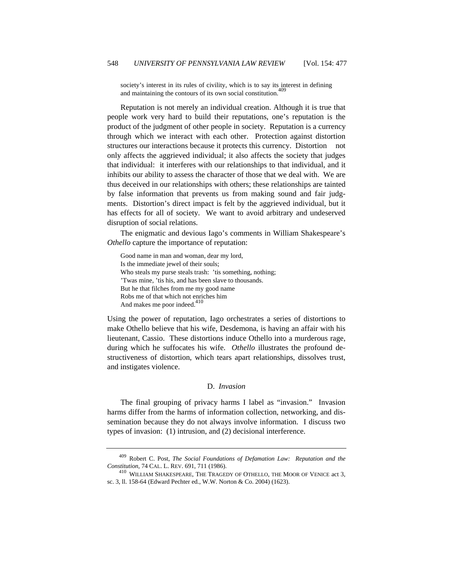society's interest in its rules of civility, which is to say its interest in defining and maintaining the contours of its own social constitution[.](#page-71-0)<sup>4</sup>

Reputation is not merely an individual creation. Although it is true that people work very hard to build their reputations, one's reputation is the product of the judgment of other people in society. Reputation is a currency through which we interact with each other. Protection against distortion structures our interactions because it protects this currency. Distortion not only affects the aggrieved individual; it also affects the society that judges that individual: it interferes with our relationships to that individual, and it inhibits our ability to assess the character of those that we deal with. We are thus deceived in our relationships with others; these relationships are tainted by false information that prevents us from making sound and fair judgments. Distortion's direct impact is felt by the aggrieved individual, but it has effects for all of society. We want to avoid arbitrary and undeserved disruption of social relations.

The enigmatic and devious Iago's comments in William Shakespeare's *Othello* capture the importance of reputation:

Good name in man and woman, dear my lord, Is the immediate jewel of their souls; Who steals my purse steals trash: 'tis something, nothing; 'Twas mine, 'tis his, and has been slave to thousands. But he that filches from me my good name Robs me of that which not enriches him And makes me poor indeed[.](#page-71-1)<sup>410</sup>

Using the power of reputation, Iago orchestrates a series of distortions to make Othello believe that his wife, Desdemona, is having an affair with his lieutenant, Cassio. These distortions induce Othello into a murderous rage, during which he suffocates his wife. *Othello* illustrates the profound destructiveness of distortion, which tears apart relationships, dissolves trust, and instigates violence.

## D. *Invasion*

The final grouping of privacy harms I label as "invasion." Invasion harms differ from the harms of information collection, networking, and dissemination because they do not always involve information. I discuss two types of invasion: (1) intrusion, and (2) decisional interference.

<span id="page-71-0"></span><sup>409</sup> Robert C. Post, *The Social Foundations of Defamation Law: Reputation and the* 

<span id="page-71-1"></span>*Constitution*, 74 CAL. L. REV. 691, 711 (1986). 410 WILLIAM SHAKESPEARE, THE TRAGEDY OF OTHELLO, THE MOOR OF VENICE act 3, sc. 3, ll. 158-64 (Edward Pechter ed., W.W. Norton & Co. 2004) (1623).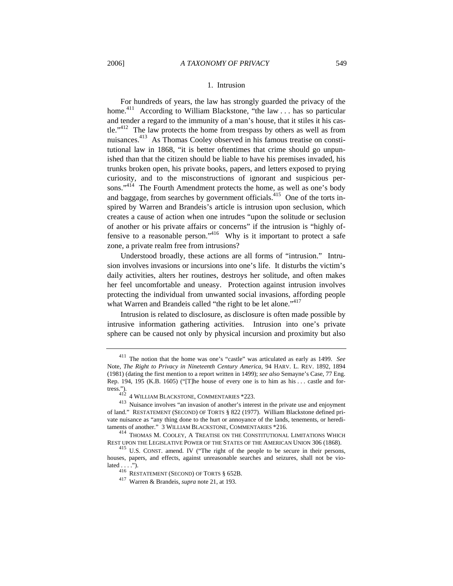## 1. Intrusion

For hundreds of years, the law has strongly guarded the privacy of the home.<sup>411</sup> According to William Blackstone, "the law ... has so particular and tender a regard to the immunity of a man's house, that it stiles it his castle."<sup>412</sup> The law protects the home from trespass by others as well as from nuisances.<sup>413</sup> As Thomas Cooley observed in his famous treatise on constitutional law in 1868, "it is better oftentimes that crime should go unpunished than that the citizen should be liable to have his premises invaded, his trunks broken open, his private books, papers, and letters exposed to prying curiosity, and to the misconstructions of ignorant and suspicious persons."<sup>414</sup> The Fourth Amendment protects the home, as well as one's body and baggage, from searches by government officials.<sup>415</sup> One of the torts inspired by Warren and Brandeis's article is intrusion upon seclusion, which creates a cause of action when one intrudes "upon the solitude or seclusion of another or his private affairs or concerns" if the intrusion is "highly offensive to a reasonable person."<sup>416</sup> Why is it important to protect a safe zone, a private realm free from intrusions?

Understood broadly, these actions are all forms of "intrusion." Intrusion involves invasions or incursions into one's life. It disturbs the victim's daily activities, alters her routines, destroys her solitude, and often makes her feel uncomfortable and uneasy. Protection against intrusion involves protecting the individual from unwanted social invasions, affording people what Warren and Brandeis called "the right to be let alone."<sup>[417](#page-72-6)</sup>

Intrusion is related to disclosure, as disclosure is often made possible by intrusive information gathering activities. Intrusion into one's private sphere can be caused not only by physical incursion and proximity but also

<span id="page-72-0"></span><sup>411</sup> The notion that the home was one's "castle" was articulated as early as 1499. *See* Note, *The Right to Privacy in Nineteenth Century America*, 94 HARV. L. REV. 1892, 1894 (1981) (dating the first mention to a report written in 1499); *see also* Semayne's Case, 77 Eng. Rep. 194, 195 (K.B. 1605) ("[T]he house of every one is to him as his . . . castle and for-

<span id="page-72-2"></span>

<span id="page-72-1"></span>tress.").<br><sup>412</sup> 4 WILLIAM BLACKSTONE, COMMENTARIES \*223.<br><sup>413</sup> Nuisance involves "an invasion of another's interest in the private use and enjoyment of land." RESTATEMENT (SECOND) OF TORTS § 822 (1977). William Blackstone defined private nuisance as "any thing done to the hurt or annoyance of the lands, tenements, or hereditaments of another." 3 WILLIAM BLACKSTONE, COMMENTARIES \*216.

<span id="page-72-3"></span> $^\mathrm{414}$  Thomas M. Cooley, A Treatise on the Constitutional Limitations Which Rest upon the Legislative Power of the States of the American Union 306 (1868).

<span id="page-72-4"></span> $415$  U.S. CONST. amend. IV ("The right of the people to be secure in their persons, houses, papers, and effects, against unreasonable searches and seizures, shall not be violated . . . ."). 416 RESTATEMENT (SECOND) OF TORTS § 652B. 417 Warren & Brandeis, *supra* note 21, at 193.

<span id="page-72-6"></span><span id="page-72-5"></span>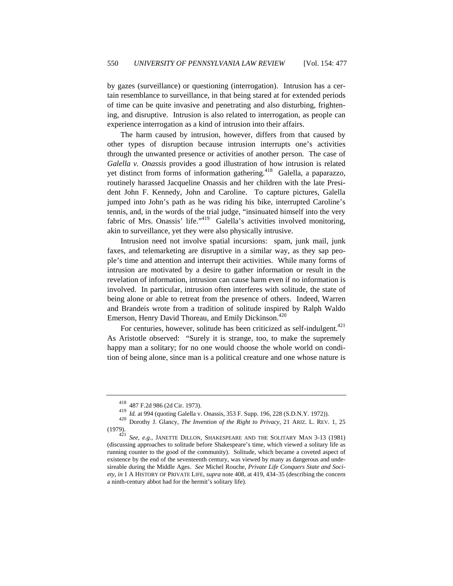by gazes (surveillance) or questioning (interrogation). Intrusion has a certain resemblance to surveillance, in that being stared at for extended periods of time can be quite invasive and penetrating and also disturbing, frightening, and disruptive. Intrusion is also related to interrogation, as people can experience interrogation as a kind of intrusion into their affairs.

The harm caused by intrusion, however, differs from that caused by other types of disruption because intrusion interrupts one's activities through the unwanted presence or activities of another person. The case of *Galella v. Onassis* provides a good illustration of how intrusion is related yet distinct from forms of information gathering.<sup>418</sup> Galella, a paparazzo, routinely harassed Jacqueline Onassis and her children with the late President John F. Kennedy, John and Caroline. To capture pictures, Galella jumped into John's path as he was riding his bike, interrupted Caroline's tennis, and, in the words of the trial judge, "insinuated himself into the very fabric of Mrs. Onassis' life." $419$  Galella's activities involved monitoring, akin to surveillance, yet they were also physically intrusive.

Intrusion need not involve spatial incursions: spam, junk mail, junk faxes, and telemarketing are disruptive in a similar way, as they sap people's time and attention and interrupt their activities. While many forms of intrusion are motivated by a desire to gather information or result in the revelation of information, intrusion can cause harm even if no information is involved. In particular, intrusion often interferes with solitude, the state of being alone or able to retreat from the presence of others. Indeed, Warren and Brandeis wrote from a tradition of solitude inspired by Ralph Waldo Emerson, Henry David Thoreau, and Emily Dickinson.<sup>420</sup>

For centuries, however, solitude has been criticized as self-indulgent.<sup>421</sup> As Aristotle observed: "Surely it is strange, too, to make the supremely happy man a solitary; for no one would choose the whole world on condition of being alone, since man is a political creature and one whose nature is

<span id="page-73-0"></span><sup>&</sup>lt;sup>418</sup> 487 F.2d 986 (2d Cir. 1973).<br><sup>419</sup> *Id.* at 994 (quoting Galella v. Onassis, 353 F. Supp. 196, 228 (S.D.N.Y. 1972)).

<span id="page-73-2"></span><span id="page-73-1"></span><sup>&</sup>lt;sup>420</sup> Dorothy J. Glancy, *The Invention of the Right to Privacy*, 21 ARIZ. L. REV. 1, 25 (1979).

<span id="page-73-3"></span> $^{421}$  *See, e.g.*, JANETTE DILLON, SHAKESPEARE AND THE SOLITARY MAN 3-13 (1981) (discussing approaches to solitude before Shakespeare's time, which viewed a solitary life as running counter to the good of the community). Solitude, which became a coveted aspect of existence by the end of the seventeenth century, was viewed by many as dangerous and undesireable during the Middle Ages. *See* Michel Rouche, *Private Life Conquers State and Society*, *in* 1 A HISTORY OF PRIVATE LIFE, *supra* note 408, at 419, 434-35 (describing the concern a ninth-century abbot had for the hermit's solitary life).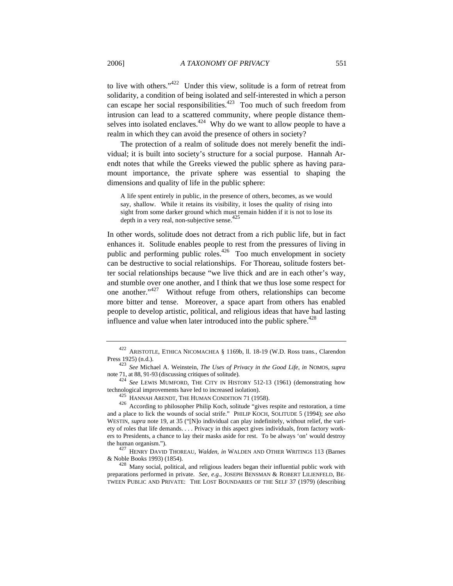<span id="page-74-6"></span>to live with others." $422$  Under this view, solitude is a form of retreat from solidarity, a condition of being isolated and self-interested in which a person can escape her social responsibilities.<sup>423</sup> Too much of such freedom from intrusion can lead to a scattered community, where people distance themselves into isolated enclaves.<sup>424</sup> Why do we want to allow people to have a realm in which they can avoid the presence of others in society?

The protection of a realm of solitude does not merely benefit the individual; it is built into society's structure for a social purpose. Hannah Arendt notes that while the Greeks viewed the public sphere as having paramount importance, the private sphere was essential to shaping the dimensions and quality of life in the public sphere:

A life spent entirely in public, in the presence of others, becomes, as we would say, shallow. While it retains its visibility, it loses the quality of rising into sight from some darker ground which must remain hidden if it is not to lose its depth in a very real, non-subjective sense.<sup>4</sup>

In other words, solitude does not detract from a rich public life, but in fact enhances it. Solitude enables people to rest from the pressures of living in public and performing public roles.<sup>426</sup> Too much envelopment in society can be destructive to social relationships. For Thoreau, solitude fosters better social relationships because "we live thick and are in each other's way, and stumble over one another, and I think that we thus lose some respect for one another."<sup>427</sup> Without refuge from others, relationships can become more bitter and tense. Moreover, a space apart from others has enabled people to develop artistic, political, and religious ideas that have had lasting influence and value when later introduced into the public sphere.<sup> $428$ </sup>

<span id="page-74-0"></span><sup>422</sup> ARISTOTLE, ETHICA NICOMACHEA § 1169b, ll. 18-19 (W.D. Ross trans., Clarendon

<span id="page-74-1"></span>Press 1925) (n.d.). 423 *See* Michael A. Weinstein, *The Uses of Privacy in the Good Life*, *in* NOMOS, *supra*

<span id="page-74-2"></span>note 71, at 88, 91-93 (discussing critiques of solitude). 424 *See* LEWIS MUMFORD, THE CITY IN HISTORY 512-13 (1961) (demonstrating how

<span id="page-74-4"></span>

<span id="page-74-3"></span>technological improvements have led to increased isolation).<br>
<sup>425</sup> HANNAH ARENDT, THE HUMAN CONDITION 71 (1958).<br>
<sup>426</sup> According to philosopher Philip Koch, solitude "gives respite and restoration, a time and a place to lick the wounds of social strife." PHILIP KOCH, SOLITUDE 5 (1994); *see also* WESTIN, *supra* note 19, at 35 ("[N]o individual can play indefinitely, without relief, the variety of roles that life demands. . . . Privacy in this aspect gives individuals, from factory workers to Presidents, a chance to lay their masks aside for rest. To be always 'on' would destroy the human organism."). <sup>427</sup> HENRY DAVID THOREAU, *Walden*, *in* WALDEN AND OTHER WRITINGS 113 (Barnes

<span id="page-74-5"></span>

 $\&$  Noble Books 1993) (1854).<br><sup>428</sup> Many social, political, and religious leaders began their influential public work with preparations performed in private. *See, e.g.*, JOSEPH BENSMAN & ROBERT LILIENFELD, BE-TWEEN PUBLIC AND PRIVATE: THE LOST BOUNDARIES OF THE SELF 37 (1979) (describing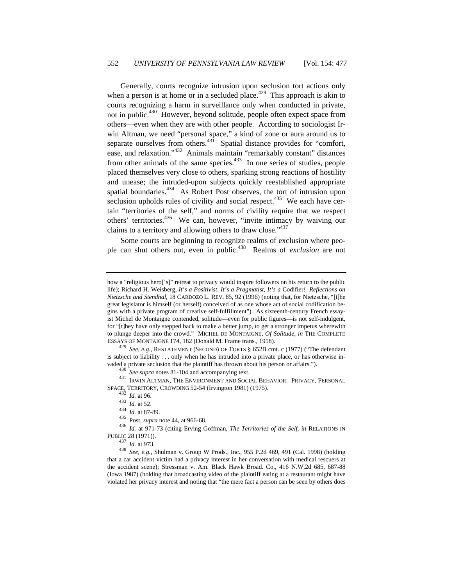<span id="page-75-9"></span>Generally, courts recognize intrusion upon seclusion tort actions only when a person is at home or in a secluded place.<sup>429</sup> This approach is akin to courts recognizing a harm in surveillance only when conducted in private, not in public.<sup>430</sup> However, beyond solitude, people often expect space from others—even when they are with other people. According to sociologist Irwin Altman, we need "personal space," a kind of zone or aura around us to separate ourselves from others. $431$  Spatial distance provides for "comfort, ease, and relaxation.["432](#page-75-3) Animals maintain "remarkably constant" distances from other animals of the same species. $433$  In one series of studies, people placed themselves very close to others, sparking strong reactions of hostility and unease; the intruded-upon subjects quickly reestablished appropriate spatial boundaries. $434$  As Robert Post observes, the tort of intrusion upon seclusion upholds rules of civility and social respect.<sup>435</sup> We each have certain "territories of the self," and norms of civility require that we respect others' territories.<sup>436</sup> We can, however, "invite intimacy by waiving our claims to a territory and allowing others to draw close."<sup>437</sup>

Some courts are beginning to recognize realms of exclusion where people can shut others out, even in public[.438](#page-75-9) Realms of *exclusion* are not

<span id="page-75-2"></span>

<span id="page-75-1"></span>vaded a private seclusion that the plaintiff has thrown about his person or affairs.").<br>
<sup>430</sup> *See supra* notes 81-104 and accompanying text.<br>
<sup>431</sup> IRWIN ALTMAN, THE ENVIRONMENT AND SOCIAL BEHAVIOR: PRIVACY, PERSONAL<br>
SP

how a "religious hero<sup>['s]</sup>" retreat to privacy would inspire followers on his return to the public life); Richard H. Weisberg, *It's a Positivist, It's a Pragmatist, It's a* Codifier*! Reflections on Nietzsche and Stendhal*, 18 CARDOZO L. REV. 85, 92 (1996) (noting that, for Nietzsche, "[t]he great legislator is himself (or herself) conceived of as one whose act of social codification begins with a private program of creative self-fulfillment"). As sixteenth-century French essayist Michel de Montaigne contended, solitude—even for public figures—is not self-indulgent, for "[t]hey have only stepped back to make a better jump, to get a stronger impetus wherewith to plunge deeper into the crowd." MICHEL DE MONTAIGNE, *Of Solitude*, *in* THE COMPLETE ESSAYS OF MONTAIGNE 174, 182 (Donald M. Frame trans., 1958).

<span id="page-75-0"></span>See, e.g., RESTATEMENT (SECOND) OF TORTS § 652B cmt. c (1977) ("The defendant is subject to liability . . . only when he has intruded into a private place, or has otherwise in-

<span id="page-75-5"></span>

<span id="page-75-7"></span><span id="page-75-6"></span>

<span id="page-75-4"></span><span id="page-75-3"></span><sup>&</sup>lt;sup>432</sup> *Id.* at 96.<br>
<sup>433</sup> *Id.* at 52.<br>
<sup>434</sup> *Id.* at 87-89.<br>
<sup>435</sup> Post, *supra* note 44, at 966-68.<br>
<sup>436</sup> *Id.* at 971-73 (citing Erving Goffman, *The Territories of the Self, in* RELATIONS IN<br>
PUBLIC 28 (1971)).

<span id="page-75-8"></span>PUBLIC 28 (1971)). 437 *Id.* at 973. 438 *See, e.g.*, Shulman v. Group W Prods., Inc., 955 P.2d 469, 491 (Cal. 1998) (holding that a car accident victim had a privacy interest in her conversation with medical rescuers at the accident scene); Stressman v. Am. Black Hawk Broad. Co., 416 N.W.2d 685, 687-88 (Iowa 1987) (holding that broadcasting video of the plaintiff eating at a restaurant might have violated her privacy interest and noting that "the mere fact a person can be seen by others does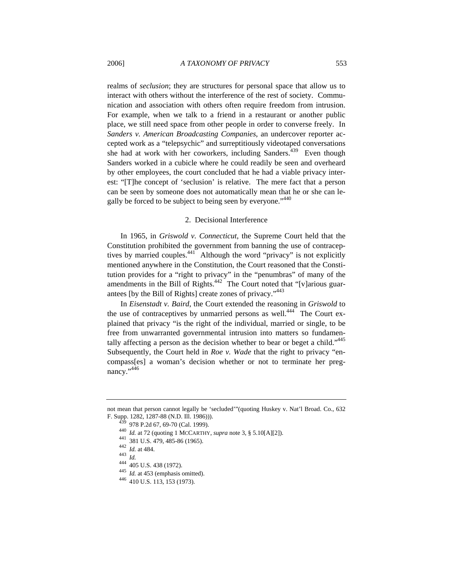realms of *seclusion*; they are structures for personal space that allow us to interact with others without the interference of the rest of society. Communication and association with others often require freedom from intrusion. For example, when we talk to a friend in a restaurant or another public place, we still need space from other people in order to converse freely. In *Sanders v. American Broadcasting Companies*, an undercover reporter accepted work as a "telepsychic" and surreptitiously videotaped conversations she had at work with her coworkers, including Sanders.<sup> $439$ </sup> Even though Sanders worked in a cubicle where he could readily be seen and overheard by other employees, the court concluded that he had a viable privacy interest: "[T]he concept of 'seclusion' is relative. The mere fact that a person can be seen by someone does not automatically mean that he or she can legally be forced to be subject to being seen by everyone."<sup>440</sup>

## 2. Decisional Interference

In 1965, in *Griswold v. Connecticut*, the Supreme Court held that the Constitution prohibited the government from banning the use of contraceptives by married couples. $441$  Although the word "privacy" is not explicitly mentioned anywhere in the Constitution, the Court reasoned that the Constitution provides for a "right to privacy" in the "penumbras" of many of the amendments in the Bill of Rights. $442$  The Court noted that "[v]arious guarantees [by the Bill of Rights] create zones of privacy."[443](#page-76-4)

In *Eisenstadt v. Baird*, the Court extended the reasoning in *Griswold* to the use of contraceptives by unmarried persons as well.<sup>444</sup> The Court explained that privacy "is the right of the individual, married or single, to be free from unwarranted governmental intrusion into matters so fundamentally affecting a person as the decision whether to bear or beget a child."<sup>445</sup> Subsequently, the Court held in *Roe v. Wade* that the right to privacy "encompass[es] a woman's decision whether or not to terminate her pregnancy." 446

not mean that person cannot legally be 'secluded'"(quoting Huskey v. Nat'l Broad. Co., 632 F. Supp. 1282, 1287-88 (N.D. Ill. 1986))).

<span id="page-76-1"></span><span id="page-76-0"></span><sup>&</sup>lt;sup>439</sup> 978 P.2d 67, 69-70 (Cal. 1999).<br>
<sup>440</sup> *Id.* at 72 (quoting 1 MCCARTHY, *supra* note 3, § 5.10[A][2]).<br>
<sup>441</sup> 381 U.S. 479, 485-86 (1965).<br>
<sup>442</sup> *Id.* at 484.<br>
<sup>442</sup> *Id.* at 484.<br>
<sup>444</sup> 405 U.S. 438 (1972).<br>
<sup>445</sup>

<span id="page-76-2"></span>

<span id="page-76-3"></span>

<span id="page-76-5"></span><span id="page-76-4"></span>

<span id="page-76-6"></span>

<span id="page-76-7"></span>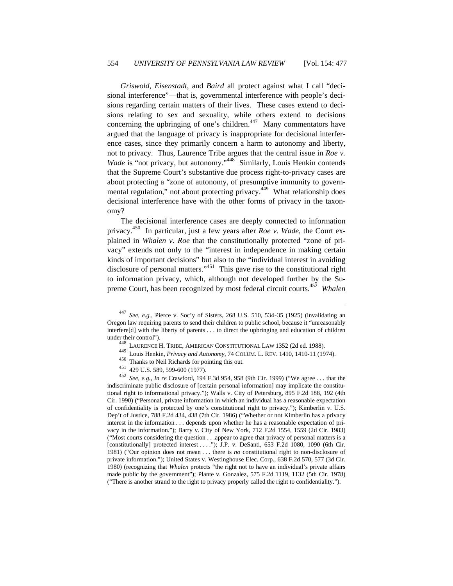*Griswold*, *Eisenstadt*, and *Baird* all protect against what I call "decisional interference"—that is, governmental interference with people's decisions regarding certain matters of their lives. These cases extend to decisions relating to sex and sexuality, while others extend to decisions concerning the upbringing of one's children.<sup>447</sup> Many commentators have argued that the language of privacy is inappropriate for decisional interference cases, since they primarily concern a harm to autonomy and liberty, not to privacy. Thus, Laurence Tribe argues that the central issue in *Roe v. Wade* is "not privacy, but autonomy."<sup>448</sup> Similarly, Louis Henkin contends that the Supreme Court's substantive due process right-to-privacy cases are about protecting a "zone of autonomy, of presumptive immunity to governmental regulation," not about protecting privacy.<sup>449</sup> What relationship does decisional interference have with the other forms of privacy in the taxonomy?

The decisional interference cases are deeply connected to information privacy[.450](#page-77-3) In particular, just a few years after *Roe v. Wade*, the Court explained in *Whalen v. Roe* that the constitutionally protected "zone of privacy" extends not only to the "interest in independence in making certain kinds of important decisions" but also to the "individual interest in avoiding disclosure of personal matters."<sup>451</sup> This gave rise to the constitutional right to information privacy, which, although not developed further by the Supreme Court, has been recognized by most federal circuit courts[.452](#page-77-5) *Whalen*

<span id="page-77-0"></span><sup>447</sup> *See, e.g.*, Pierce v. Soc'y of Sisters, 268 U.S. 510, 534-35 (1925) (invalidating an Oregon law requiring parents to send their children to public school, because it "unreasonably interfere[d] with the liberty of parents . . . to direct the upbringing and education of children under their control").<br><sup>448</sup> LAURENCE H. TRIBE, AMERICAN CONSTITUTIONAL LAW 1352 (2d ed. 1988).

<span id="page-77-5"></span><span id="page-77-4"></span>

<span id="page-77-3"></span><span id="page-77-2"></span><span id="page-77-1"></span><sup>&</sup>lt;sup>449</sup> Louis Henkin, *Privacy and Autonomy*, 74 COLUM. L. REV. 1410, 1410-11 (1974).<br><sup>450</sup> Thanks to Neil Richards for pointing this out.<br><sup>451</sup> 429 U.S. 589, 599-600 (1977).<br><sup>452</sup> *See, e.g., In re* Crawford, 194 F.3d 954, indiscriminate public disclosure of [certain personal information] may implicate the constitutional right to informational privacy."); Walls v. City of Petersburg, 895 F.2d 188, 192 (4th Cir. 1990) ("Personal, private information in which an individual has a reasonable expectation of confidentiality is protected by one's constitutional right to privacy."); Kimberlin v. U.S. Dep't of Justice, 788 F.2d 434, 438 (7th Cir. 1986) ("Whether or not Kimberlin has a privacy interest in the information . . . depends upon whether he has a reasonable expectation of privacy in the information."); Barry v. City of New York, 712 F.2d 1554, 1559 (2d Cir. 1983) ("Most courts considering the question . . .appear to agree that privacy of personal matters is a [constitutionally] protected interest . . . ."); J.P. v. DeSanti, 653 F.2d 1080, 1090 (6th Cir. 1981) ("Our opinion does not mean . . . there is *no* constitutional right to non-disclosure of private information."); United States v. Westinghouse Elec. Corp., 638 F.2d 570, 577 (3d Cir. 1980) (recognizing that *Whalen* protects "the right not to have an individual's private affairs made public by the government"); Plante v. Gonzalez, 575 F.2d 1119, 1132 (5th Cir. 1978) ("There is another strand to the right to privacy properly called the right to confidentiality.").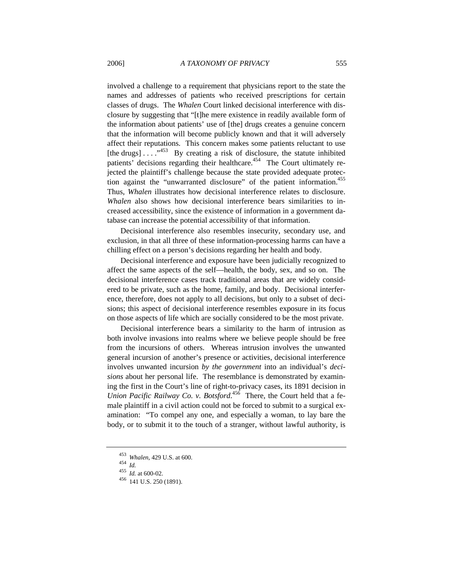involved a challenge to a requirement that physicians report to the state the names and addresses of patients who received prescriptions for certain classes of drugs. The *Whalen* Court linked decisional interference with disclosure by suggesting that "[t]he mere existence in readily available form of the information about patients' use of [the] drugs creates a genuine concern that the information will become publicly known and that it will adversely affect their reputations. This concern makes some patients reluctant to use [the drugs]  $\dots$  . . .<sup>453</sup> By creating a risk of disclosure, the statute inhibited patients' decisions regarding their healthcare.<sup>454</sup> The Court ultimately rejected the plaintiff's challenge because the state provided adequate protection against the "unwarranted disclosure" of the patient information.<sup>455</sup> Thus, *Whalen* illustrates how decisional interference relates to disclosure. *Whalen* also shows how decisional interference bears similarities to increased accessibility, since the existence of information in a government database can increase the potential accessibility of that information.

Decisional interference also resembles insecurity, secondary use, and exclusion, in that all three of these information-processing harms can have a chilling effect on a person's decisions regarding her health and body.

Decisional interference and exposure have been judicially recognized to affect the same aspects of the self—health, the body, sex, and so on. The decisional interference cases track traditional areas that are widely considered to be private, such as the home, family, and body. Decisional interference, therefore, does not apply to all decisions, but only to a subset of decisions; this aspect of decisional interference resembles exposure in its focus on those aspects of life which are socially considered to be the most private.

Decisional interference bears a similarity to the harm of intrusion as both involve invasions into realms where we believe people should be free from the incursions of others. Whereas intrusion involves the unwanted general incursion of another's presence or activities, decisional interference involves unwanted incursion *by the government* into an individual's *decisions* about her personal life. The resemblance is demonstrated by examining the first in the Court's line of right-to-privacy cases, its 1891 decision in Union Pacific Railway Co. v. Botsford.<sup>456</sup> There, the Court held that a female plaintiff in a civil action could not be forced to submit to a surgical examination: "To compel any one, and especially a woman, to lay bare the body, or to submit it to the touch of a stranger, without lawful authority, is

<span id="page-78-0"></span><sup>453</sup> *Whalen*, 429 U.S. at 600. 454 *Id.* <sup>455</sup> *Id.* at 600-02. 456 141 U.S. 250 (1891).

<span id="page-78-1"></span>

<span id="page-78-2"></span>

<span id="page-78-3"></span>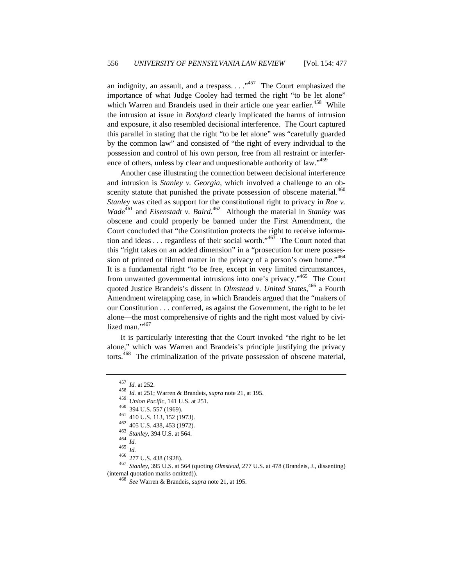an indignity, an assault, and a trespass.  $\ldots$ <sup>457</sup> The Court emphasized the importance of what Judge Cooley had termed the right "to be let alone" which Warren and Brandeis used in their article one year earlier.<sup>458</sup> While the intrusion at issue in *Botsford* clearly implicated the harms of intrusion and exposure, it also resembled decisional interference. The Court captured this parallel in stating that the right "to be let alone" was "carefully guarded by the common law" and consisted of "the right of every individual to the possession and control of his own person, free from all restraint or interference of others, unless by clear and unquestionable authority of law."<sup>459</sup>

Another case illustrating the connection between decisional interference and intrusion is *Stanley v. Georgia*, which involved a challenge to an obscenity statute that punished the private possession of obscene material.<sup>460</sup> *Stanley* was cited as support for the constitutional right to privacy in *Roe v.*  Wade<sup>461</sup> and *Eisenstadt v. Baird*.<sup>462</sup> Although the material in *Stanley* was obscene and could properly be banned under the First Amendment, the Court concluded that "the Constitution protects the right to receive information and ideas  $\dots$  regardless of their social worth."<sup>463</sup> The Court noted that this "right takes on an added dimension" in a "prosecution for mere possession of printed or filmed matter in the privacy of a person's own home."<sup>464</sup> It is a fundamental right "to be free, except in very limited circumstances, from unwanted governmental intrusions into one's privacy.["465](#page-79-8) The Court quoted Justice Brandeis's dissent in *Olmstead v. United States*, [466](#page-79-9) a Fourth Amendment wiretapping case, in which Brandeis argued that the "makers of our Constitution . . . conferred, as against the Government, the right to be let alone—the most comprehensive of rights and the right most valued by civi-lized man."<sup>[467](#page-79-10)</sup>

It is particularly interesting that the Court invoked "the right to be let alone," which was Warren and Brandeis's principle justifying the privacy torts.<sup>468</sup> The criminalization of the private possession of obscene material,

<span id="page-79-4"></span><span id="page-79-3"></span><span id="page-79-2"></span>460 394 U.S. 557 (1969).<br>
461 410 U.S. 113, 152 (1973).<br>
462 405 U.S. 438, 453 (1972).<br>
463 *Stanley*, 394 U.S. at 564.<br>
464 *Id.*<br>
466 *Id.*<br>
466 277 U.S. 438 (1928).<br>
467 *Stanley*, 395 U.S. at 564 (quoting *Olmstead*,

<span id="page-79-1"></span>

<span id="page-79-0"></span><sup>457</sup> *Id.* at 252. 458 *Id.* at 251; Warren & Brandeis, *supra* note 21, at 195.

<span id="page-79-5"></span>

<span id="page-79-6"></span>

<span id="page-79-7"></span>

<span id="page-79-8"></span>

<span id="page-79-10"></span><span id="page-79-9"></span>

<span id="page-79-11"></span><sup>&</sup>lt;sup>468</sup> *See* Warren & Brandeis, *supra* note 21, at 195.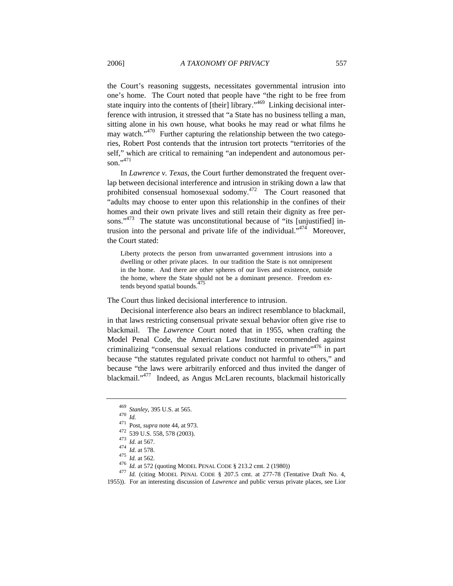<span id="page-80-8"></span>the Court's reasoning suggests, necessitates governmental intrusion into one's home. The Court noted that people have "the right to be free from state inquiry into the contents of [their] library."<sup>469</sup> Linking decisional interference with intrusion, it stressed that "a State has no business telling a man, sitting alone in his own house, what books he may read or what films he may watch."<sup>470</sup> Further capturing the relationship between the two categories, Robert Post contends that the intrusion tort protects "territories of the self," which are critical to remaining "an independent and autonomous person."<sup>471</sup>

In *Lawrence v. Texas*, the Court further demonstrated the frequent overlap between decisional interference and intrusion in striking down a law that prohibited consensual homosexual sodomy.<sup>472</sup> The Court reasoned that "adults may choose to enter upon this relationship in the confines of their homes and their own private lives and still retain their dignity as free persons."<sup>473</sup> The statute was unconstitutional because of "its [unjustified] intrusion into the personal and private life of the individual."<sup>474</sup> Moreover, the Court stated:

Liberty protects the person from unwarranted government intrusions into a dwelling or other private places. In our tradition the State is not omnipresent in the home. And there are other spheres of our lives and existence, outside the home, where the State should not be a dominant presence. Freedom ex-tends beyond spatial bounds[.](#page-80-6)<sup>4</sup>

The Court thus linked decisional interference to intrusion.

Decisional interference also bears an indirect resemblance to blackmail, in that laws restricting consensual private sexual behavior often give rise to blackmail. The *Lawrence* Court noted that in 1955, when crafting the Model Penal Code, the American Law Institute recommended against criminalizing "consensual sexual relations conducted in private"<sup>476</sup> in part because "the statutes regulated private conduct not harmful to others," and because "the laws were arbitrarily enforced and thus invited the danger of blackmail."<sup>477</sup> Indeed, as Angus McLaren recounts, blackmail historically

<span id="page-80-2"></span>

<span id="page-80-3"></span>

<span id="page-80-4"></span>

<span id="page-80-5"></span>

<span id="page-80-6"></span>

<span id="page-80-7"></span>

<span id="page-80-1"></span><span id="page-80-0"></span><sup>&</sup>lt;sup>469</sup> Stanley, 395 U.S. at 565.<br>
<sup>470</sup> Id.<br>
<sup>471</sup> Post, *supra* note 44, at 973.<br>
<sup>472</sup> 539 U.S. 558, 578 (2003).<br>
<sup>473</sup> Id. at 567.<br>
<sup>474</sup> Id. at 578.<br>
<sup>475</sup> Id. at 578.<br>
<sup>475</sup> Id. at 572 (quoting MODEL PENAL CODE § 213. 1955)). For an interesting discussion of *Lawrence* and public versus private places, see Lior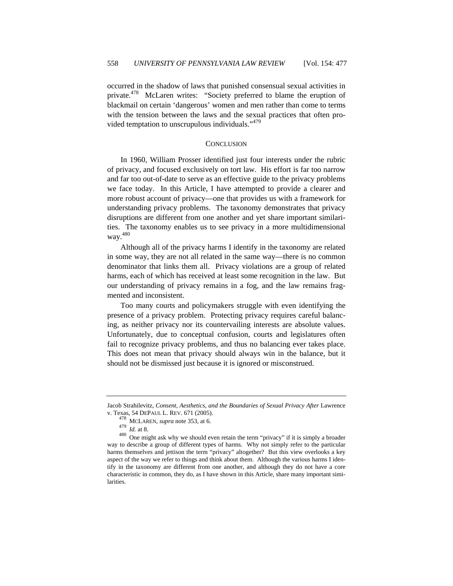occurred in the shadow of laws that punished consensual sexual activities in private.<sup>478</sup> McLaren writes: "Society preferred to blame the eruption of blackmail on certain 'dangerous' women and men rather than come to terms with the tension between the laws and the sexual practices that often pro-vided temptation to unscrupulous individuals."<sup>[479](#page-81-1)</sup>

## **CONCLUSION**

In 1960, William Prosser identified just four interests under the rubric of privacy, and focused exclusively on tort law. His effort is far too narrow and far too out-of-date to serve as an effective guide to the privacy problems we face today. In this Article, I have attempted to provide a clearer and more robust account of privacy—one that provides us with a framework for understanding privacy problems. The taxonomy demonstrates that privacy disruptions are different from one another and yet share important similarities. The taxonomy enables us to see privacy in a more multidimensional way. [480](#page-81-2)

Although all of the privacy harms I identify in the taxonomy are related in some way, they are not all related in the same way—there is no common denominator that links them all. Privacy violations are a group of related harms, each of which has received at least some recognition in the law. But our understanding of privacy remains in a fog, and the law remains fragmented and inconsistent.

Too many courts and policymakers struggle with even identifying the presence of a privacy problem. Protecting privacy requires careful balancing, as neither privacy nor its countervailing interests are absolute values. Unfortunately, due to conceptual confusion, courts and legislatures often fail to recognize privacy problems, and thus no balancing ever takes place. This does not mean that privacy should always win in the balance, but it should not be dismissed just because it is ignored or misconstrued.

Jacob Strahilevitz, Consent, Aesthetics, and the Boundaries of Sexual Privacy After Lawrence v. Texas, 54 DEPAUL L. REV. 671 (2005). 478 MCLAREN, *supra* note 353, at 6.

<span id="page-81-0"></span>

<span id="page-81-2"></span><span id="page-81-1"></span><sup>&</sup>lt;sup>480</sup> One might ask why we should even retain the term "privacy" if it is simply a broader way to describe a group of different types of harms. Why not simply refer to the particular harms themselves and jettison the term "privacy" altogether? But this view overlooks a key aspect of the way we refer to things and think about them. Although the various harms I identify in the taxonomy are different from one another, and although they do not have a core characteristic in common, they do, as I have shown in this Article, share many important similarities.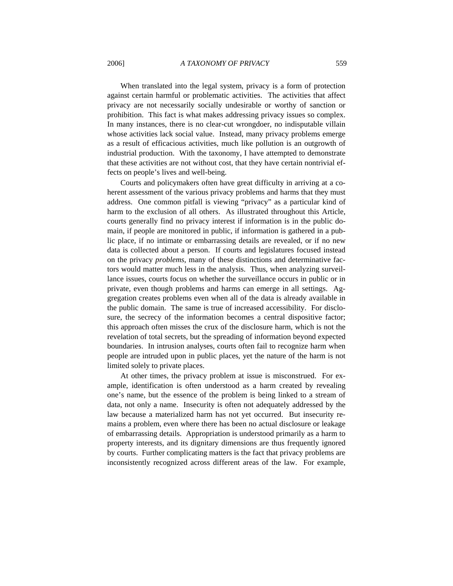When translated into the legal system, privacy is a form of protection against certain harmful or problematic activities. The activities that affect privacy are not necessarily socially undesirable or worthy of sanction or prohibition. This fact is what makes addressing privacy issues so complex. In many instances, there is no clear-cut wrongdoer, no indisputable villain whose activities lack social value. Instead, many privacy problems emerge as a result of efficacious activities, much like pollution is an outgrowth of industrial production. With the taxonomy, I have attempted to demonstrate that these activities are not without cost, that they have certain nontrivial effects on people's lives and well-being.

Courts and policymakers often have great difficulty in arriving at a coherent assessment of the various privacy problems and harms that they must address. One common pitfall is viewing "privacy" as a particular kind of harm to the exclusion of all others. As illustrated throughout this Article, courts generally find no privacy interest if information is in the public domain, if people are monitored in public, if information is gathered in a public place, if no intimate or embarrassing details are revealed, or if no new data is collected about a person. If courts and legislatures focused instead on the privacy *problems*, many of these distinctions and determinative factors would matter much less in the analysis. Thus, when analyzing surveillance issues, courts focus on whether the surveillance occurs in public or in private, even though problems and harms can emerge in all settings. Aggregation creates problems even when all of the data is already available in the public domain. The same is true of increased accessibility. For disclosure, the secrecy of the information becomes a central dispositive factor; this approach often misses the crux of the disclosure harm, which is not the revelation of total secrets, but the spreading of information beyond expected boundaries. In intrusion analyses, courts often fail to recognize harm when people are intruded upon in public places, yet the nature of the harm is not limited solely to private places.

At other times, the privacy problem at issue is misconstrued. For example, identification is often understood as a harm created by revealing one's name, but the essence of the problem is being linked to a stream of data, not only a name. Insecurity is often not adequately addressed by the law because a materialized harm has not yet occurred. But insecurity remains a problem, even where there has been no actual disclosure or leakage of embarrassing details. Appropriation is understood primarily as a harm to property interests, and its dignitary dimensions are thus frequently ignored by courts. Further complicating matters is the fact that privacy problems are inconsistently recognized across different areas of the law. For example,